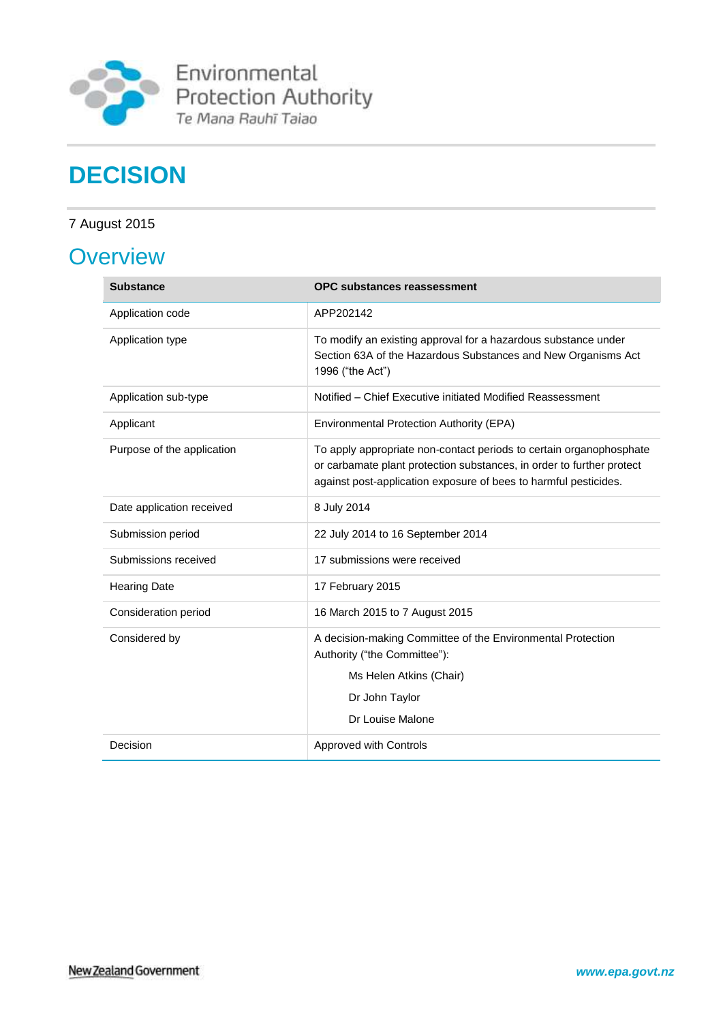

Environmental<br>Protection Authority<br>Te Mana Rauhī Taiao

# **DECISION**

## 7 August 2015

# **Overview**

| <b>Substance</b>           | <b>OPC substances reassessment</b>                                                                                                                                                                               |
|----------------------------|------------------------------------------------------------------------------------------------------------------------------------------------------------------------------------------------------------------|
| Application code           | APP202142                                                                                                                                                                                                        |
| Application type           | To modify an existing approval for a hazardous substance under<br>Section 63A of the Hazardous Substances and New Organisms Act<br>1996 ("the Act")                                                              |
| Application sub-type       | Notified - Chief Executive initiated Modified Reassessment                                                                                                                                                       |
| Applicant                  | Environmental Protection Authority (EPA)                                                                                                                                                                         |
| Purpose of the application | To apply appropriate non-contact periods to certain organophosphate<br>or carbamate plant protection substances, in order to further protect<br>against post-application exposure of bees to harmful pesticides. |
| Date application received  | 8 July 2014                                                                                                                                                                                                      |
| Submission period          | 22 July 2014 to 16 September 2014                                                                                                                                                                                |
| Submissions received       | 17 submissions were received                                                                                                                                                                                     |
| <b>Hearing Date</b>        | 17 February 2015                                                                                                                                                                                                 |
| Consideration period       | 16 March 2015 to 7 August 2015                                                                                                                                                                                   |
| Considered by              | A decision-making Committee of the Environmental Protection<br>Authority ("the Committee"):<br>Ms Helen Atkins (Chair)<br>Dr John Taylor<br>Dr Louise Malone                                                     |
| Decision                   | Approved with Controls                                                                                                                                                                                           |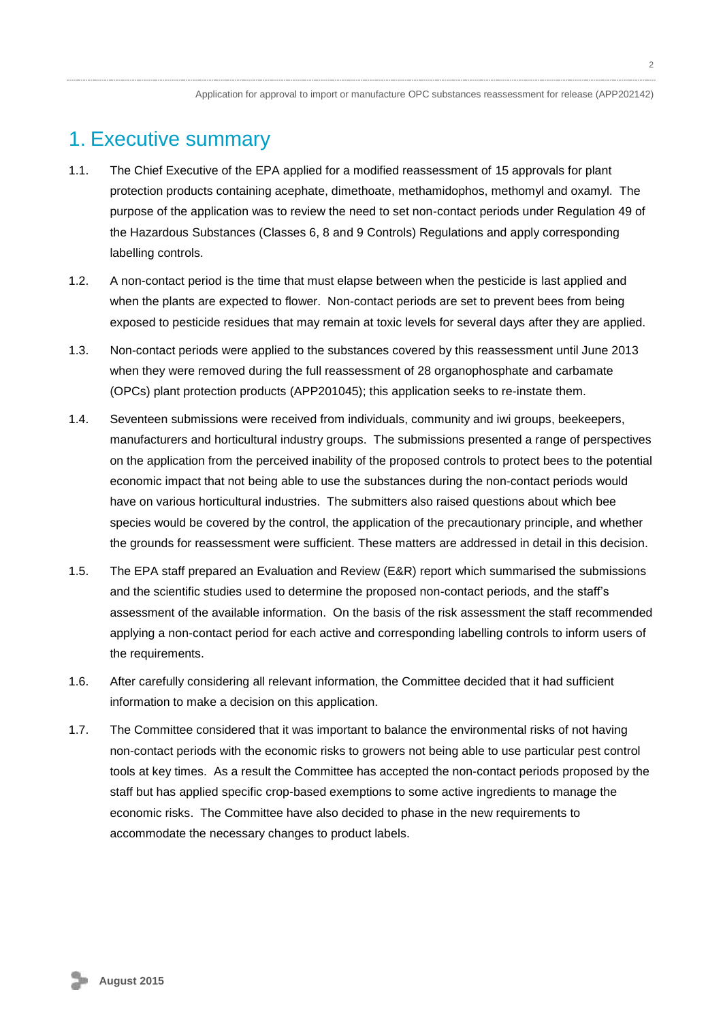## <span id="page-1-0"></span>1. Executive summary

- 1.1. The Chief Executive of the EPA applied for a modified reassessment of 15 approvals for plant protection products containing acephate, dimethoate, methamidophos, methomyl and oxamyl. The purpose of the application was to review the need to set non-contact periods under Regulation 49 of the Hazardous Substances (Classes 6, 8 and 9 Controls) Regulations and apply corresponding labelling controls.
- 1.2. A non-contact period is the time that must elapse between when the pesticide is last applied and when the plants are expected to flower. Non-contact periods are set to prevent bees from being exposed to pesticide residues that may remain at toxic levels for several days after they are applied.
- 1.3. Non-contact periods were applied to the substances covered by this reassessment until June 2013 when they were removed during the full reassessment of 28 organophosphate and carbamate (OPCs) plant protection products (APP201045); this application seeks to re-instate them.
- 1.4. Seventeen submissions were received from individuals, community and iwi groups, beekeepers, manufacturers and horticultural industry groups. The submissions presented a range of perspectives on the application from the perceived inability of the proposed controls to protect bees to the potential economic impact that not being able to use the substances during the non-contact periods would have on various horticultural industries. The submitters also raised questions about which bee species would be covered by the control, the application of the precautionary principle, and whether the grounds for reassessment were sufficient. These matters are addressed in detail in this decision.
- 1.5. The EPA staff prepared an Evaluation and Review (E&R) report which summarised the submissions and the scientific studies used to determine the proposed non-contact periods, and the staff's assessment of the available information. On the basis of the risk assessment the staff recommended applying a non-contact period for each active and corresponding labelling controls to inform users of the requirements.
- 1.6. After carefully considering all relevant information, the Committee decided that it had sufficient information to make a decision on this application.
- 1.7. The Committee considered that it was important to balance the environmental risks of not having non-contact periods with the economic risks to growers not being able to use particular pest control tools at key times. As a result the Committee has accepted the non-contact periods proposed by the staff but has applied specific crop-based exemptions to some active ingredients to manage the economic risks. The Committee have also decided to phase in the new requirements to accommodate the necessary changes to product labels.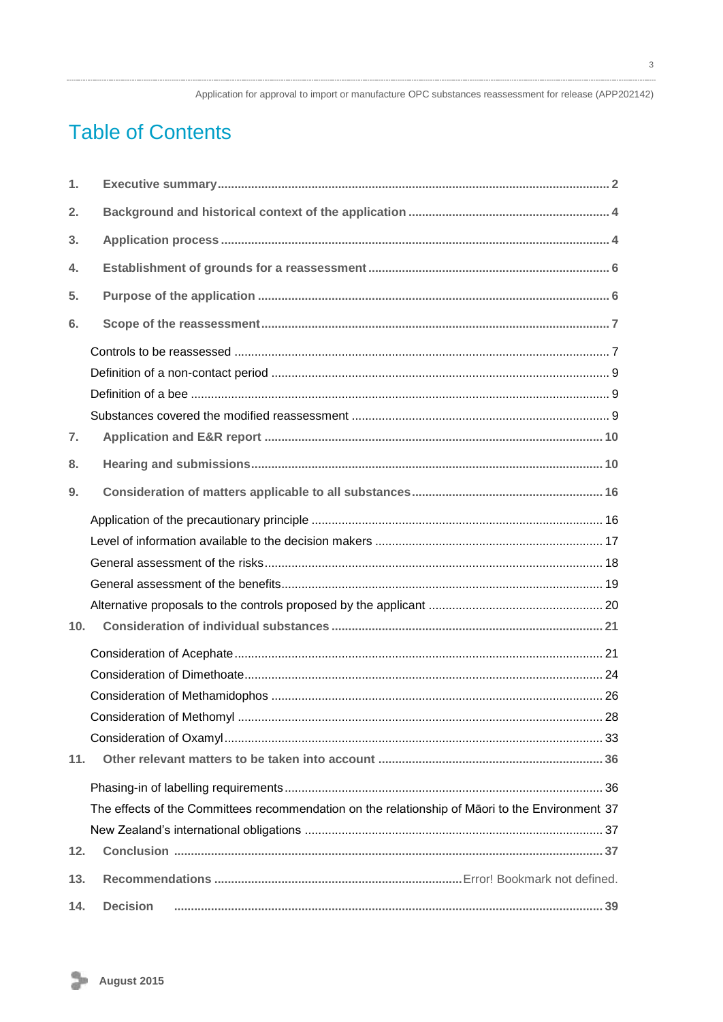# **Table of Contents**

| 1.              |                                                                                                 |
|-----------------|-------------------------------------------------------------------------------------------------|
| 2.              |                                                                                                 |
| 3.              |                                                                                                 |
| 4.              |                                                                                                 |
| 5.              |                                                                                                 |
| 6.              |                                                                                                 |
|                 |                                                                                                 |
|                 |                                                                                                 |
|                 |                                                                                                 |
|                 |                                                                                                 |
| 7.              |                                                                                                 |
| 8.              |                                                                                                 |
| 9.              |                                                                                                 |
|                 |                                                                                                 |
|                 |                                                                                                 |
|                 |                                                                                                 |
|                 |                                                                                                 |
|                 |                                                                                                 |
| 10 <sub>1</sub> |                                                                                                 |
|                 |                                                                                                 |
|                 |                                                                                                 |
|                 |                                                                                                 |
|                 |                                                                                                 |
|                 |                                                                                                 |
| 11.             |                                                                                                 |
|                 |                                                                                                 |
|                 | The effects of the Committees recommendation on the relationship of Māori to the Environment 37 |
|                 |                                                                                                 |
| 12.             |                                                                                                 |
| 13.             |                                                                                                 |
| 14.             | <b>Decision</b>                                                                                 |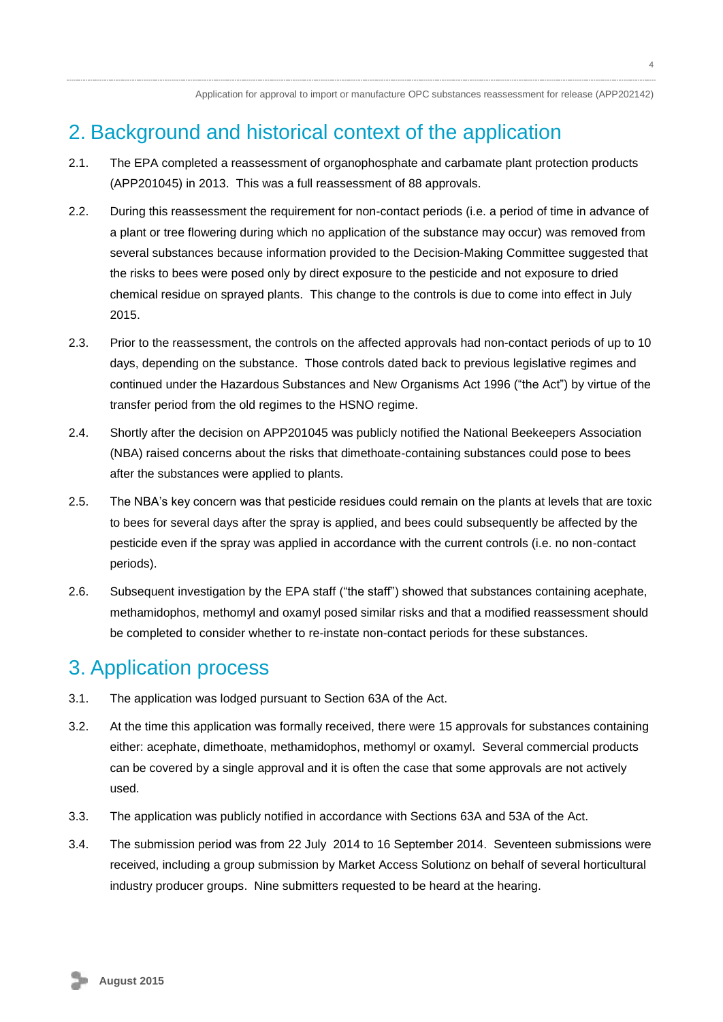# <span id="page-3-0"></span>2. Background and historical context of the application

- 2.1. The EPA completed a reassessment of organophosphate and carbamate plant protection products (APP201045) in 2013. This was a full reassessment of 88 approvals.
- 2.2. During this reassessment the requirement for non-contact periods (i.e. a period of time in advance of a plant or tree flowering during which no application of the substance may occur) was removed from several substances because information provided to the Decision-Making Committee suggested that the risks to bees were posed only by direct exposure to the pesticide and not exposure to dried chemical residue on sprayed plants. This change to the controls is due to come into effect in July 2015.
- 2.3. Prior to the reassessment, the controls on the affected approvals had non-contact periods of up to 10 days, depending on the substance. Those controls dated back to previous legislative regimes and continued under the Hazardous Substances and New Organisms Act 1996 ("the Act") by virtue of the transfer period from the old regimes to the HSNO regime.
- 2.4. Shortly after the decision on APP201045 was publicly notified the National Beekeepers Association (NBA) raised concerns about the risks that dimethoate-containing substances could pose to bees after the substances were applied to plants.
- 2.5. The NBA's key concern was that pesticide residues could remain on the plants at levels that are toxic to bees for several days after the spray is applied, and bees could subsequently be affected by the pesticide even if the spray was applied in accordance with the current controls (i.e. no non-contact periods).
- 2.6. Subsequent investigation by the EPA staff ("the staff") showed that substances containing acephate, methamidophos, methomyl and oxamyl posed similar risks and that a modified reassessment should be completed to consider whether to re-instate non-contact periods for these substances.

# <span id="page-3-1"></span>3. Application process

- 3.1. The application was lodged pursuant to Section 63A of the Act.
- 3.2. At the time this application was formally received, there were 15 approvals for substances containing either: acephate, dimethoate, methamidophos, methomyl or oxamyl. Several commercial products can be covered by a single approval and it is often the case that some approvals are not actively used.
- 3.3. The application was publicly notified in accordance with Sections 63A and 53A of the Act.
- 3.4. The submission period was from 22 July 2014 to 16 September 2014. Seventeen submissions were received, including a group submission by Market Access Solutionz on behalf of several horticultural industry producer groups. Nine submitters requested to be heard at the hearing.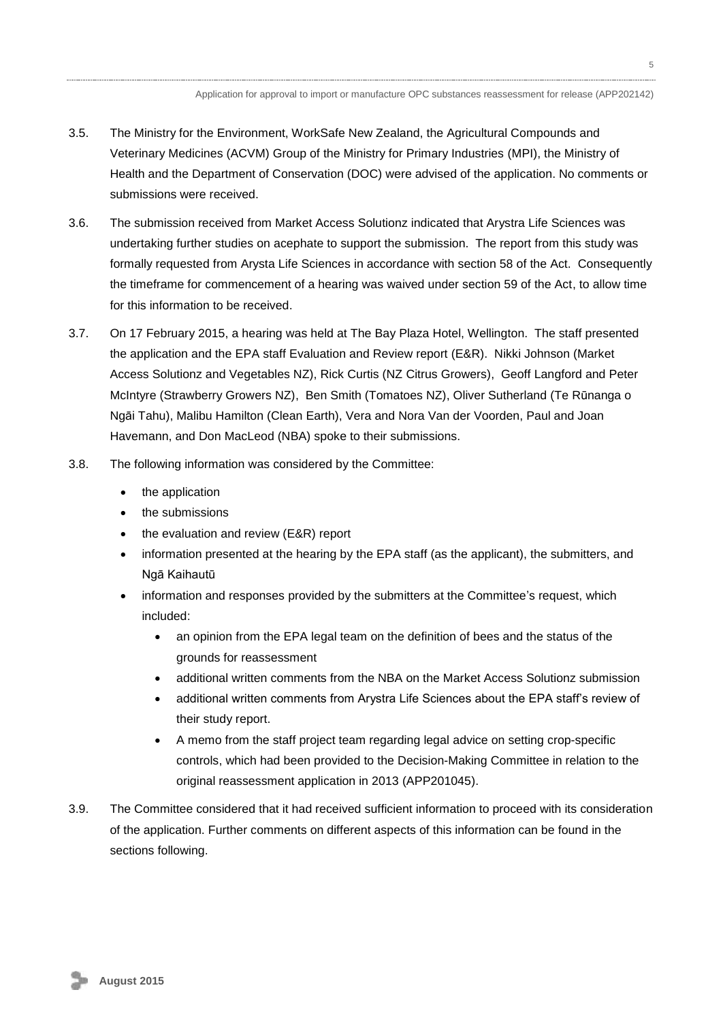- 3.5. The Ministry for the Environment, WorkSafe New Zealand, the Agricultural Compounds and Veterinary Medicines (ACVM) Group of the Ministry for Primary Industries (MPI), the Ministry of Health and the Department of Conservation (DOC) were advised of the application. No comments or submissions were received.
- 3.6. The submission received from Market Access Solutionz indicated that Arystra Life Sciences was undertaking further studies on acephate to support the submission. The report from this study was formally requested from Arysta Life Sciences in accordance with section 58 of the Act. Consequently the timeframe for commencement of a hearing was waived under section 59 of the Act, to allow time for this information to be received.
- 3.7. On 17 February 2015, a hearing was held at The Bay Plaza Hotel, Wellington. The staff presented the application and the EPA staff Evaluation and Review report (E&R). Nikki Johnson (Market Access Solutionz and Vegetables NZ), Rick Curtis (NZ Citrus Growers), Geoff Langford and Peter McIntyre (Strawberry Growers NZ), Ben Smith (Tomatoes NZ), Oliver Sutherland (Te Rūnanga o Ngāi Tahu), Malibu Hamilton (Clean Earth), Vera and Nora Van der Voorden, Paul and Joan Havemann, and Don MacLeod (NBA) spoke to their submissions.
- 3.8. The following information was considered by the Committee:
	- the application
	- the submissions
	- the evaluation and review (E&R) report
	- information presented at the hearing by the EPA staff (as the applicant), the submitters, and Ngā Kaihautū
	- information and responses provided by the submitters at the Committee's request, which included:
		- an opinion from the EPA legal team on the definition of bees and the status of the grounds for reassessment
		- additional written comments from the NBA on the Market Access Solutionz submission
		- additional written comments from Arystra Life Sciences about the EPA staff's review of their study report.
		- A memo from the staff project team regarding legal advice on setting crop-specific controls, which had been provided to the Decision-Making Committee in relation to the original reassessment application in 2013 (APP201045).
- <span id="page-4-0"></span>3.9. The Committee considered that it had received sufficient information to proceed with its consideration of the application. Further comments on different aspects of this information can be found in the sections following.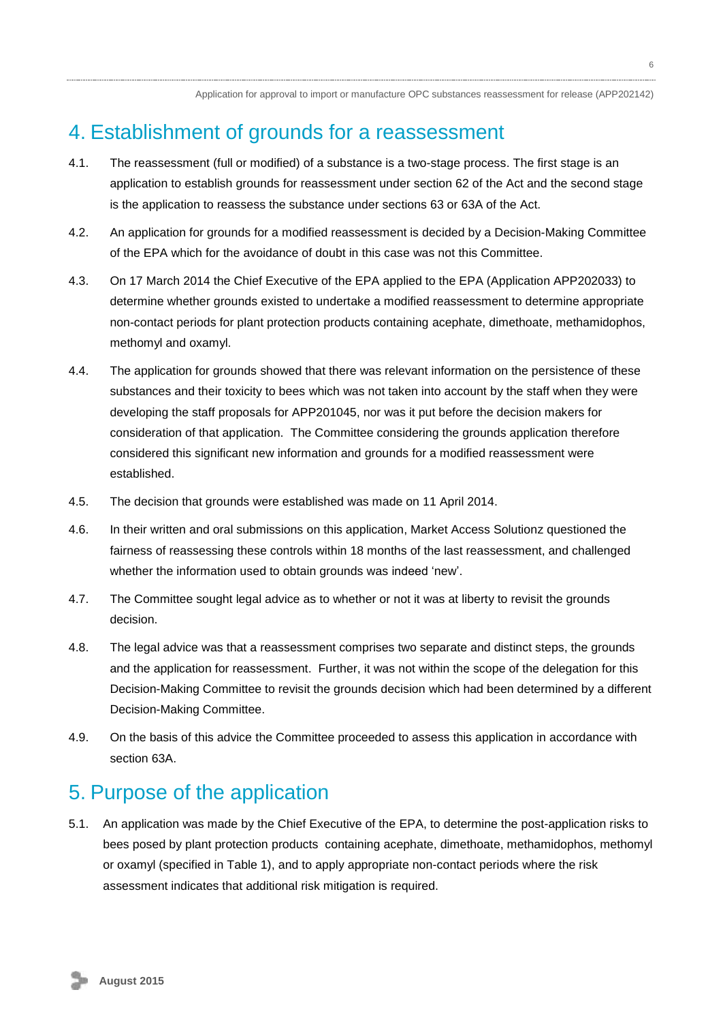# 4. Establishment of grounds for a reassessment

- 4.1. The reassessment (full or modified) of a substance is a two-stage process. The first stage is an application to establish grounds for reassessment under section 62 of the Act and the second stage is the application to reassess the substance under sections 63 or 63A of the Act.
- 4.2. An application for grounds for a modified reassessment is decided by a Decision-Making Committee of the EPA which for the avoidance of doubt in this case was not this Committee.
- 4.3. On 17 March 2014 the Chief Executive of the EPA applied to the EPA (Application APP202033) to determine whether grounds existed to undertake a modified reassessment to determine appropriate non-contact periods for plant protection products containing acephate, dimethoate, methamidophos, methomyl and oxamyl.
- 4.4. The application for grounds showed that there was relevant information on the persistence of these substances and their toxicity to bees which was not taken into account by the staff when they were developing the staff proposals for APP201045, nor was it put before the decision makers for consideration of that application. The Committee considering the grounds application therefore considered this significant new information and grounds for a modified reassessment were established.
- 4.5. The decision that grounds were established was made on 11 April 2014.
- 4.6. In their written and oral submissions on this application, Market Access Solutionz questioned the fairness of reassessing these controls within 18 months of the last reassessment, and challenged whether the information used to obtain grounds was indeed 'new'.
- 4.7. The Committee sought legal advice as to whether or not it was at liberty to revisit the grounds decision.
- 4.8. The legal advice was that a reassessment comprises two separate and distinct steps, the grounds and the application for reassessment. Further, it was not within the scope of the delegation for this Decision-Making Committee to revisit the grounds decision which had been determined by a different Decision-Making Committee.
- 4.9. On the basis of this advice the Committee proceeded to assess this application in accordance with section 63A.

# <span id="page-5-0"></span>5. Purpose of the application

5.1. An application was made by the Chief Executive of the EPA, to determine the post-application risks to bees posed by plant protection products containing acephate, dimethoate, methamidophos, methomyl or oxamyl (specified in Table 1), and to apply appropriate non-contact periods where the risk assessment indicates that additional risk mitigation is required.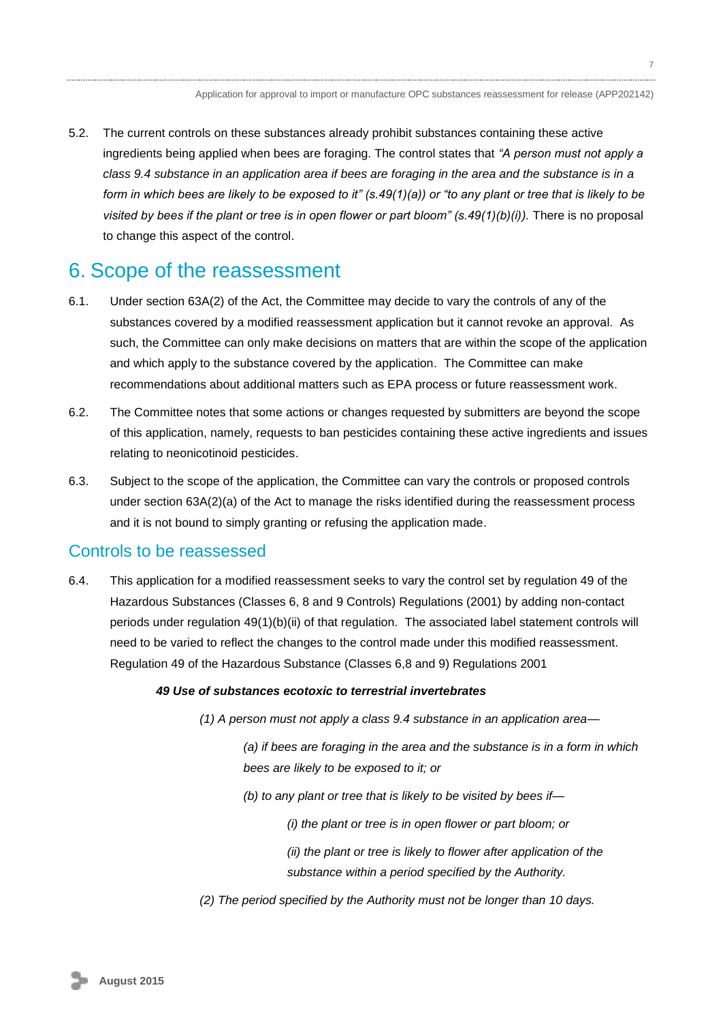5.2. The current controls on these substances already prohibit substances containing these active ingredients being applied when bees are foraging. The control states that *"A person must not apply a class 9.4 substance in an application area if bees are foraging in the area and the substance is in a form in which bees are likely to be exposed to it" (s.49(1)(a)) or "to any plant or tree that is likely to be visited by bees if the plant or tree is in open flower or part bloom" (s.49(1)(b)(i)).* There is no proposal to change this aspect of the control.

# <span id="page-6-0"></span>6. Scope of the reassessment

- 6.1. Under section 63A(2) of the Act, the Committee may decide to vary the controls of any of the substances covered by a modified reassessment application but it cannot revoke an approval. As such, the Committee can only make decisions on matters that are within the scope of the application and which apply to the substance covered by the application. The Committee can make recommendations about additional matters such as EPA process or future reassessment work.
- 6.2. The Committee notes that some actions or changes requested by submitters are beyond the scope of this application, namely, requests to ban pesticides containing these active ingredients and issues relating to neonicotinoid pesticides.
- 6.3. Subject to the scope of the application, the Committee can vary the controls or proposed controls under section 63A(2)(a) of the Act to manage the risks identified during the reassessment process and it is not bound to simply granting or refusing the application made.

## Controls to be reassessed

6.4. This application for a modified reassessment seeks to vary the control set by regulation 49 of the Hazardous Substances (Classes 6, 8 and 9 Controls) Regulations (2001) by adding non-contact periods under regulation 49(1)(b)(ii) of that regulation. The associated label statement controls will need to be varied to reflect the changes to the control made under this modified reassessment. Regulation 49 of the Hazardous Substance (Classes 6,8 and 9) Regulations 2001

#### *49 Use of substances ecotoxic to terrestrial invertebrates*

*(1) A person must not apply a class 9.4 substance in an application area—*

<span id="page-6-1"></span>*(a) if bees are foraging in the area and the substance is in a form in which bees are likely to be exposed to it; or*

- *(b) to any plant or tree that is likely to be visited by bees if—*
	- *(i) the plant or tree is in open flower or part bloom; or*
	- *(ii) the plant or tree is likely to flower after application of the substance within a period specified by the Authority.*
- *(2) The period specified by the Authority must not be longer than 10 days.*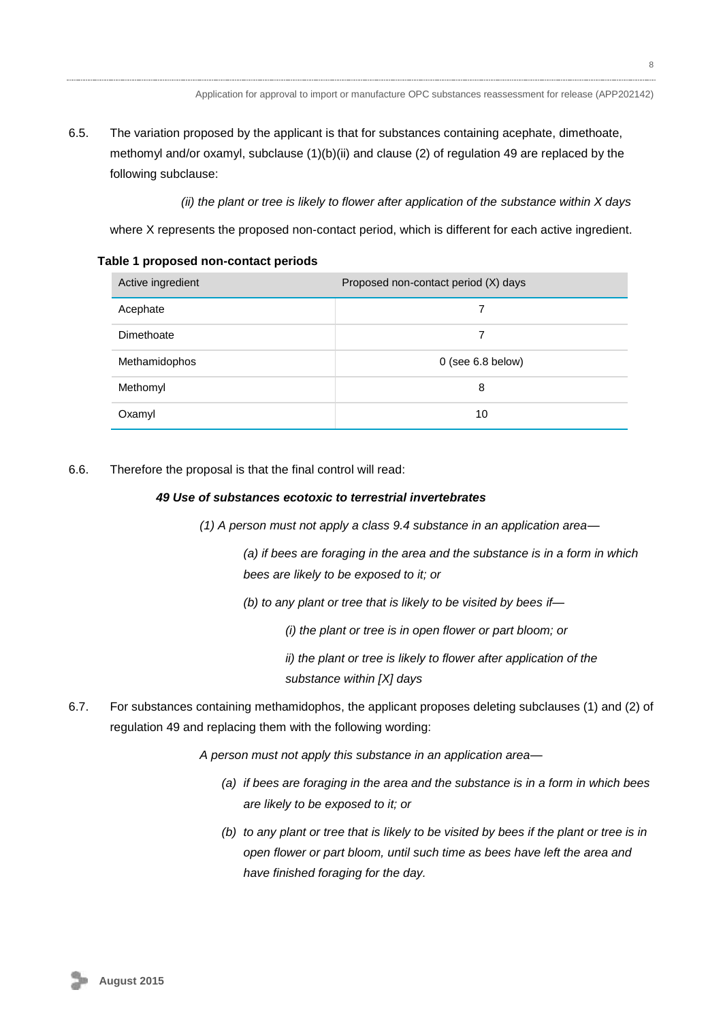6.5. The variation proposed by the applicant is that for substances containing acephate, dimethoate, methomyl and/or oxamyl, subclause (1)(b)(ii) and clause (2) of regulation 49 are replaced by the following subclause:

*(ii) the plant or tree is likely to flower after application of the substance within X days*

where X represents the proposed non-contact period, which is different for each active ingredient.

**Table 1 proposed non-contact periods**

| Active ingredient | Proposed non-contact period (X) days |
|-------------------|--------------------------------------|
| Acephate          |                                      |
| Dimethoate        | 7                                    |
| Methamidophos     | $0$ (see 6.8 below)                  |
| Methomyl          | 8                                    |
| Oxamyl            | 10                                   |

6.6. Therefore the proposal is that the final control will read:

### *49 Use of substances ecotoxic to terrestrial invertebrates*

*(1) A person must not apply a class 9.4 substance in an application area—*

*(a) if bees are foraging in the area and the substance is in a form in which bees are likely to be exposed to it; or*

*(b) to any plant or tree that is likely to be visited by bees if—*

*(i) the plant or tree is in open flower or part bloom; or*

*ii) the plant or tree is likely to flower after application of the substance within [X] days*

6.7. For substances containing methamidophos, the applicant proposes deleting subclauses (1) and (2) of regulation 49 and replacing them with the following wording:

*A person must not apply this substance in an application area—*

- *(a) if bees are foraging in the area and the substance is in a form in which bees are likely to be exposed to it; or*
- <span id="page-7-0"></span>*(b) to any plant or tree that is likely to be visited by bees if the plant or tree is in open flower or part bloom, until such time as bees have left the area and have finished foraging for the day.*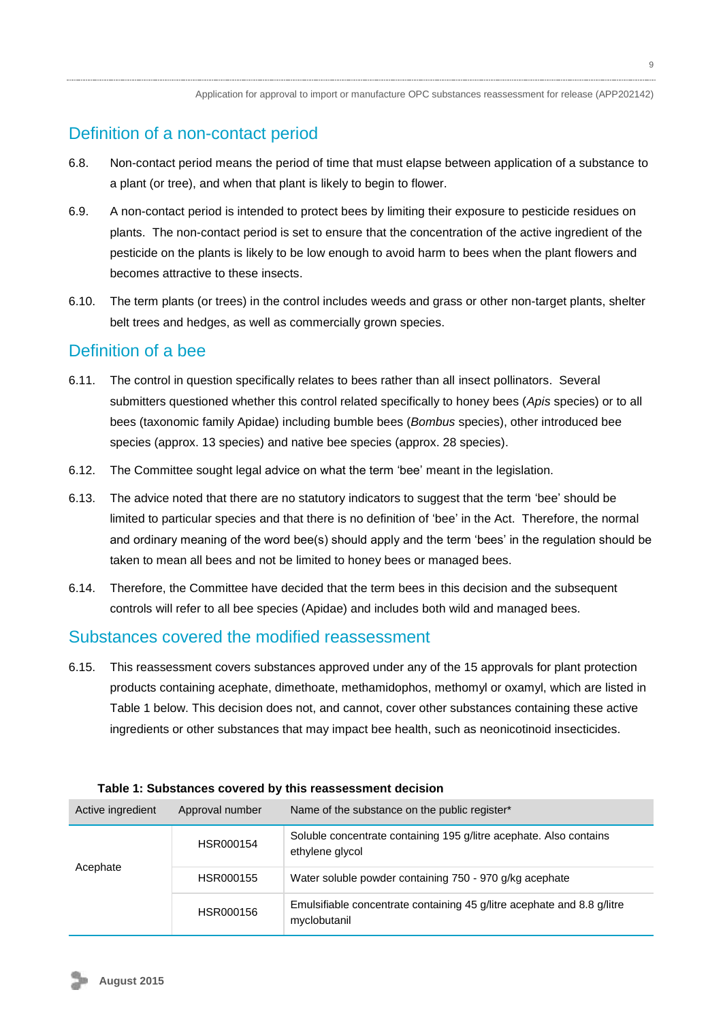# Definition of a non-contact period

- 6.8. Non-contact period means the period of time that must elapse between application of a substance to a plant (or tree), and when that plant is likely to begin to flower.
- 6.9. A non-contact period is intended to protect bees by limiting their exposure to pesticide residues on plants. The non-contact period is set to ensure that the concentration of the active ingredient of the pesticide on the plants is likely to be low enough to avoid harm to bees when the plant flowers and becomes attractive to these insects.
- 6.10. The term plants (or trees) in the control includes weeds and grass or other non-target plants, shelter belt trees and hedges, as well as commercially grown species.

## <span id="page-8-0"></span>Definition of a bee

- 6.11. The control in question specifically relates to bees rather than all insect pollinators. Several submitters questioned whether this control related specifically to honey bees (*Apis* species) or to all bees (taxonomic family Apidae) including bumble bees (*Bombus* species), other introduced bee species (approx. 13 species) and native bee species (approx. 28 species).
- 6.12. The Committee sought legal advice on what the term 'bee' meant in the legislation.
- 6.13. The advice noted that there are no statutory indicators to suggest that the term 'bee' should be limited to particular species and that there is no definition of 'bee' in the Act. Therefore, the normal and ordinary meaning of the word bee(s) should apply and the term 'bees' in the regulation should be taken to mean all bees and not be limited to honey bees or managed bees.
- 6.14. Therefore, the Committee have decided that the term bees in this decision and the subsequent controls will refer to all bee species (Apidae) and includes both wild and managed bees.

## <span id="page-8-1"></span>Substances covered the modified reassessment

6.15. This reassessment covers substances approved under any of the 15 approvals for plant protection products containing acephate, dimethoate, methamidophos, methomyl or oxamyl, which are listed in Table 1 below. This decision does not, and cannot, cover other substances containing these active ingredients or other substances that may impact bee health, such as neonicotinoid insecticides.

| Active ingredient | Approval number | Name of the substance on the public register*                                           |  |
|-------------------|-----------------|-----------------------------------------------------------------------------------------|--|
| Acephate          | HSR000154       | Soluble concentrate containing 195 g/litre acephate. Also contains<br>ethylene glycol   |  |
|                   | HSR000155       | Water soluble powder containing 750 - 970 g/kg acephate                                 |  |
|                   | HSR000156       | Emulsifiable concentrate containing 45 g/litre acephate and 8.8 g/litre<br>myclobutanil |  |

#### **Table 1: Substances covered by this reassessment decision**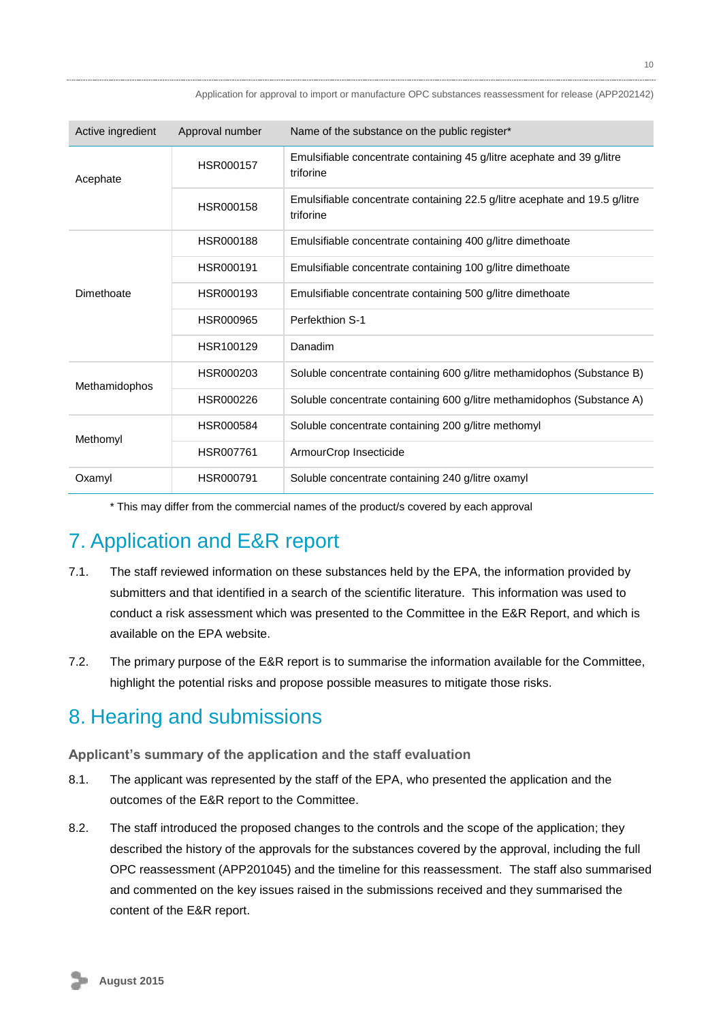| Active ingredient | Approval number  | Name of the substance on the public register*                                           |
|-------------------|------------------|-----------------------------------------------------------------------------------------|
| Acephate          | <b>HSR000157</b> | Emulsifiable concentrate containing 45 g/litre acephate and 39 g/litre<br>triforine     |
|                   | <b>HSR000158</b> | Emulsifiable concentrate containing 22.5 g/litre acephate and 19.5 g/litre<br>triforine |
|                   | <b>HSR000188</b> | Emulsifiable concentrate containing 400 g/litre dimethoate                              |
|                   | HSR000191        | Emulsifiable concentrate containing 100 g/litre dimethoate                              |
| Dimethoate        | HSR000193        | Emulsifiable concentrate containing 500 g/litre dimethoate                              |
|                   | HSR000965        | Perfekthion S-1                                                                         |
|                   | HSR100129        | Danadim                                                                                 |
| Methamidophos     | HSR000203        | Soluble concentrate containing 600 g/litre methamidophos (Substance B)                  |
|                   | HSR000226        | Soluble concentrate containing 600 g/litre methamidophos (Substance A)                  |
| Methomyl          | <b>HSR000584</b> | Soluble concentrate containing 200 g/litre methomyl                                     |
|                   | <b>HSR007761</b> | ArmourCrop Insecticide                                                                  |
| Oxamyl            | <b>HSR000791</b> | Soluble concentrate containing 240 g/litre oxamyl                                       |

\* This may differ from the commercial names of the product/s covered by each approval

# <span id="page-9-0"></span>7. Application and E&R report

- 7.1. The staff reviewed information on these substances held by the EPA, the information provided by submitters and that identified in a search of the scientific literature. This information was used to conduct a risk assessment which was presented to the Committee in the E&R Report, and which is available on the EPA website.
- 7.2. The primary purpose of the E&R report is to summarise the information available for the Committee, highlight the potential risks and propose possible measures to mitigate those risks.

# <span id="page-9-1"></span>8. Hearing and submissions

**Applicant's summary of the application and the staff evaluation**

- 8.1. The applicant was represented by the staff of the EPA, who presented the application and the outcomes of the E&R report to the Committee.
- 8.2. The staff introduced the proposed changes to the controls and the scope of the application; they described the history of the approvals for the substances covered by the approval, including the full OPC reassessment (APP201045) and the timeline for this reassessment. The staff also summarised and commented on the key issues raised in the submissions received and they summarised the content of the E&R report.

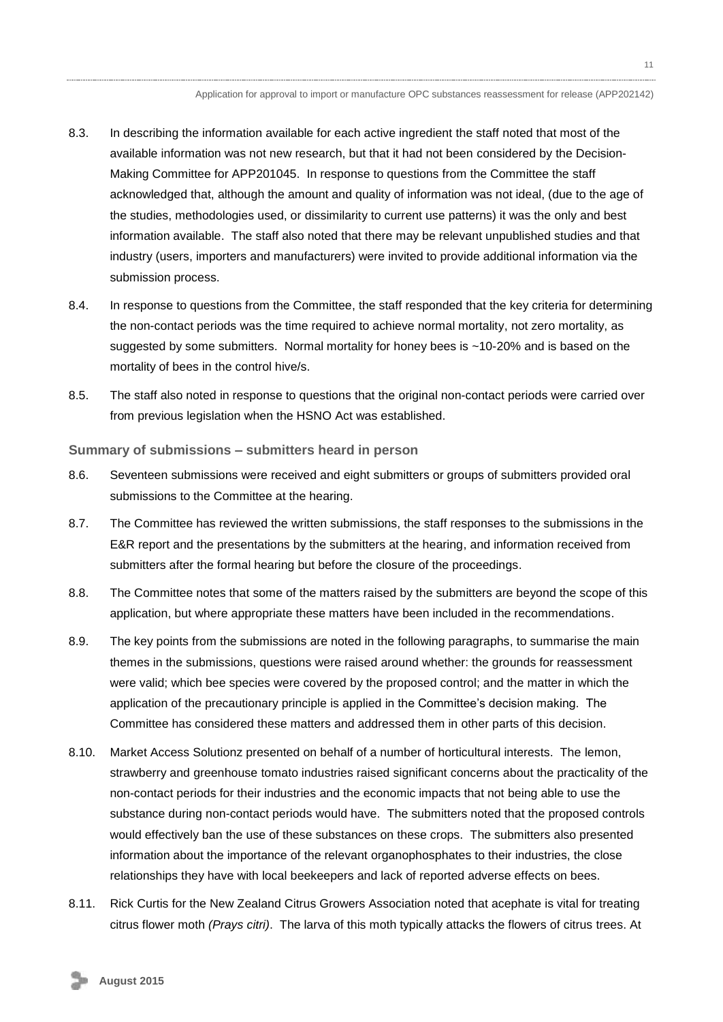- 8.3. In describing the information available for each active ingredient the staff noted that most of the available information was not new research, but that it had not been considered by the Decision-Making Committee for APP201045. In response to questions from the Committee the staff acknowledged that, although the amount and quality of information was not ideal, (due to the age of the studies, methodologies used, or dissimilarity to current use patterns) it was the only and best information available. The staff also noted that there may be relevant unpublished studies and that industry (users, importers and manufacturers) were invited to provide additional information via the submission process.
- 8.4. In response to questions from the Committee, the staff responded that the key criteria for determining the non-contact periods was the time required to achieve normal mortality, not zero mortality, as suggested by some submitters. Normal mortality for honey bees is ~10-20% and is based on the mortality of bees in the control hive/s.
- 8.5. The staff also noted in response to questions that the original non-contact periods were carried over from previous legislation when the HSNO Act was established.

#### **Summary of submissions – submitters heard in person**

- 8.6. Seventeen submissions were received and eight submitters or groups of submitters provided oral submissions to the Committee at the hearing.
- 8.7. The Committee has reviewed the written submissions, the staff responses to the submissions in the E&R report and the presentations by the submitters at the hearing, and information received from submitters after the formal hearing but before the closure of the proceedings.
- 8.8. The Committee notes that some of the matters raised by the submitters are beyond the scope of this application, but where appropriate these matters have been included in the recommendations.
- 8.9. The key points from the submissions are noted in the following paragraphs, to summarise the main themes in the submissions, questions were raised around whether: the grounds for reassessment were valid; which bee species were covered by the proposed control; and the matter in which the application of the precautionary principle is applied in the Committee's decision making. The Committee has considered these matters and addressed them in other parts of this decision.
- 8.10. Market Access Solutionz presented on behalf of a number of horticultural interests. The lemon, strawberry and greenhouse tomato industries raised significant concerns about the practicality of the non-contact periods for their industries and the economic impacts that not being able to use the substance during non-contact periods would have. The submitters noted that the proposed controls would effectively ban the use of these substances on these crops. The submitters also presented information about the importance of the relevant organophosphates to their industries, the close relationships they have with local beekeepers and lack of reported adverse effects on bees.
- 8.11. Rick Curtis for the New Zealand Citrus Growers Association noted that acephate is vital for treating citrus flower moth *(Prays citri)*. The larva of this moth typically attacks the flowers of citrus trees. At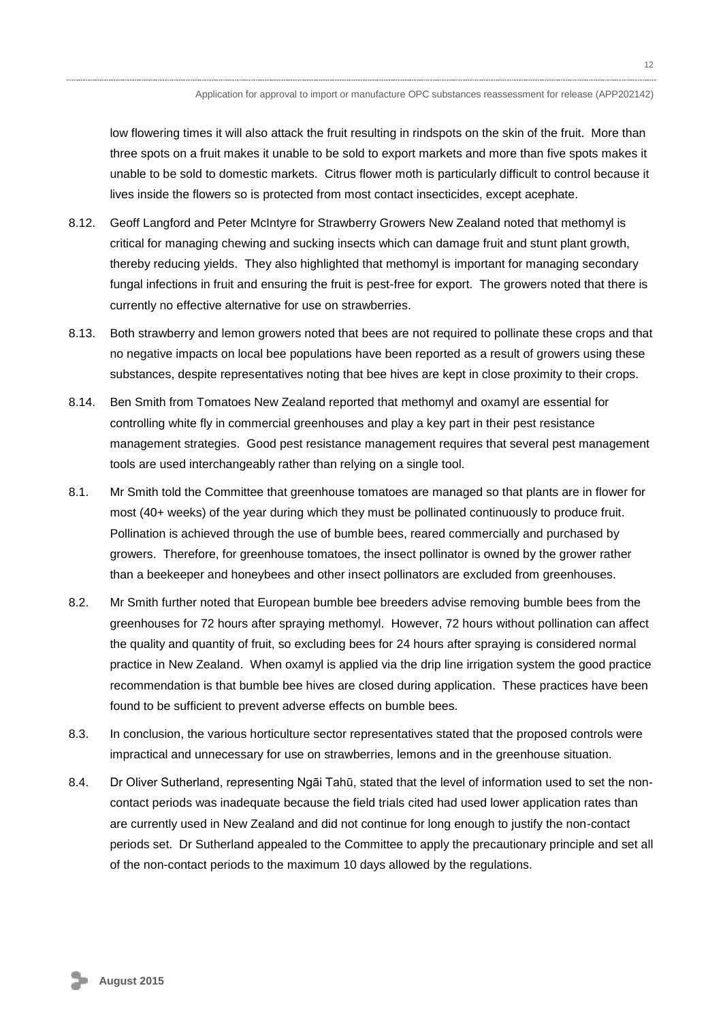low flowering times it will also attack the fruit resulting in rindspots on the skin of the fruit. More than three spots on a fruit makes it unable to be sold to export markets and more than five spots makes it unable to be sold to domestic markets. Citrus flower moth is particularly difficult to control because it lives inside the flowers so is protected from most contact insecticides, except acephate.

- 8.12. Geoff Langford and Peter McIntyre for Strawberry Growers New Zealand noted that methomyl is critical for managing chewing and sucking insects which can damage fruit and stunt plant growth, thereby reducing yields. They also highlighted that methomyl is important for managing secondary fungal infections in fruit and ensuring the fruit is pest-free for export. The growers noted that there is currently no effective alternative for use on strawberries.
- 8.13. Both strawberry and lemon growers noted that bees are not required to pollinate these crops and that no negative impacts on local bee populations have been reported as a result of growers using these substances, despite representatives noting that bee hives are kept in close proximity to their crops.
- 8.14. Ben Smith from Tomatoes New Zealand reported that methomyl and oxamyl are essential for controlling white fly in commercial greenhouses and play a key part in their pest resistance management strategies. Good pest resistance management requires that several pest management tools are used interchangeably rather than relying on a single tool.
- 8.1. Mr Smith told the Committee that greenhouse tomatoes are managed so that plants are in flower for most (40+ weeks) of the year during which they must be pollinated continuously to produce fruit. Pollination is achieved through the use of bumble bees, reared commercially and purchased by growers. Therefore, for greenhouse tomatoes, the insect pollinator is owned by the grower rather than a beekeeper and honeybees and other insect pollinators are excluded from greenhouses.
- 8.2. Mr Smith further noted that European bumble bee breeders advise removing bumble bees from the greenhouses for 72 hours after spraying methomyl. However, 72 hours without pollination can affect the quality and quantity of fruit, so excluding bees for 24 hours after spraying is considered normal practice in New Zealand. When oxamyl is applied via the drip line irrigation system the good practice recommendation is that bumble bee hives are closed during application. These practices have been found to be sufficient to prevent adverse effects on bumble bees.
- 8.3. In conclusion, the various horticulture sector representatives stated that the proposed controls were impractical and unnecessary for use on strawberries, lemons and in the greenhouse situation.
- 8.4. Dr Oliver Sutherland, representing Ngāi Tahū, stated that the level of information used to set the noncontact periods was inadequate because the field trials cited had used lower application rates than are currently used in New Zealand and did not continue for long enough to justify the non-contact periods set. Dr Sutherland appealed to the Committee to apply the precautionary principle and set all of the non-contact periods to the maximum 10 days allowed by the regulations.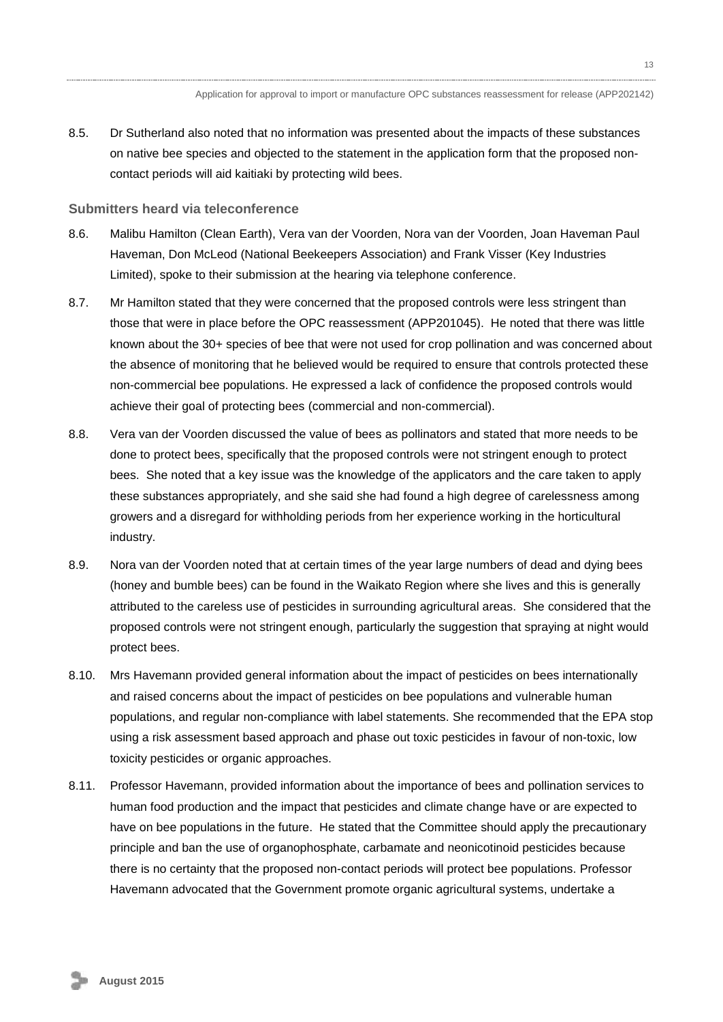8.5. Dr Sutherland also noted that no information was presented about the impacts of these substances on native bee species and objected to the statement in the application form that the proposed noncontact periods will aid kaitiaki by protecting wild bees.

#### **Submitters heard via teleconference**

- 8.6. Malibu Hamilton (Clean Earth), Vera van der Voorden, Nora van der Voorden, Joan Haveman Paul Haveman, Don McLeod (National Beekeepers Association) and Frank Visser (Key Industries Limited), spoke to their submission at the hearing via telephone conference.
- 8.7. Mr Hamilton stated that they were concerned that the proposed controls were less stringent than those that were in place before the OPC reassessment (APP201045). He noted that there was little known about the 30+ species of bee that were not used for crop pollination and was concerned about the absence of monitoring that he believed would be required to ensure that controls protected these non-commercial bee populations. He expressed a lack of confidence the proposed controls would achieve their goal of protecting bees (commercial and non-commercial).
- 8.8. Vera van der Voorden discussed the value of bees as pollinators and stated that more needs to be done to protect bees, specifically that the proposed controls were not stringent enough to protect bees. She noted that a key issue was the knowledge of the applicators and the care taken to apply these substances appropriately, and she said she had found a high degree of carelessness among growers and a disregard for withholding periods from her experience working in the horticultural industry.
- 8.9. Nora van der Voorden noted that at certain times of the year large numbers of dead and dying bees (honey and bumble bees) can be found in the Waikato Region where she lives and this is generally attributed to the careless use of pesticides in surrounding agricultural areas. She considered that the proposed controls were not stringent enough, particularly the suggestion that spraying at night would protect bees.
- 8.10. Mrs Havemann provided general information about the impact of pesticides on bees internationally and raised concerns about the impact of pesticides on bee populations and vulnerable human populations, and regular non-compliance with label statements. She recommended that the EPA stop using a risk assessment based approach and phase out toxic pesticides in favour of non-toxic, low toxicity pesticides or organic approaches.
- 8.11. Professor Havemann, provided information about the importance of bees and pollination services to human food production and the impact that pesticides and climate change have or are expected to have on bee populations in the future. He stated that the Committee should apply the precautionary principle and ban the use of organophosphate, carbamate and neonicotinoid pesticides because there is no certainty that the proposed non-contact periods will protect bee populations. Professor Havemann advocated that the Government promote organic agricultural systems, undertake a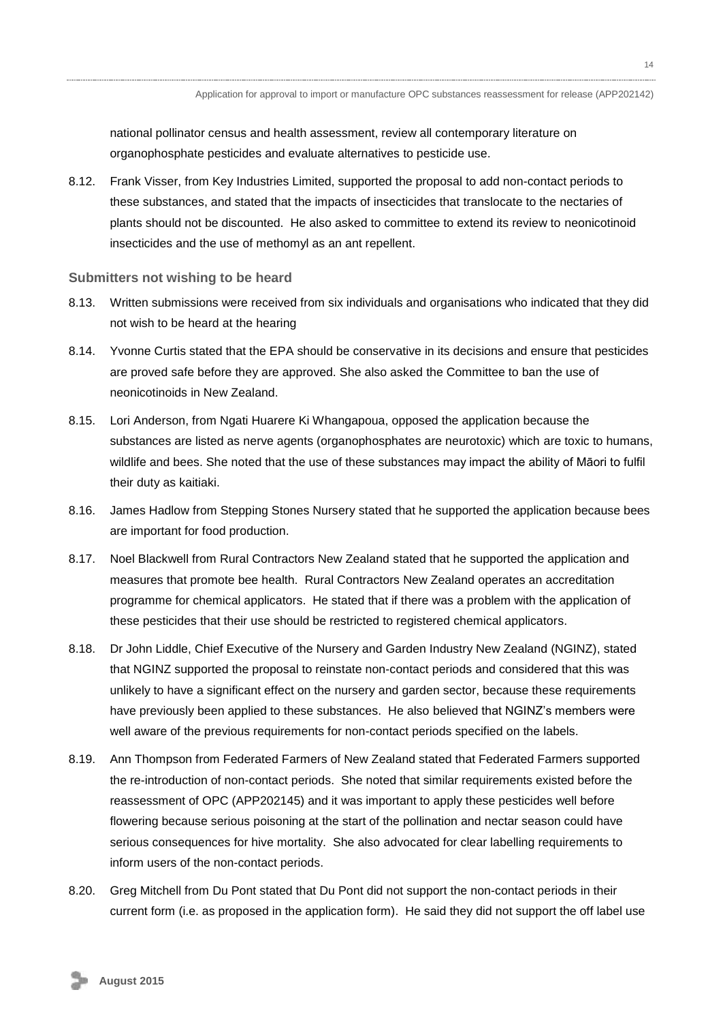national pollinator census and health assessment, review all contemporary literature on organophosphate pesticides and evaluate alternatives to pesticide use.

8.12. Frank Visser, from Key Industries Limited, supported the proposal to add non-contact periods to these substances, and stated that the impacts of insecticides that translocate to the nectaries of plants should not be discounted. He also asked to committee to extend its review to neonicotinoid insecticides and the use of methomyl as an ant repellent.

#### **Submitters not wishing to be heard**

- 8.13. Written submissions were received from six individuals and organisations who indicated that they did not wish to be heard at the hearing
- 8.14. Yvonne Curtis stated that the EPA should be conservative in its decisions and ensure that pesticides are proved safe before they are approved. She also asked the Committee to ban the use of neonicotinoids in New Zealand.
- 8.15. Lori Anderson, from Ngati Huarere Ki Whangapoua, opposed the application because the substances are listed as nerve agents (organophosphates are neurotoxic) which are toxic to humans, wildlife and bees. She noted that the use of these substances may impact the ability of Māori to fulfil their duty as kaitiaki.
- 8.16. James Hadlow from Stepping Stones Nursery stated that he supported the application because bees are important for food production.
- 8.17. Noel Blackwell from Rural Contractors New Zealand stated that he supported the application and measures that promote bee health. Rural Contractors New Zealand operates an accreditation programme for chemical applicators. He stated that if there was a problem with the application of these pesticides that their use should be restricted to registered chemical applicators.
- 8.18. Dr John Liddle, Chief Executive of the Nursery and Garden Industry New Zealand (NGINZ), stated that NGINZ supported the proposal to reinstate non-contact periods and considered that this was unlikely to have a significant effect on the nursery and garden sector, because these requirements have previously been applied to these substances. He also believed that NGINZ's members were well aware of the previous requirements for non-contact periods specified on the labels.
- 8.19. Ann Thompson from Federated Farmers of New Zealand stated that Federated Farmers supported the re-introduction of non-contact periods. She noted that similar requirements existed before the reassessment of OPC (APP202145) and it was important to apply these pesticides well before flowering because serious poisoning at the start of the pollination and nectar season could have serious consequences for hive mortality. She also advocated for clear labelling requirements to inform users of the non-contact periods.
- 8.20. Greg Mitchell from Du Pont stated that Du Pont did not support the non-contact periods in their current form (i.e. as proposed in the application form). He said they did not support the off label use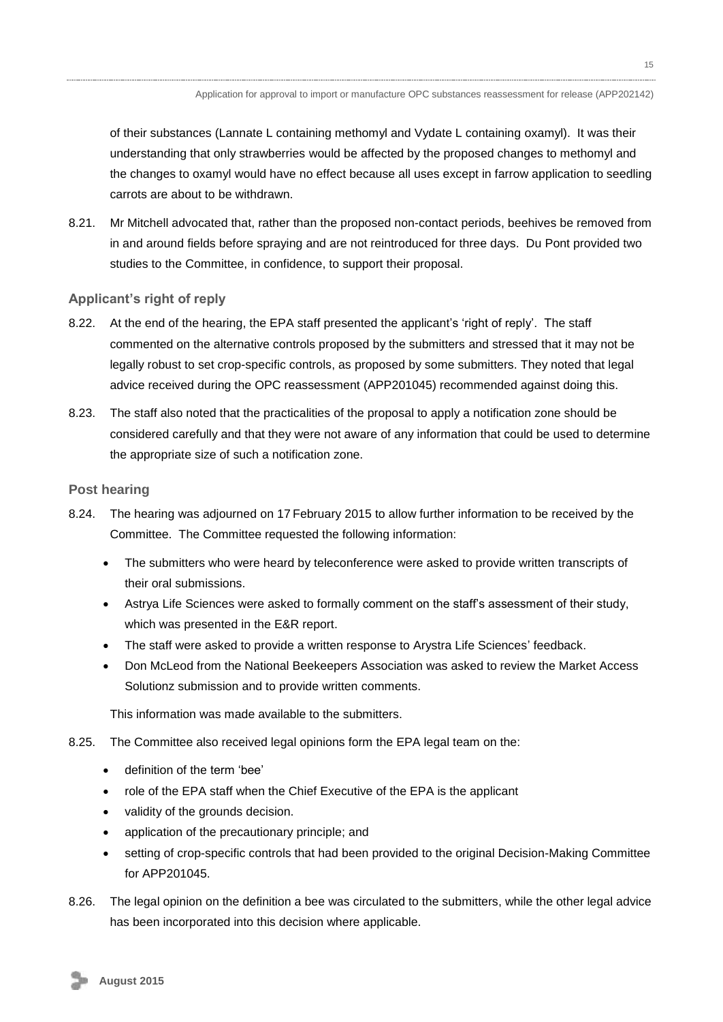of their substances (Lannate L containing methomyl and Vydate L containing oxamyl). It was their understanding that only strawberries would be affected by the proposed changes to methomyl and the changes to oxamyl would have no effect because all uses except in farrow application to seedling carrots are about to be withdrawn.

8.21. Mr Mitchell advocated that, rather than the proposed non-contact periods, beehives be removed from in and around fields before spraying and are not reintroduced for three days. Du Pont provided two studies to the Committee, in confidence, to support their proposal.

### **Applicant's right of reply**

- 8.22. At the end of the hearing, the EPA staff presented the applicant's 'right of reply'. The staff commented on the alternative controls proposed by the submitters and stressed that it may not be legally robust to set crop-specific controls, as proposed by some submitters. They noted that legal advice received during the OPC reassessment (APP201045) recommended against doing this.
- 8.23. The staff also noted that the practicalities of the proposal to apply a notification zone should be considered carefully and that they were not aware of any information that could be used to determine the appropriate size of such a notification zone.

### **Post hearing**

- 8.24. The hearing was adjourned on 17 February 2015 to allow further information to be received by the Committee. The Committee requested the following information:
	- The submitters who were heard by teleconference were asked to provide written transcripts of their oral submissions.
	- Astrya Life Sciences were asked to formally comment on the staff's assessment of their study, which was presented in the E&R report.
	- The staff were asked to provide a written response to Arystra Life Sciences' feedback.
	- Don McLeod from the National Beekeepers Association was asked to review the Market Access Solutionz submission and to provide written comments.

This information was made available to the submitters.

- 8.25. The Committee also received legal opinions form the EPA legal team on the:
	- definition of the term 'bee'
	- role of the EPA staff when the Chief Executive of the EPA is the applicant
	- validity of the grounds decision.
	- application of the precautionary principle; and
	- setting of crop-specific controls that had been provided to the original Decision-Making Committee for APP201045.
- 8.26. The legal opinion on the definition a bee was circulated to the submitters, while the other legal advice has been incorporated into this decision where applicable.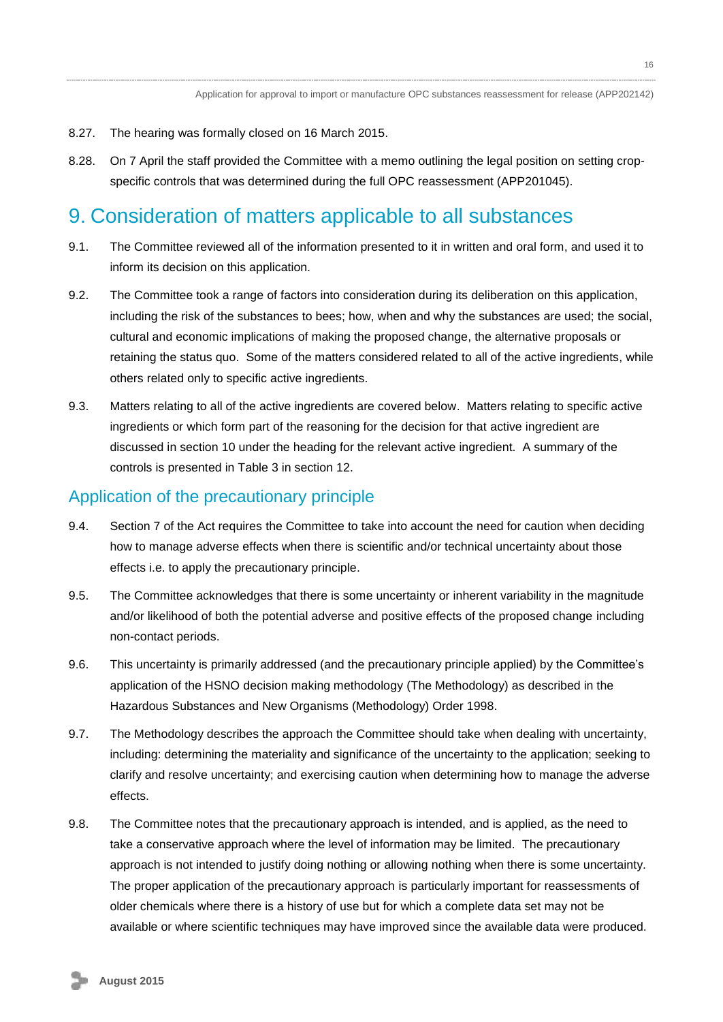- 8.27. The hearing was formally closed on 16 March 2015.
- 8.28. On 7 April the staff provided the Committee with a memo outlining the legal position on setting cropspecific controls that was determined during the full OPC reassessment (APP201045).

## <span id="page-15-0"></span>9. Consideration of matters applicable to all substances

- 9.1. The Committee reviewed all of the information presented to it in written and oral form, and used it to inform its decision on this application.
- 9.2. The Committee took a range of factors into consideration during its deliberation on this application, including the risk of the substances to bees; how, when and why the substances are used; the social, cultural and economic implications of making the proposed change, the alternative proposals or retaining the status quo. Some of the matters considered related to all of the active ingredients, while others related only to specific active ingredients.
- 9.3. Matters relating to all of the active ingredients are covered below. Matters relating to specific active ingredients or which form part of the reasoning for the decision for that active ingredient are discussed in section 10 under the heading for the relevant active ingredient. A summary of the controls is presented in Table 3 in section 12.

### <span id="page-15-1"></span>Application of the precautionary principle

- 9.4. Section 7 of the Act requires the Committee to take into account the need for caution when deciding how to manage adverse effects when there is scientific and/or technical uncertainty about those effects i.e. to apply the precautionary principle.
- 9.5. The Committee acknowledges that there is some uncertainty or inherent variability in the magnitude and/or likelihood of both the potential adverse and positive effects of the proposed change including non-contact periods.
- 9.6. This uncertainty is primarily addressed (and the precautionary principle applied) by the Committee's application of the HSNO decision making methodology (The Methodology) as described in the Hazardous Substances and New Organisms (Methodology) Order 1998.
- 9.7. The Methodology describes the approach the Committee should take when dealing with uncertainty, including: determining the materiality and significance of the uncertainty to the application; seeking to clarify and resolve uncertainty; and exercising caution when determining how to manage the adverse effects.
- 9.8. The Committee notes that the precautionary approach is intended, and is applied, as the need to take a conservative approach where the level of information may be limited. The precautionary approach is not intended to justify doing nothing or allowing nothing when there is some uncertainty. The proper application of the precautionary approach is particularly important for reassessments of older chemicals where there is a history of use but for which a complete data set may not be available or where scientific techniques may have improved since the available data were produced.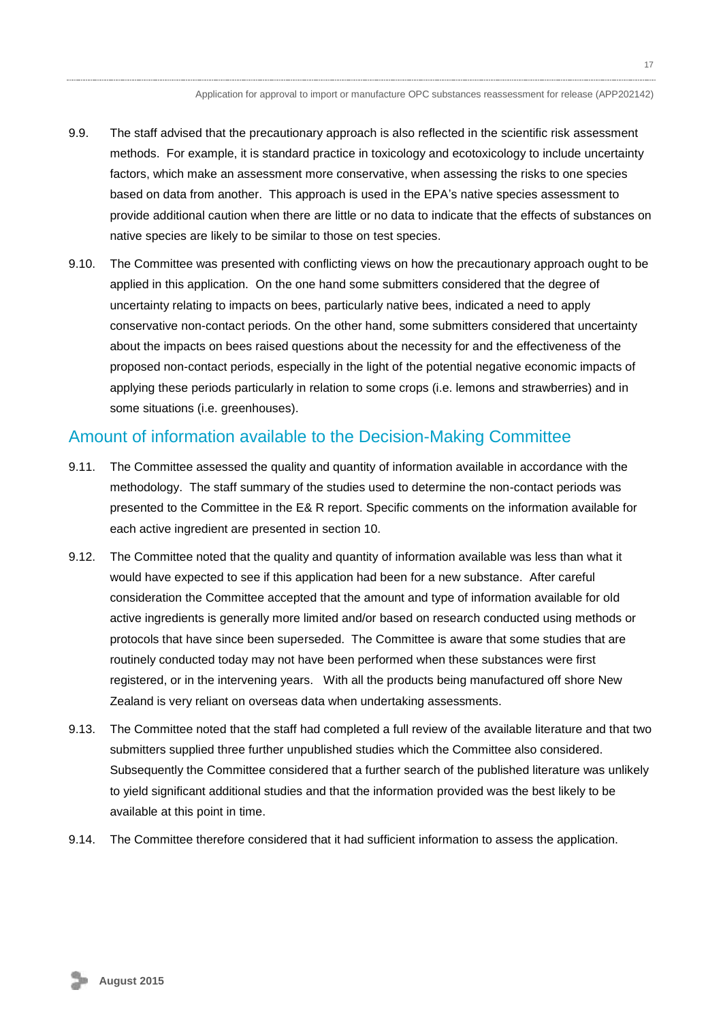17

- 9.9. The staff advised that the precautionary approach is also reflected in the scientific risk assessment methods. For example, it is standard practice in toxicology and ecotoxicology to include uncertainty factors, which make an assessment more conservative, when assessing the risks to one species based on data from another. This approach is used in the EPA's native species assessment to provide additional caution when there are little or no data to indicate that the effects of substances on native species are likely to be similar to those on test species.
- 9.10. The Committee was presented with conflicting views on how the precautionary approach ought to be applied in this application. On the one hand some submitters considered that the degree of uncertainty relating to impacts on bees, particularly native bees, indicated a need to apply conservative non-contact periods. On the other hand, some submitters considered that uncertainty about the impacts on bees raised questions about the necessity for and the effectiveness of the proposed non-contact periods, especially in the light of the potential negative economic impacts of applying these periods particularly in relation to some crops (i.e. lemons and strawberries) and in some situations (i.e. greenhouses).

## <span id="page-16-0"></span>Amount of information available to the Decision-Making Committee

- 9.11. The Committee assessed the quality and quantity of information available in accordance with the methodology. The staff summary of the studies used to determine the non-contact periods was presented to the Committee in the E& R report. Specific comments on the information available for each active ingredient are presented in section 10.
- 9.12. The Committee noted that the quality and quantity of information available was less than what it would have expected to see if this application had been for a new substance. After careful consideration the Committee accepted that the amount and type of information available for old active ingredients is generally more limited and/or based on research conducted using methods or protocols that have since been superseded. The Committee is aware that some studies that are routinely conducted today may not have been performed when these substances were first registered, or in the intervening years. With all the products being manufactured off shore New Zealand is very reliant on overseas data when undertaking assessments.
- 9.13. The Committee noted that the staff had completed a full review of the available literature and that two submitters supplied three further unpublished studies which the Committee also considered. Subsequently the Committee considered that a further search of the published literature was unlikely to yield significant additional studies and that the information provided was the best likely to be available at this point in time.
- <span id="page-16-1"></span>9.14. The Committee therefore considered that it had sufficient information to assess the application.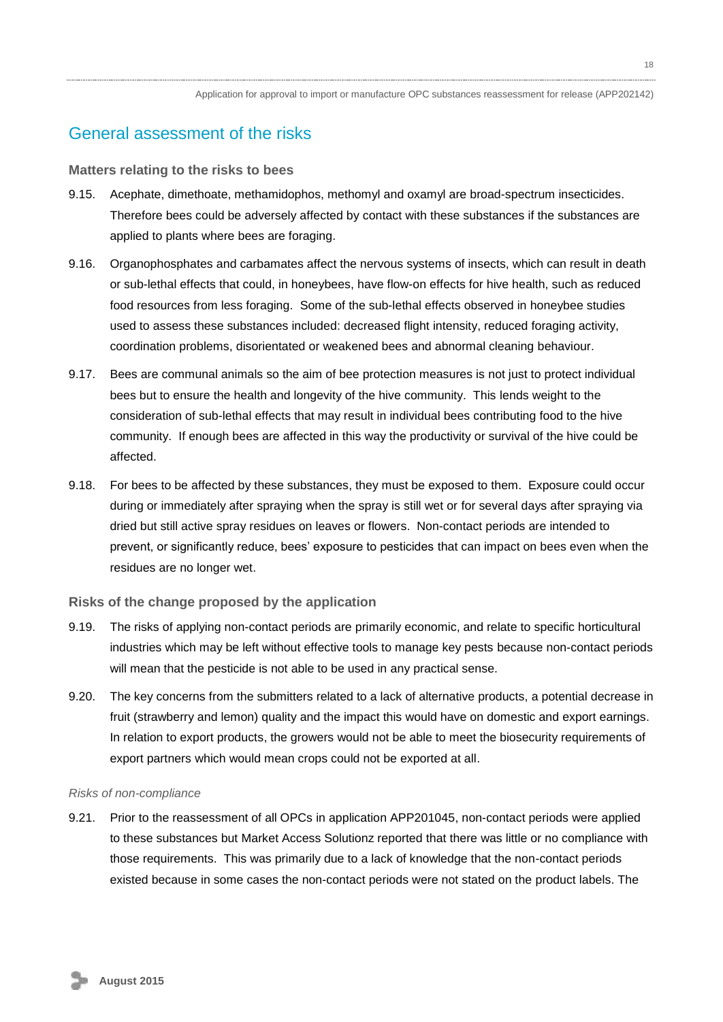## General assessment of the risks

#### **Matters relating to the risks to bees**

- 9.15. Acephate, dimethoate, methamidophos, methomyl and oxamyl are broad-spectrum insecticides. Therefore bees could be adversely affected by contact with these substances if the substances are applied to plants where bees are foraging.
- 9.16. Organophosphates and carbamates affect the nervous systems of insects, which can result in death or sub-lethal effects that could, in honeybees, have flow-on effects for hive health, such as reduced food resources from less foraging. Some of the sub-lethal effects observed in honeybee studies used to assess these substances included: decreased flight intensity, reduced foraging activity, coordination problems, disorientated or weakened bees and abnormal cleaning behaviour.
- 9.17. Bees are communal animals so the aim of bee protection measures is not just to protect individual bees but to ensure the health and longevity of the hive community. This lends weight to the consideration of sub-lethal effects that may result in individual bees contributing food to the hive community. If enough bees are affected in this way the productivity or survival of the hive could be affected.
- 9.18. For bees to be affected by these substances, they must be exposed to them. Exposure could occur during or immediately after spraying when the spray is still wet or for several days after spraying via dried but still active spray residues on leaves or flowers. Non-contact periods are intended to prevent, or significantly reduce, bees' exposure to pesticides that can impact on bees even when the residues are no longer wet.

#### **Risks of the change proposed by the application**

- 9.19. The risks of applying non-contact periods are primarily economic, and relate to specific horticultural industries which may be left without effective tools to manage key pests because non-contact periods will mean that the pesticide is not able to be used in any practical sense.
- 9.20. The key concerns from the submitters related to a lack of alternative products, a potential decrease in fruit (strawberry and lemon) quality and the impact this would have on domestic and export earnings. In relation to export products, the growers would not be able to meet the biosecurity requirements of export partners which would mean crops could not be exported at all.

#### *Risks of non-compliance*

9.21. Prior to the reassessment of all OPCs in application APP201045, non-contact periods were applied to these substances but Market Access Solutionz reported that there was little or no compliance with those requirements. This was primarily due to a lack of knowledge that the non-contact periods existed because in some cases the non-contact periods were not stated on the product labels. The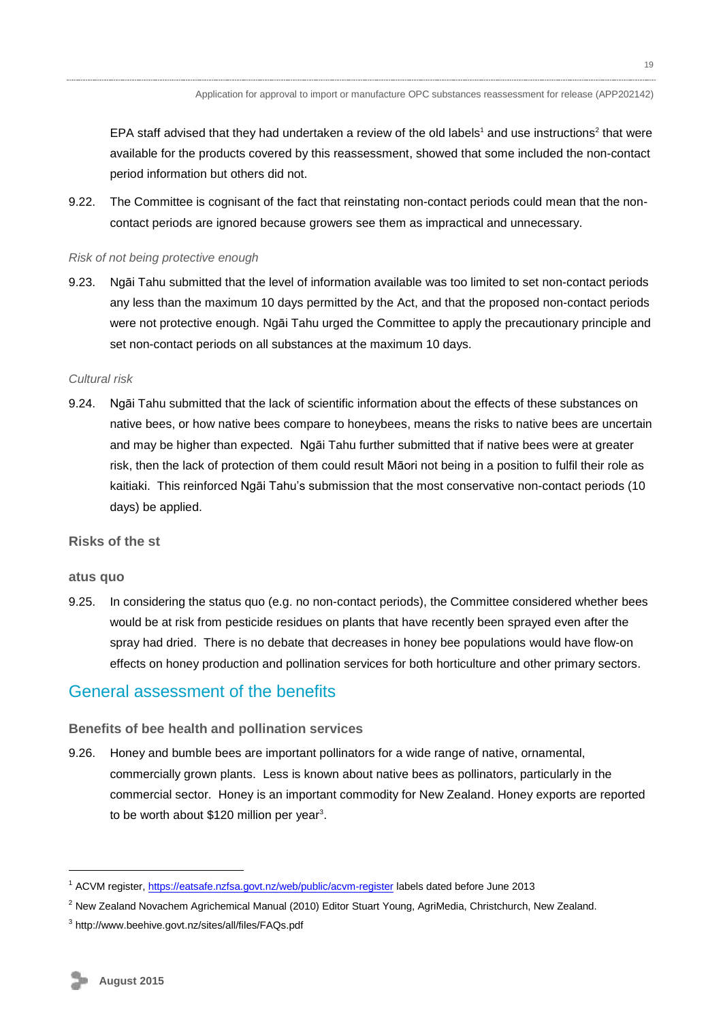EPA staff advised that they had undertaken a review of the old labels<sup>1</sup> and use instructions<sup>2</sup> that were available for the products covered by this reassessment, showed that some included the non-contact period information but others did not.

9.22. The Committee is cognisant of the fact that reinstating non-contact periods could mean that the noncontact periods are ignored because growers see them as impractical and unnecessary.

#### *Risk of not being protective enough*

9.23. Ngāi Tahu submitted that the level of information available was too limited to set non-contact periods any less than the maximum 10 days permitted by the Act, and that the proposed non-contact periods were not protective enough. Ngāi Tahu urged the Committee to apply the precautionary principle and set non-contact periods on all substances at the maximum 10 days.

#### *Cultural risk*

9.24. Ngāi Tahu submitted that the lack of scientific information about the effects of these substances on native bees, or how native bees compare to honeybees, means the risks to native bees are uncertain and may be higher than expected. Ngāi Tahu further submitted that if native bees were at greater risk, then the lack of protection of them could result Māori not being in a position to fulfil their role as kaitiaki. This reinforced Ngāi Tahu's submission that the most conservative non-contact periods (10 days) be applied.

#### **Risks of the st**

#### **atus quo**

9.25. In considering the status quo (e.g. no non-contact periods), the Committee considered whether bees would be at risk from pesticide residues on plants that have recently been sprayed even after the spray had dried. There is no debate that decreases in honey bee populations would have flow-on effects on honey production and pollination services for both horticulture and other primary sectors.

### <span id="page-18-0"></span>General assessment of the benefits

#### **Benefits of bee health and pollination services**

9.26. Honey and bumble bees are important pollinators for a wide range of native, ornamental, commercially grown plants. Less is known about native bees as pollinators, particularly in the commercial sector. Honey is an important commodity for New Zealand. Honey exports are reported to be worth about  $$120$  million per year<sup>3</sup>.

1

<sup>1</sup> ACVM register,<https://eatsafe.nzfsa.govt.nz/web/public/acvm-register> labels dated before June 2013

 $<sup>2</sup>$  New Zealand Novachem Agrichemical Manual (2010) Editor Stuart Young, AgriMedia, Christchurch, New Zealand.</sup>

<sup>3</sup> http://www.beehive.govt.nz/sites/all/files/FAQs.pdf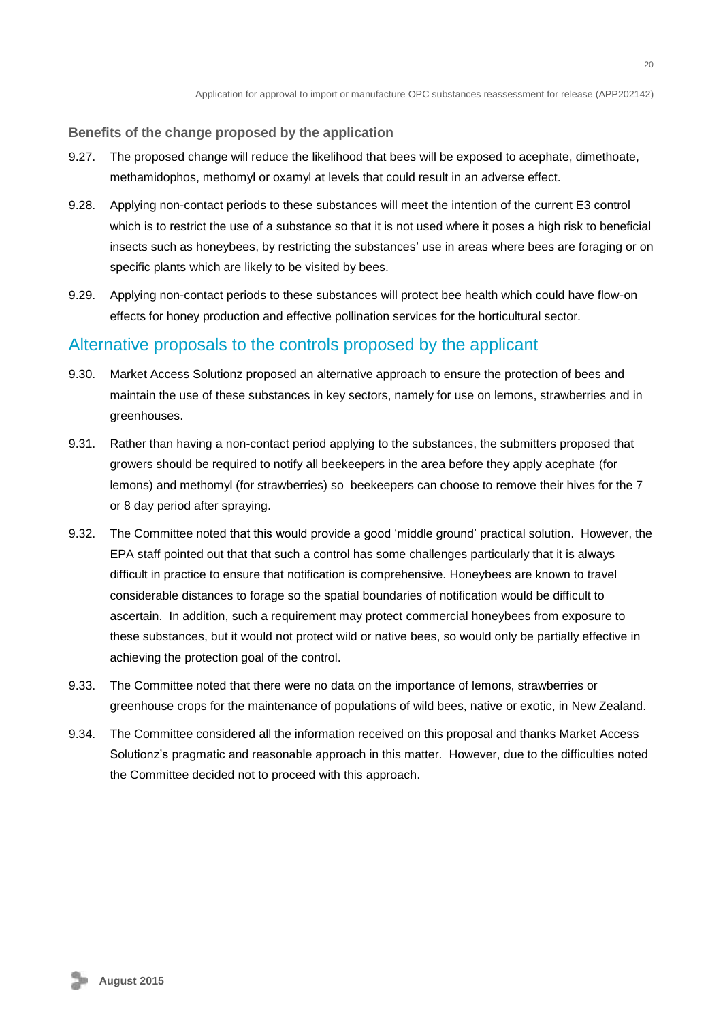#### **Benefits of the change proposed by the application**

- 9.27. The proposed change will reduce the likelihood that bees will be exposed to acephate, dimethoate, methamidophos, methomyl or oxamyl at levels that could result in an adverse effect.
- 9.28. Applying non-contact periods to these substances will meet the intention of the current E3 control which is to restrict the use of a substance so that it is not used where it poses a high risk to beneficial insects such as honeybees, by restricting the substances' use in areas where bees are foraging or on specific plants which are likely to be visited by bees.
- 9.29. Applying non-contact periods to these substances will protect bee health which could have flow-on effects for honey production and effective pollination services for the horticultural sector.

#### <span id="page-19-0"></span>Alternative proposals to the controls proposed by the applicant

- 9.30. Market Access Solutionz proposed an alternative approach to ensure the protection of bees and maintain the use of these substances in key sectors, namely for use on lemons, strawberries and in greenhouses.
- 9.31. Rather than having a non-contact period applying to the substances, the submitters proposed that growers should be required to notify all beekeepers in the area before they apply acephate (for lemons) and methomyl (for strawberries) so beekeepers can choose to remove their hives for the 7 or 8 day period after spraying.
- 9.32. The Committee noted that this would provide a good 'middle ground' practical solution. However, the EPA staff pointed out that that such a control has some challenges particularly that it is always difficult in practice to ensure that notification is comprehensive. Honeybees are known to travel considerable distances to forage so the spatial boundaries of notification would be difficult to ascertain. In addition, such a requirement may protect commercial honeybees from exposure to these substances, but it would not protect wild or native bees, so would only be partially effective in achieving the protection goal of the control.
- 9.33. The Committee noted that there were no data on the importance of lemons, strawberries or greenhouse crops for the maintenance of populations of wild bees, native or exotic, in New Zealand.
- <span id="page-19-1"></span>9.34. The Committee considered all the information received on this proposal and thanks Market Access Solutionz's pragmatic and reasonable approach in this matter. However, due to the difficulties noted the Committee decided not to proceed with this approach.

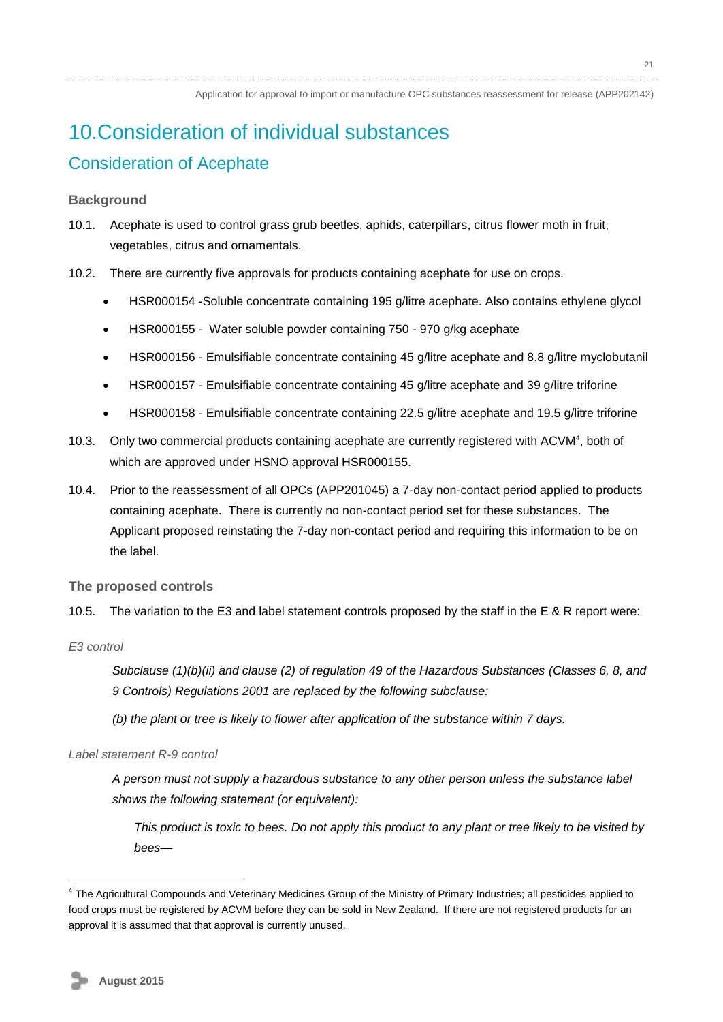# <span id="page-20-0"></span>10.Consideration of individual substances Consideration of Acephate

### **Background**

- 10.1. Acephate is used to control grass grub beetles, aphids, caterpillars, citrus flower moth in fruit, vegetables, citrus and ornamentals.
- 10.2. There are currently five approvals for products containing acephate for use on crops.
	- HSR000154 [-Soluble concentrate containing 195 g/litre acephate. Also contains ethylene glycol](http://oscar/General.aspx?ID=3920)
	- HSR000155 [Water soluble powder containing 750 -](http://oscar/General.aspx?ID=3920) 970 g/kg acephate
	- HSR000156 [Emulsifiable concentrate containing 45 g/litre acephate and 8.8 g/litre myclobutanil](http://oscar/General.aspx?ID=3922)
	- HSR000157 [Emulsifiable concentrate containing 45 g/litre acephate and 39 g/litre triforine](http://oscar/General.aspx?ID=3923)
	- HSR000158 [Emulsifiable concentrate containing 22.5 g/litre acephate and 19.5 g/litre triforine](http://oscar/General.aspx?ID=3925)
- 10.3. Only two commercial products containing acephate are currently registered with ACVM<sup>4</sup>, both of which are approved under HSNO approval HSR000155.
- 10.4. Prior to the reassessment of all OPCs (APP201045) a 7-day non-contact period applied to products containing acephate. There is currently no non-contact period set for these substances. The Applicant proposed reinstating the 7-day non-contact period and requiring this information to be on the label.

#### **The proposed controls**

10.5. The variation to the E3 and label statement controls proposed by the staff in the E & R report were:

#### *E3 control*

1

*Subclause (1)(b)(ii) and clause (2) of regulation 49 of the Hazardous Substances (Classes 6, 8, and 9 Controls) Regulations 2001 are replaced by the following subclause:*

*(b) the plant or tree is likely to flower after application of the substance within 7 days.*

#### *Label statement R-9 control*

*A person must not supply a hazardous substance to any other person unless the substance label shows the following statement (or equivalent):*

*This product is toxic to bees. Do not apply this product to any plant or tree likely to be visited by bees—*

<sup>&</sup>lt;sup>4</sup> The Agricultural Compounds and Veterinary Medicines Group of the Ministry of Primary Industries; all pesticides applied to food crops must be registered by ACVM before they can be sold in New Zealand. If there are not registered products for an approval it is assumed that that approval is currently unused.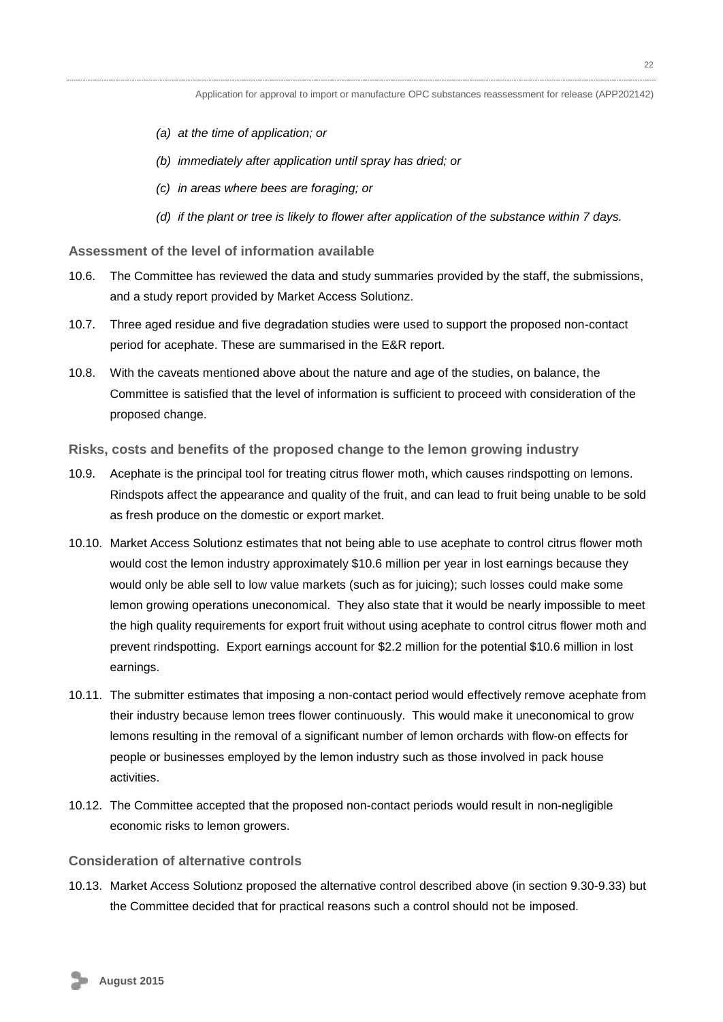- *(a) at the time of application; or*
- *(b) immediately after application until spray has dried; or*
- *(c) in areas where bees are foraging; or*
- *(d) if the plant or tree is likely to flower after application of the substance within 7 days.*

**Assessment of the level of information available**

- 10.6. The Committee has reviewed the data and study summaries provided by the staff, the submissions, and a study report provided by Market Access Solutionz.
- 10.7. Three aged residue and five degradation studies were used to support the proposed non-contact period for acephate. These are summarised in the E&R report.
- 10.8. With the caveats mentioned above about the nature and age of the studies, on balance, the Committee is satisfied that the level of information is sufficient to proceed with consideration of the proposed change.
- **Risks, costs and benefits of the proposed change to the lemon growing industry**
- 10.9. Acephate is the principal tool for treating citrus flower moth, which causes rindspotting on lemons. Rindspots affect the appearance and quality of the fruit, and can lead to fruit being unable to be sold as fresh produce on the domestic or export market.
- 10.10. Market Access Solutionz estimates that not being able to use acephate to control citrus flower moth would cost the lemon industry approximately \$10.6 million per year in lost earnings because they would only be able sell to low value markets (such as for juicing); such losses could make some lemon growing operations uneconomical. They also state that it would be nearly impossible to meet the high quality requirements for export fruit without using acephate to control citrus flower moth and prevent rindspotting. Export earnings account for \$2.2 million for the potential \$10.6 million in lost earnings.
- 10.11. The submitter estimates that imposing a non-contact period would effectively remove acephate from their industry because lemon trees flower continuously. This would make it uneconomical to grow lemons resulting in the removal of a significant number of lemon orchards with flow-on effects for people or businesses employed by the lemon industry such as those involved in pack house activities.
- 10.12. The Committee accepted that the proposed non-contact periods would result in non-negligible economic risks to lemon growers.

#### **Consideration of alternative controls**

10.13. Market Access Solutionz proposed the alternative control described above (in section 9.30-9.33) but the Committee decided that for practical reasons such a control should not be imposed.

 **August 2015**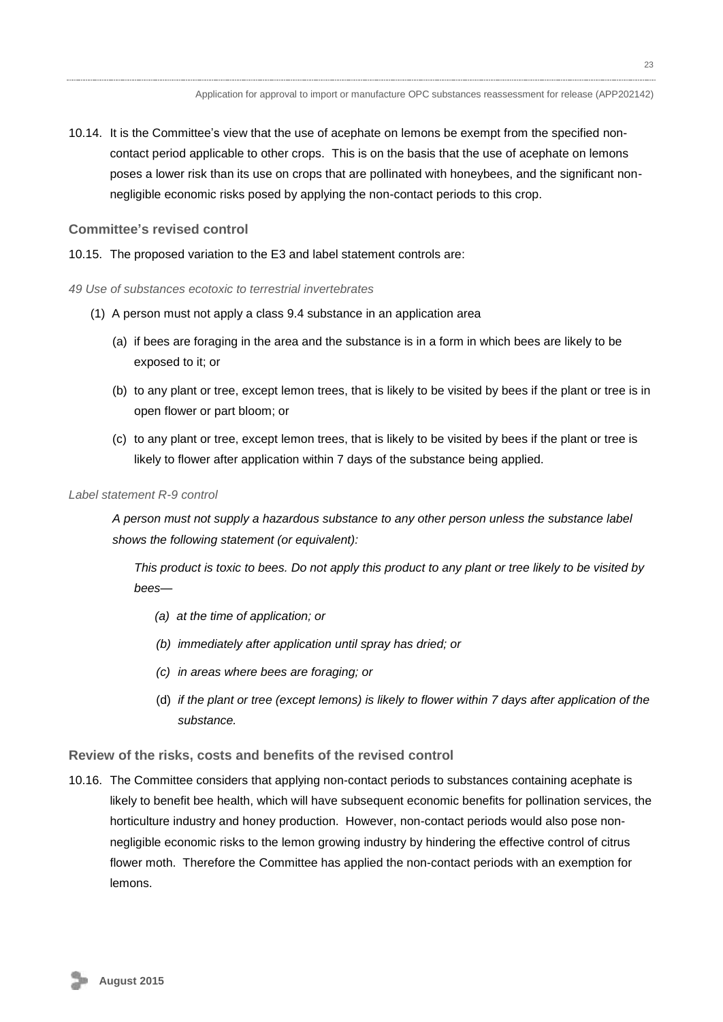10.14. It is the Committee's view that the use of acephate on lemons be exempt from the specified noncontact period applicable to other crops. This is on the basis that the use of acephate on lemons poses a lower risk than its use on crops that are pollinated with honeybees, and the significant nonnegligible economic risks posed by applying the non-contact periods to this crop.

#### **Committee's revised control**

- 10.15. The proposed variation to the E3 and label statement controls are:
- *49 Use of substances ecotoxic to terrestrial invertebrates*
	- (1) A person must not apply a class 9.4 substance in an application area
		- (a) if bees are foraging in the area and the substance is in a form in which bees are likely to be exposed to it; or
		- (b) to any plant or tree, except lemon trees, that is likely to be visited by bees if the plant or tree is in open flower or part bloom; or
		- (c) to any plant or tree, except lemon trees, that is likely to be visited by bees if the plant or tree is likely to flower after application within 7 days of the substance being applied.

#### *Label statement R-9 control*

*A person must not supply a hazardous substance to any other person unless the substance label shows the following statement (or equivalent):*

*This product is toxic to bees. Do not apply this product to any plant or tree likely to be visited by bees—*

- *(a) at the time of application; or*
- *(b) immediately after application until spray has dried; or*
- *(c) in areas where bees are foraging; or*
- (d) *if the plant or tree (except lemons) is likely to flower within 7 days after application of the substance.*

#### **Review of the risks, costs and benefits of the revised control**

10.16. The Committee considers that applying non-contact periods to substances containing acephate is likely to benefit bee health, which will have subsequent economic benefits for pollination services, the horticulture industry and honey production. However, non-contact periods would also pose nonnegligible economic risks to the lemon growing industry by hindering the effective control of citrus flower moth. Therefore the Committee has applied the non-contact periods with an exemption for lemons.

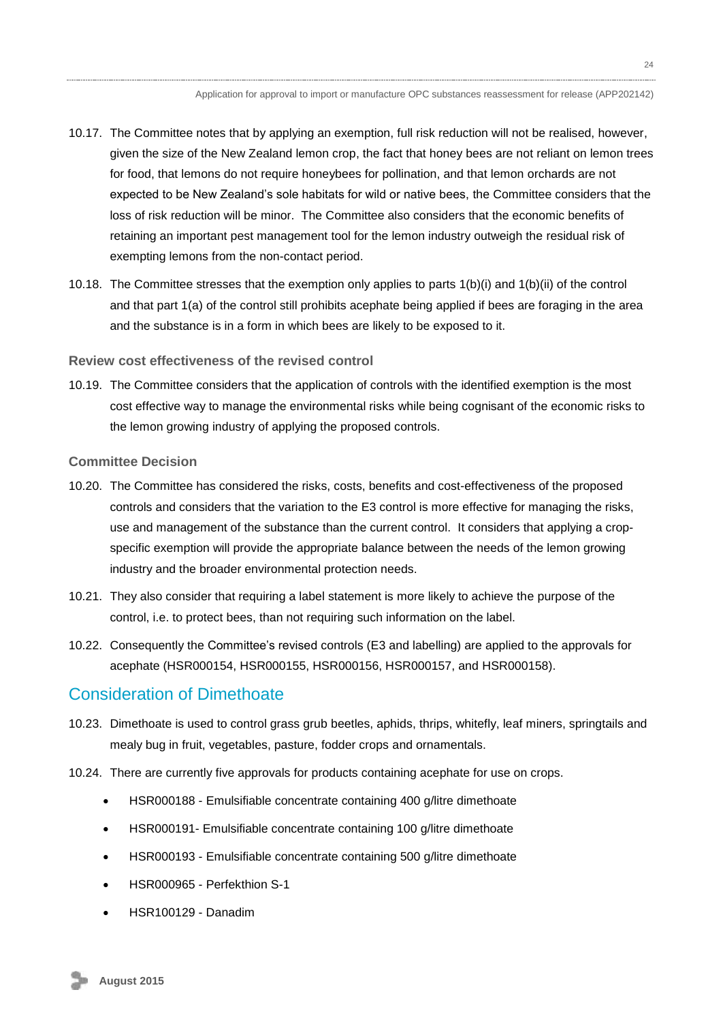- 10.17. The Committee notes that by applying an exemption, full risk reduction will not be realised, however, given the size of the New Zealand lemon crop, the fact that honey bees are not reliant on lemon trees for food, that lemons do not require honeybees for pollination, and that lemon orchards are not expected to be New Zealand's sole habitats for wild or native bees, the Committee considers that the loss of risk reduction will be minor. The Committee also considers that the economic benefits of retaining an important pest management tool for the lemon industry outweigh the residual risk of exempting lemons from the non-contact period.
- 10.18. The Committee stresses that the exemption only applies to parts 1(b)(i) and 1(b)(ii) of the control and that part 1(a) of the control still prohibits acephate being applied if bees are foraging in the area and the substance is in a form in which bees are likely to be exposed to it.

#### **Review cost effectiveness of the revised control**

10.19. The Committee considers that the application of controls with the identified exemption is the most cost effective way to manage the environmental risks while being cognisant of the economic risks to the lemon growing industry of applying the proposed controls.

#### **Committee Decision**

- 10.20. The Committee has considered the risks, costs, benefits and cost-effectiveness of the proposed controls and considers that the variation to the E3 control is more effective for managing the risks, use and management of the substance than the current control. It considers that applying a cropspecific exemption will provide the appropriate balance between the needs of the lemon growing industry and the broader environmental protection needs.
- 10.21. They also consider that requiring a label statement is more likely to achieve the purpose of the control, i.e. to protect bees, than not requiring such information on the label.
- 10.22. Consequently the Committee's revised controls (E3 and labelling) are applied to the approvals for acephate (HSR000154, HSR000155, HSR000156, HSR000157, and HSR000158).

### <span id="page-23-0"></span>Consideration of Dimethoate

- 10.23. Dimethoate is used to control grass grub beetles, aphids, thrips, whitefly, leaf miners, springtails and mealy bug in fruit, vegetables, pasture, fodder crops and ornamentals.
- 10.24. There are currently five approvals for products containing acephate for use on crops.
	- HSR000188 [Emulsifiable concentrate containing 400 g/litre dimethoate](http://oscar/General.aspx?ID=3984)
	- HSR000191- [Emulsifiable concentrate containing 100 g/litre dimethoate](http://oscar/General.aspx?ID=3989)
	- HSR000193 [Emulsifiable concentrate containing 500 g/litre dimethoate](http://oscar/General.aspx?ID=3992)
	- HSR000965 Perfekthion S-1
	- HSR100129 Danadim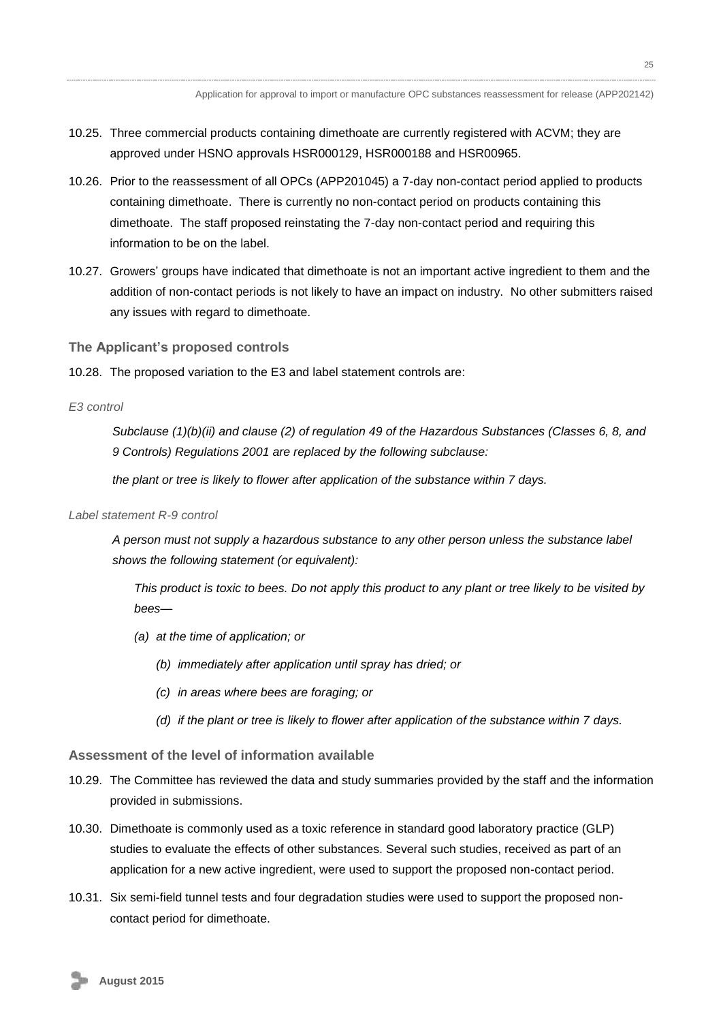- 10.25. Three commercial products containing dimethoate are currently registered with ACVM; they are approved under HSNO approvals HSR000129, HSR000188 and HSR00965.
- 10.26. Prior to the reassessment of all OPCs (APP201045) a 7-day non-contact period applied to products containing dimethoate. There is currently no non-contact period on products containing this dimethoate. The staff proposed reinstating the 7-day non-contact period and requiring this information to be on the label.
- 10.27. Growers' groups have indicated that dimethoate is not an important active ingredient to them and the addition of non-contact periods is not likely to have an impact on industry. No other submitters raised any issues with regard to dimethoate.

**The Applicant's proposed controls**

10.28. The proposed variation to the E3 and label statement controls are:

*E3 control* 

*Subclause (1)(b)(ii) and clause (2) of regulation 49 of the Hazardous Substances (Classes 6, 8, and 9 Controls) Regulations 2001 are replaced by the following subclause:*

*the plant or tree is likely to flower after application of the substance within 7 days.*

#### *Label statement R-9 control*

*A person must not supply a hazardous substance to any other person unless the substance label shows the following statement (or equivalent):*

*This product is toxic to bees. Do not apply this product to any plant or tree likely to be visited by bees—*

- *(a) at the time of application; or*
	- *(b) immediately after application until spray has dried; or*
	- *(c) in areas where bees are foraging; or*
	- *(d) if the plant or tree is likely to flower after application of the substance within 7 days.*

#### **Assessment of the level of information available**

- 10.29. The Committee has reviewed the data and study summaries provided by the staff and the information provided in submissions.
- 10.30. Dimethoate is commonly used as a toxic reference in standard good laboratory practice (GLP) studies to evaluate the effects of other substances. Several such studies, received as part of an application for a new active ingredient, were used to support the proposed non-contact period.
- 10.31. Six semi-field tunnel tests and four degradation studies were used to support the proposed noncontact period for dimethoate.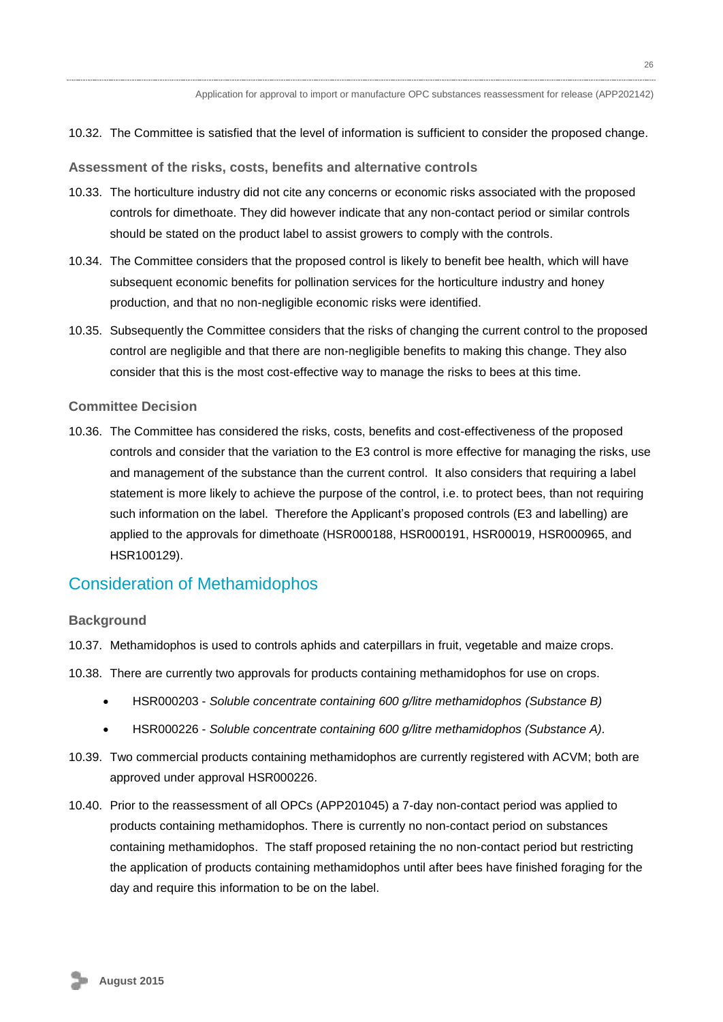10.32. The Committee is satisfied that the level of information is sufficient to consider the proposed change.

**Assessment of the risks, costs, benefits and alternative controls**

- 10.33. The horticulture industry did not cite any concerns or economic risks associated with the proposed controls for dimethoate. They did however indicate that any non-contact period or similar controls should be stated on the product label to assist growers to comply with the controls.
- 10.34. The Committee considers that the proposed control is likely to benefit bee health, which will have subsequent economic benefits for pollination services for the horticulture industry and honey production, and that no non-negligible economic risks were identified.
- 10.35. Subsequently the Committee considers that the risks of changing the current control to the proposed control are negligible and that there are non-negligible benefits to making this change. They also consider that this is the most cost-effective way to manage the risks to bees at this time.

#### **Committee Decision**

10.36. The Committee has considered the risks, costs, benefits and cost-effectiveness of the proposed controls and consider that the variation to the E3 control is more effective for managing the risks, use and management of the substance than the current control. It also considers that requiring a label statement is more likely to achieve the purpose of the control, i.e. to protect bees, than not requiring such information on the label. Therefore the Applicant's proposed controls (E3 and labelling) are applied to the approvals for dimethoate (HSR000188, HSR000191, HSR00019, HSR000965, and HSR100129).

## <span id="page-25-0"></span>Consideration of Methamidophos

#### **Background**

- 10.37. Methamidophos is used to controls aphids and caterpillars in fruit, vegetable and maize crops.
- 10.38. There are currently two approvals for products containing methamidophos for use on crops.
	- HSR000203 *Soluble concentrate containing 600 g/litre methamidophos (Substance B)*
	- HSR000226 *Soluble concentrate containing 600 g/litre methamidophos (Substance A).*
- 10.39. Two commercial products containing methamidophos are currently registered with ACVM; both are approved under approval HSR000226.
- 10.40. Prior to the reassessment of all OPCs (APP201045) a 7-day non-contact period was applied to products containing methamidophos. There is currently no non-contact period on substances containing methamidophos. The staff proposed retaining the no non-contact period but restricting the application of products containing methamidophos until after bees have finished foraging for the day and require this information to be on the label.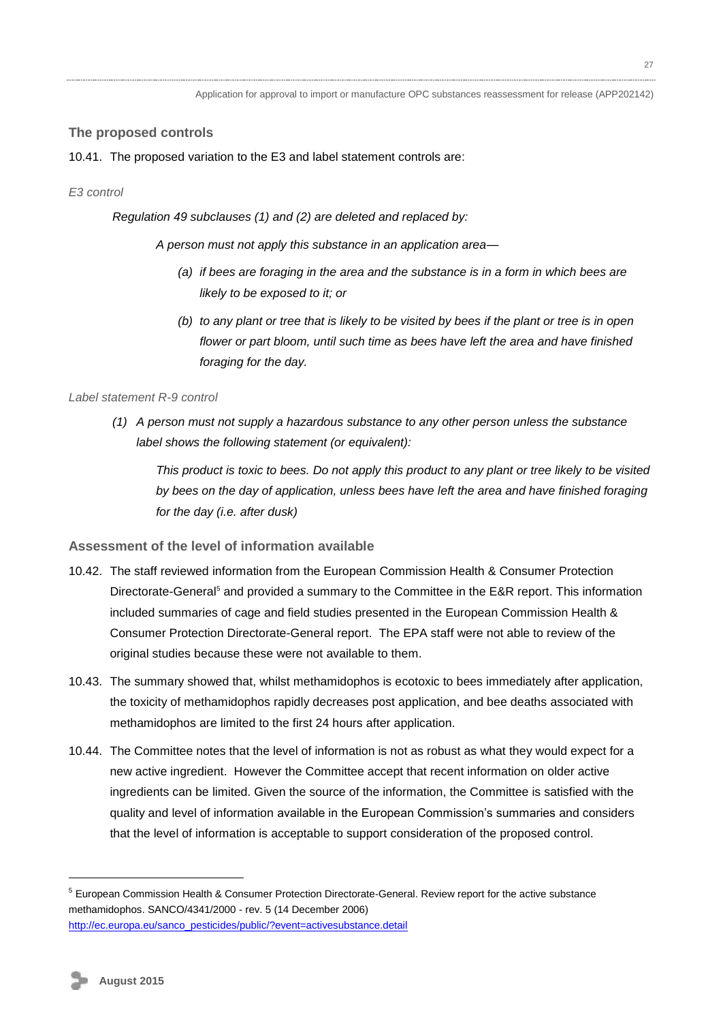### **The proposed controls**

#### 10.41. The proposed variation to the E3 and label statement controls are:

#### *E3 control*

*Regulation 49 subclauses (1) and (2) are deleted and replaced by:*

*A person must not apply this substance in an application area—*

- *(a) if bees are foraging in the area and the substance is in a form in which bees are likely to be exposed to it; or*
- *(b) to any plant or tree that is likely to be visited by bees if the plant or tree is in open flower or part bloom, until such time as bees have left the area and have finished foraging for the day.*

#### *Label statement R-9 control*

*(1) A person must not supply a hazardous substance to any other person unless the substance label shows the following statement (or equivalent):*

*This product is toxic to bees. Do not apply this product to any plant or tree likely to be visited by bees on the day of application, unless bees have left the area and have finished foraging for the day (i.e. after dusk)*

### **Assessment of the level of information available**

- 10.42. The staff reviewed information from the European Commission Health & Consumer Protection Directorate-General<sup>5</sup> and provided a summary to the Committee in the E&R report. This information included summaries of cage and field studies presented in the European Commission Health & Consumer Protection Directorate-General report. The EPA staff were not able to review of the original studies because these were not available to them.
- 10.43. The summary showed that, whilst methamidophos is ecotoxic to bees immediately after application, the toxicity of methamidophos rapidly decreases post application, and bee deaths associated with methamidophos are limited to the first 24 hours after application.
- 10.44. The Committee notes that the level of information is not as robust as what they would expect for a new active ingredient. However the Committee accept that recent information on older active ingredients can be limited. Given the source of the information, the Committee is satisfied with the quality and level of information available in the European Commission's summaries and considers that the level of information is acceptable to support consideration of the proposed control.

1

<sup>5</sup> European Commission Health & Consumer Protection Directorate-General. Review report for the active substance methamidophos. SANCO/4341/2000 - rev. 5 (14 December 2006) [http://ec.europa.eu/sanco\\_pesticides/public/?event=activesubstance.detail](http://ec.europa.eu/sanco_pesticides/public/?event=activesubstance.detail)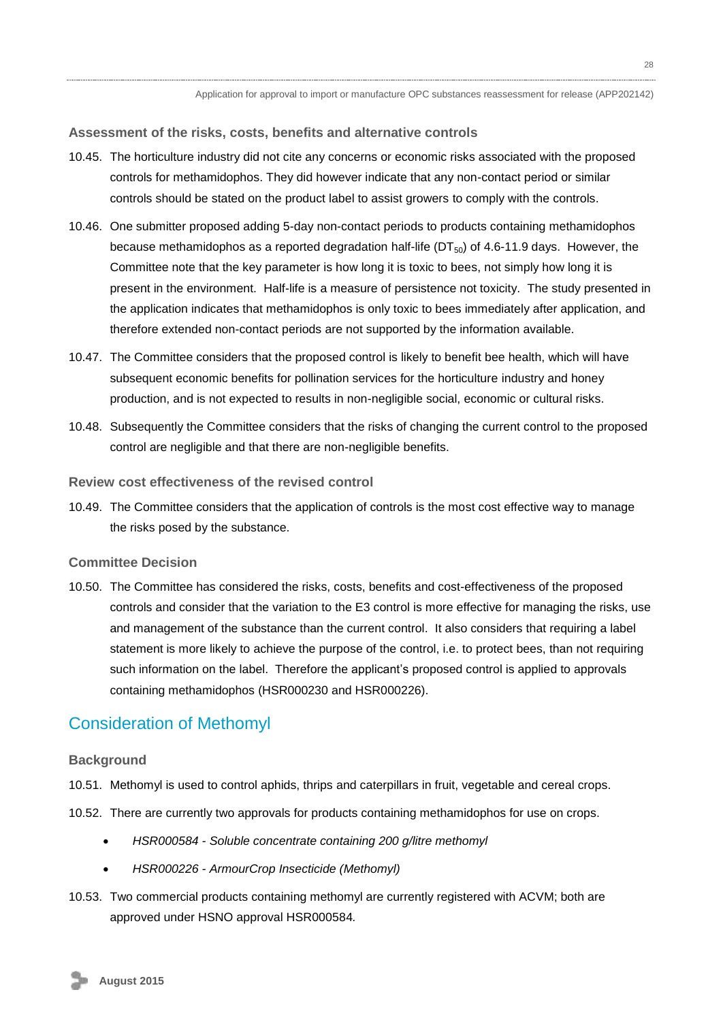#### **Assessment of the risks, costs, benefits and alternative controls**

- 10.45. The horticulture industry did not cite any concerns or economic risks associated with the proposed controls for methamidophos. They did however indicate that any non-contact period or similar controls should be stated on the product label to assist growers to comply with the controls.
- 10.46. One submitter proposed adding 5-day non-contact periods to products containing methamidophos because methamidophos as a reported degradation half-life ( $DT_{50}$ ) of 4.6-11.9 days. However, the Committee note that the key parameter is how long it is toxic to bees, not simply how long it is present in the environment. Half-life is a measure of persistence not toxicity. The study presented in the application indicates that methamidophos is only toxic to bees immediately after application, and therefore extended non-contact periods are not supported by the information available.
- 10.47. The Committee considers that the proposed control is likely to benefit bee health, which will have subsequent economic benefits for pollination services for the horticulture industry and honey production, and is not expected to results in non-negligible social, economic or cultural risks.
- 10.48. Subsequently the Committee considers that the risks of changing the current control to the proposed control are negligible and that there are non-negligible benefits.

#### **Review cost effectiveness of the revised control**

10.49. The Committee considers that the application of controls is the most cost effective way to manage the risks posed by the substance.

#### **Committee Decision**

10.50. The Committee has considered the risks, costs, benefits and cost-effectiveness of the proposed controls and consider that the variation to the E3 control is more effective for managing the risks, use and management of the substance than the current control. It also considers that requiring a label statement is more likely to achieve the purpose of the control, i.e. to protect bees, than not requiring such information on the label. Therefore the applicant's proposed control is applied to approvals containing methamidophos (HSR000230 and HSR000226).

### <span id="page-27-0"></span>Consideration of Methomyl

#### **Background**

- 10.51. Methomyl is used to control aphids, thrips and caterpillars in fruit, vegetable and cereal crops.
- 10.52. There are currently two approvals for products containing methamidophos for use on crops.
	- *HSR000584 - Soluble concentrate containing 200 g/litre methomyl*
	- *HSR000226 - ArmourCrop Insecticide (Methomyl)*
- 10.53. Two commercial products containing methomyl are currently registered with ACVM; both are approved under HSNO approval HSR000584*.*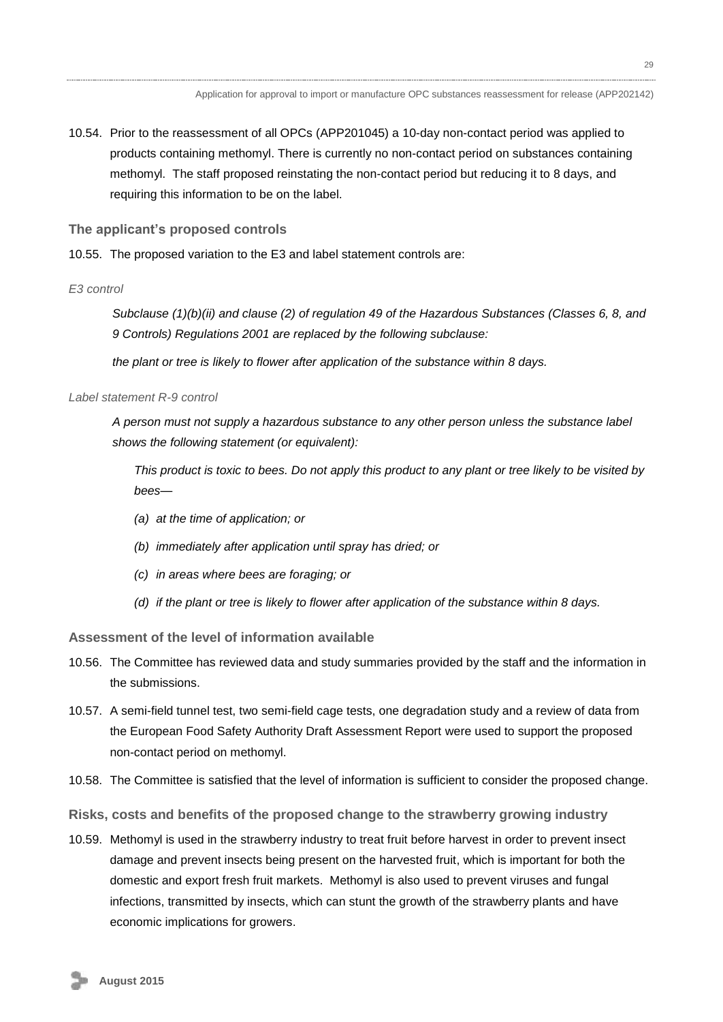10.54. Prior to the reassessment of all OPCs (APP201045) a 10-day non-contact period was applied to products containing methomyl. There is currently no non-contact period on substances containing methomyl. The staff proposed reinstating the non-contact period but reducing it to 8 days, and requiring this information to be on the label.

**The applicant's proposed controls**

10.55. The proposed variation to the E3 and label statement controls are:

### *E3 control*

*Subclause (1)(b)(ii) and clause (2) of regulation 49 of the Hazardous Substances (Classes 6, 8, and 9 Controls) Regulations 2001 are replaced by the following subclause:*

*the plant or tree is likely to flower after application of the substance within 8 days.*

### *Label statement R-9 control*

*A person must not supply a hazardous substance to any other person unless the substance label shows the following statement (or equivalent):*

*This product is toxic to bees. Do not apply this product to any plant or tree likely to be visited by bees—*

- *(a) at the time of application; or*
- *(b) immediately after application until spray has dried; or*
- *(c) in areas where bees are foraging; or*
- *(d) if the plant or tree is likely to flower after application of the substance within 8 days.*

**Assessment of the level of information available**

- 10.56. The Committee has reviewed data and study summaries provided by the staff and the information in the submissions.
- 10.57. A semi-field tunnel test, two semi-field cage tests, one degradation study and a review of data from the European Food Safety Authority Draft Assessment Report were used to support the proposed non-contact period on methomyl.
- 10.58. The Committee is satisfied that the level of information is sufficient to consider the proposed change.
- **Risks, costs and benefits of the proposed change to the strawberry growing industry**
- 10.59. Methomyl is used in the strawberry industry to treat fruit before harvest in order to prevent insect damage and prevent insects being present on the harvested fruit, which is important for both the domestic and export fresh fruit markets. Methomyl is also used to prevent viruses and fungal infections, transmitted by insects, which can stunt the growth of the strawberry plants and have economic implications for growers.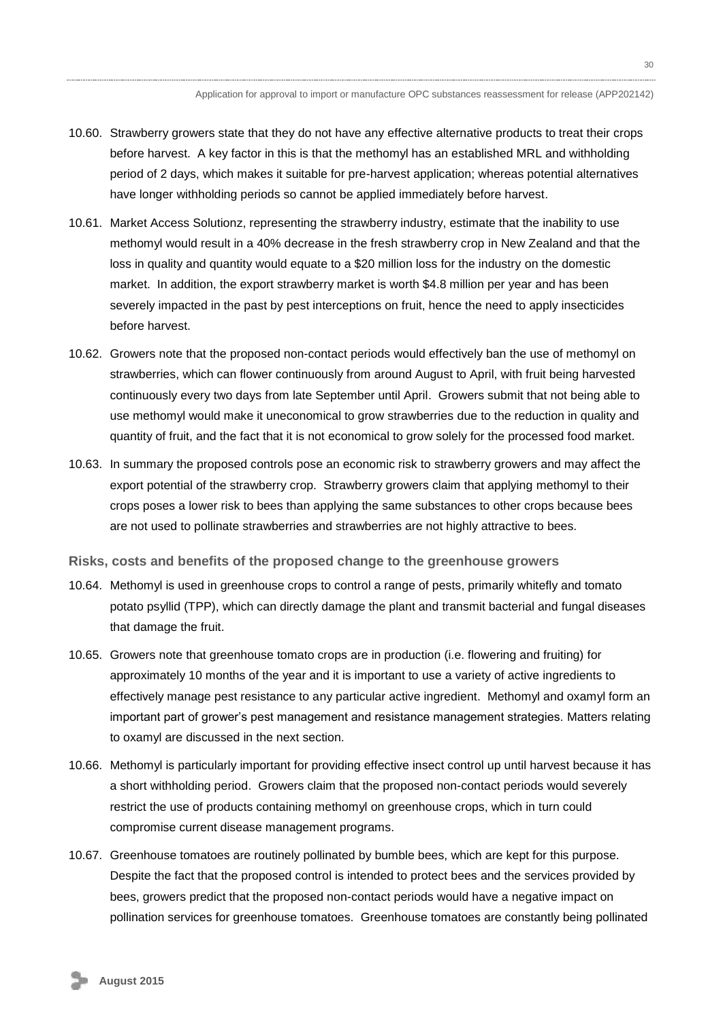- 10.60. Strawberry growers state that they do not have any effective alternative products to treat their crops before harvest. A key factor in this is that the methomyl has an established MRL and withholding period of 2 days, which makes it suitable for pre-harvest application; whereas potential alternatives have longer withholding periods so cannot be applied immediately before harvest.
- 10.61. Market Access Solutionz, representing the strawberry industry, estimate that the inability to use methomyl would result in a 40% decrease in the fresh strawberry crop in New Zealand and that the loss in quality and quantity would equate to a \$20 million loss for the industry on the domestic market. In addition, the export strawberry market is worth \$4.8 million per year and has been severely impacted in the past by pest interceptions on fruit, hence the need to apply insecticides before harvest.
- 10.62. Growers note that the proposed non-contact periods would effectively ban the use of methomyl on strawberries, which can flower continuously from around August to April, with fruit being harvested continuously every two days from late September until April. Growers submit that not being able to use methomyl would make it uneconomical to grow strawberries due to the reduction in quality and quantity of fruit, and the fact that it is not economical to grow solely for the processed food market.
- 10.63. In summary the proposed controls pose an economic risk to strawberry growers and may affect the export potential of the strawberry crop. Strawberry growers claim that applying methomyl to their crops poses a lower risk to bees than applying the same substances to other crops because bees are not used to pollinate strawberries and strawberries are not highly attractive to bees.
- **Risks, costs and benefits of the proposed change to the greenhouse growers**
- 10.64. Methomyl is used in greenhouse crops to control a range of pests, primarily whitefly and tomato potato psyllid (TPP), which can directly damage the plant and transmit bacterial and fungal diseases that damage the fruit.
- 10.65. Growers note that greenhouse tomato crops are in production (i.e. flowering and fruiting) for approximately 10 months of the year and it is important to use a variety of active ingredients to effectively manage pest resistance to any particular active ingredient. Methomyl and oxamyl form an important part of grower's pest management and resistance management strategies. Matters relating to oxamyl are discussed in the next section.
- 10.66. Methomyl is particularly important for providing effective insect control up until harvest because it has a short withholding period. Growers claim that the proposed non-contact periods would severely restrict the use of products containing methomyl on greenhouse crops, which in turn could compromise current disease management programs.
- 10.67. Greenhouse tomatoes are routinely pollinated by bumble bees, which are kept for this purpose. Despite the fact that the proposed control is intended to protect bees and the services provided by bees, growers predict that the proposed non-contact periods would have a negative impact on pollination services for greenhouse tomatoes. Greenhouse tomatoes are constantly being pollinated

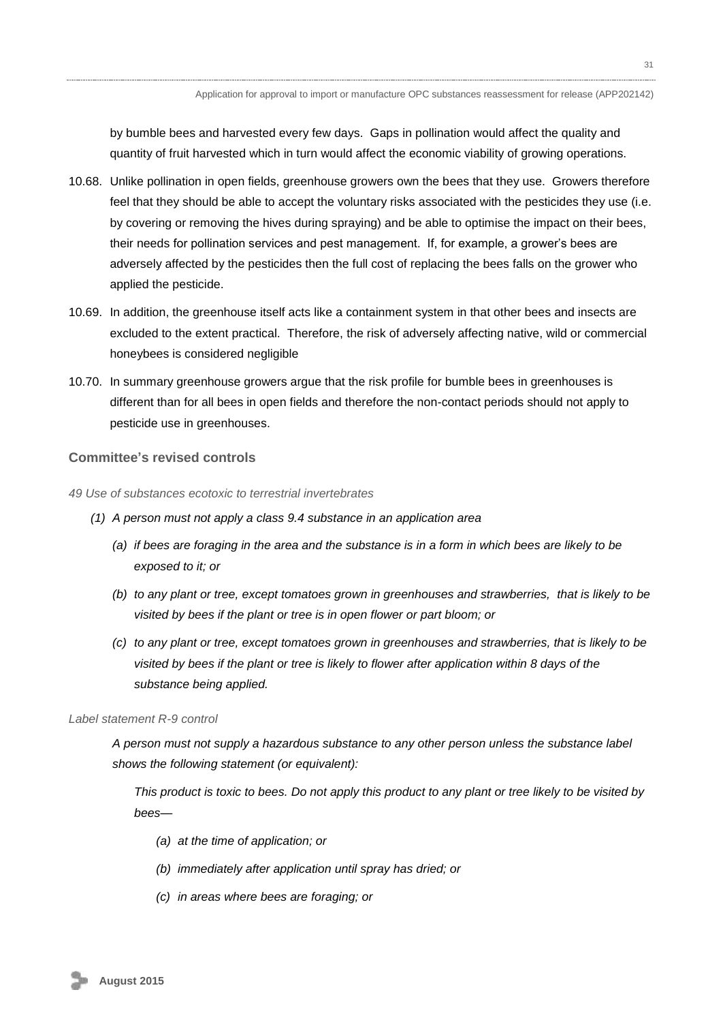by bumble bees and harvested every few days. Gaps in pollination would affect the quality and quantity of fruit harvested which in turn would affect the economic viability of growing operations.

- 10.68. Unlike pollination in open fields, greenhouse growers own the bees that they use. Growers therefore feel that they should be able to accept the voluntary risks associated with the pesticides they use (i.e. by covering or removing the hives during spraying) and be able to optimise the impact on their bees, their needs for pollination services and pest management. If, for example, a grower's bees are adversely affected by the pesticides then the full cost of replacing the bees falls on the grower who applied the pesticide.
- 10.69. In addition, the greenhouse itself acts like a containment system in that other bees and insects are excluded to the extent practical. Therefore, the risk of adversely affecting native, wild or commercial honeybees is considered negligible
- 10.70. In summary greenhouse growers argue that the risk profile for bumble bees in greenhouses is different than for all bees in open fields and therefore the non-contact periods should not apply to pesticide use in greenhouses.

#### **Committee's revised controls**

- *49 Use of substances ecotoxic to terrestrial invertebrates*
	- *(1) A person must not apply a class 9.4 substance in an application area* 
		- *(a) if bees are foraging in the area and the substance is in a form in which bees are likely to be exposed to it; or*
		- *(b) to any plant or tree, except tomatoes grown in greenhouses and strawberries, that is likely to be visited by bees if the plant or tree is in open flower or part bloom; or*
		- *(c) to any plant or tree, except tomatoes grown in greenhouses and strawberries, that is likely to be visited by bees if the plant or tree is likely to flower after application within 8 days of the substance being applied.*

#### *Label statement R-9 control*

*A person must not supply a hazardous substance to any other person unless the substance label shows the following statement (or equivalent):*

*This product is toxic to bees. Do not apply this product to any plant or tree likely to be visited by bees—*

- *(a) at the time of application; or*
- *(b) immediately after application until spray has dried; or*
- *(c) in areas where bees are foraging; or*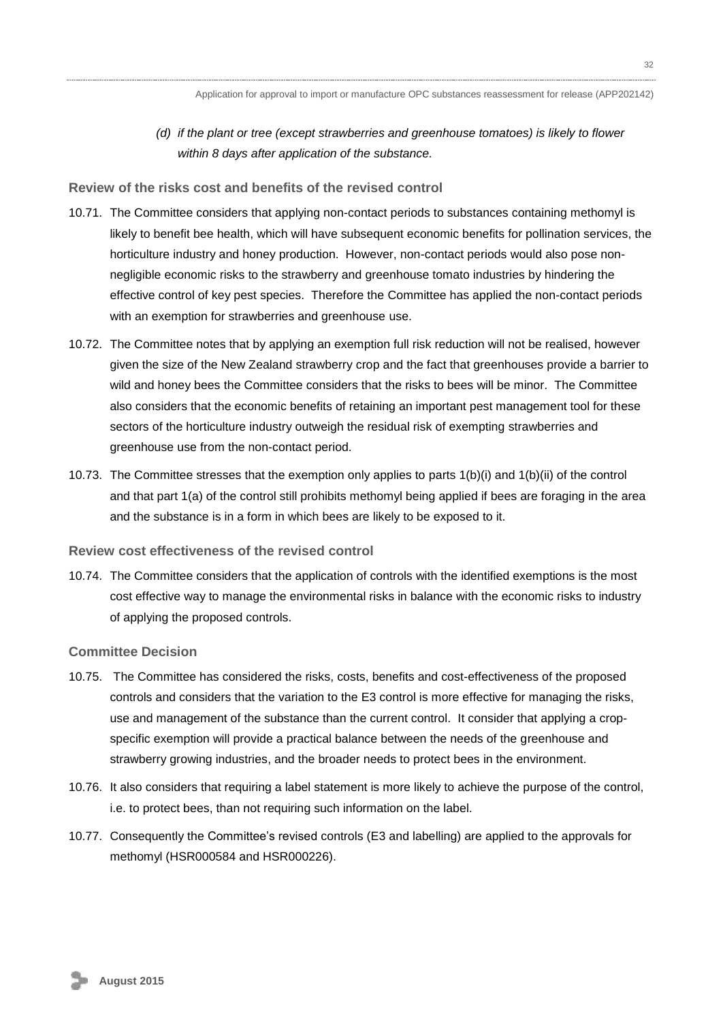32

*(d) if the plant or tree (except strawberries and greenhouse tomatoes) is likely to flower within 8 days after application of the substance.* 

**Review of the risks cost and benefits of the revised control**

- 10.71. The Committee considers that applying non-contact periods to substances containing methomyl is likely to benefit bee health, which will have subsequent economic benefits for pollination services, the horticulture industry and honey production. However, non-contact periods would also pose nonnegligible economic risks to the strawberry and greenhouse tomato industries by hindering the effective control of key pest species. Therefore the Committee has applied the non-contact periods with an exemption for strawberries and greenhouse use.
- 10.72. The Committee notes that by applying an exemption full risk reduction will not be realised, however given the size of the New Zealand strawberry crop and the fact that greenhouses provide a barrier to wild and honey bees the Committee considers that the risks to bees will be minor. The Committee also considers that the economic benefits of retaining an important pest management tool for these sectors of the horticulture industry outweigh the residual risk of exempting strawberries and greenhouse use from the non-contact period.
- 10.73. The Committee stresses that the exemption only applies to parts 1(b)(i) and 1(b)(ii) of the control and that part 1(a) of the control still prohibits methomyl being applied if bees are foraging in the area and the substance is in a form in which bees are likely to be exposed to it.

#### **Review cost effectiveness of the revised control**

10.74. The Committee considers that the application of controls with the identified exemptions is the most cost effective way to manage the environmental risks in balance with the economic risks to industry of applying the proposed controls.

#### **Committee Decision**

- 10.75. The Committee has considered the risks, costs, benefits and cost-effectiveness of the proposed controls and considers that the variation to the E3 control is more effective for managing the risks, use and management of the substance than the current control. It consider that applying a cropspecific exemption will provide a practical balance between the needs of the greenhouse and strawberry growing industries, and the broader needs to protect bees in the environment.
- 10.76. It also considers that requiring a label statement is more likely to achieve the purpose of the control, i.e. to protect bees, than not requiring such information on the label.
- <span id="page-31-0"></span>10.77. Consequently the Committee's revised controls (E3 and labelling) are applied to the approvals for methomyl (HSR000584 and HSR000226).

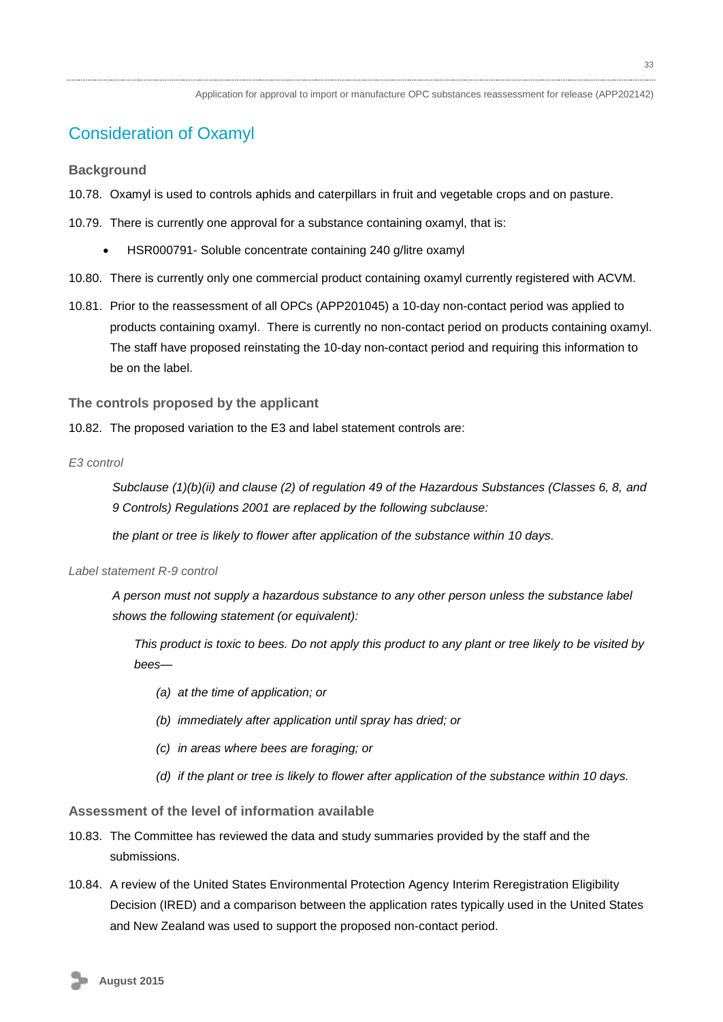## Consideration of Oxamyl

**Background**

- 10.78. Oxamyl is used to controls aphids and caterpillars in fruit and vegetable crops and on pasture.
- 10.79. There is currently one approval for a substance containing oxamyl, that is:
	- HSR000791- Soluble concentrate containing 240 g/litre oxamyl
- 10.80. There is currently only one commercial product containing oxamyl currently registered with ACVM.
- 10.81. Prior to the reassessment of all OPCs (APP201045) a 10-day non-contact period was applied to products containing oxamyl. There is currently no non-contact period on products containing oxamyl. The staff have proposed reinstating the 10-day non-contact period and requiring this information to be on the label.

**The controls proposed by the applicant**

10.82. The proposed variation to the E3 and label statement controls are:

*E3 control* 

*Subclause (1)(b)(ii) and clause (2) of regulation 49 of the Hazardous Substances (Classes 6, 8, and 9 Controls) Regulations 2001 are replaced by the following subclause:*

*the plant or tree is likely to flower after application of the substance within 10 days.*

#### *Label statement R-9 control*

*A person must not supply a hazardous substance to any other person unless the substance label shows the following statement (or equivalent):*

*This product is toxic to bees. Do not apply this product to any plant or tree likely to be visited by bees—*

- *(a) at the time of application; or*
- *(b) immediately after application until spray has dried; or*
- *(c) in areas where bees are foraging; or*
- *(d) if the plant or tree is likely to flower after application of the substance within 10 days.*

**Assessment of the level of information available**

- 10.83. The Committee has reviewed the data and study summaries provided by the staff and the submissions.
- 10.84. A review of the United States Environmental Protection Agency Interim Reregistration Eligibility Decision (IRED) and a comparison between the application rates typically used in the United States and New Zealand was used to support the proposed non-contact period.

33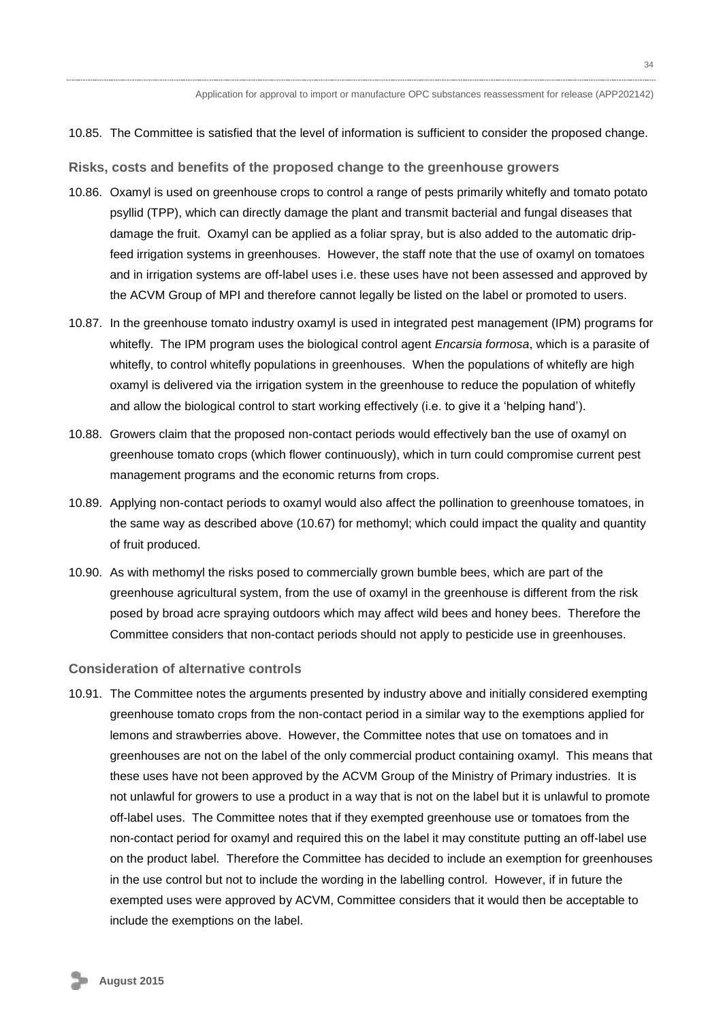10.85. The Committee is satisfied that the level of information is sufficient to consider the proposed change.

**Risks, costs and benefits of the proposed change to the greenhouse growers**

- 10.86. Oxamyl is used on greenhouse crops to control a range of pests primarily whitefly and tomato potato psyllid (TPP), which can directly damage the plant and transmit bacterial and fungal diseases that damage the fruit. Oxamyl can be applied as a foliar spray, but is also added to the automatic dripfeed irrigation systems in greenhouses. However, the staff note that the use of oxamyl on tomatoes and in irrigation systems are off-label uses i.e. these uses have not been assessed and approved by the ACVM Group of MPI and therefore cannot legally be listed on the label or promoted to users.
- 10.87. In the greenhouse tomato industry oxamyl is used in integrated pest management (IPM) programs for whitefly. The IPM program uses the biological control agent *Encarsia formosa*, which is a parasite of whitefly, to control whitefly populations in greenhouses. When the populations of whitefly are high oxamyl is delivered via the irrigation system in the greenhouse to reduce the population of whitefly and allow the biological control to start working effectively (i.e. to give it a 'helping hand').
- 10.88. Growers claim that the proposed non-contact periods would effectively ban the use of oxamyl on greenhouse tomato crops (which flower continuously), which in turn could compromise current pest management programs and the economic returns from crops.
- 10.89. Applying non-contact periods to oxamyl would also affect the pollination to greenhouse tomatoes, in the same way as described above (10.67) for methomyl; which could impact the quality and quantity of fruit produced.
- 10.90. As with methomyl the risks posed to commercially grown bumble bees, which are part of the greenhouse agricultural system, from the use of oxamyl in the greenhouse is different from the risk posed by broad acre spraying outdoors which may affect wild bees and honey bees. Therefore the Committee considers that non-contact periods should not apply to pesticide use in greenhouses.

#### **Consideration of alternative controls**

10.91. The Committee notes the arguments presented by industry above and initially considered exempting greenhouse tomato crops from the non-contact period in a similar way to the exemptions applied for lemons and strawberries above. However, the Committee notes that use on tomatoes and in greenhouses are not on the label of the only commercial product containing oxamyl. This means that these uses have not been approved by the ACVM Group of the Ministry of Primary industries. It is not unlawful for growers to use a product in a way that is not on the label but it is unlawful to promote off-label uses. The Committee notes that if they exempted greenhouse use or tomatoes from the non-contact period for oxamyl and required this on the label it may constitute putting an off-label use on the product label. Therefore the Committee has decided to include an exemption for greenhouses in the use control but not to include the wording in the labelling control. However, if in future the exempted uses were approved by ACVM, Committee considers that it would then be acceptable to include the exemptions on the label.

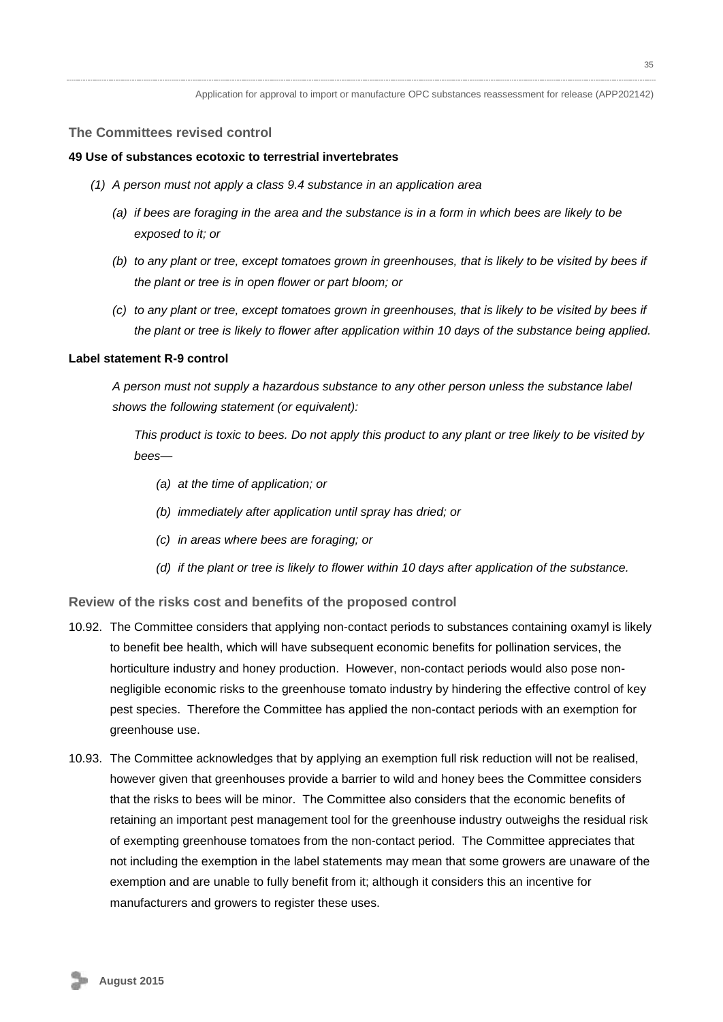#### **The Committees revised control**

#### **49 Use of substances ecotoxic to terrestrial invertebrates**

- *(1) A person must not apply a class 9.4 substance in an application area* 
	- *(a) if bees are foraging in the area and the substance is in a form in which bees are likely to be exposed to it; or*
	- *(b) to any plant or tree, except tomatoes grown in greenhouses, that is likely to be visited by bees if the plant or tree is in open flower or part bloom; or*
	- *(c) to any plant or tree, except tomatoes grown in greenhouses, that is likely to be visited by bees if the plant or tree is likely to flower after application within 10 days of the substance being applied.*

#### **Label statement R-9 control**

*A person must not supply a hazardous substance to any other person unless the substance label shows the following statement (or equivalent):*

*This product is toxic to bees. Do not apply this product to any plant or tree likely to be visited by bees—*

- *(a) at the time of application; or*
- *(b) immediately after application until spray has dried; or*
- *(c) in areas where bees are foraging; or*
- *(d) if the plant or tree is likely to flower within 10 days after application of the substance.*

**Review of the risks cost and benefits of the proposed control**

- 10.92. The Committee considers that applying non-contact periods to substances containing oxamyl is likely to benefit bee health, which will have subsequent economic benefits for pollination services, the horticulture industry and honey production. However, non-contact periods would also pose nonnegligible economic risks to the greenhouse tomato industry by hindering the effective control of key pest species. Therefore the Committee has applied the non-contact periods with an exemption for greenhouse use.
- 10.93. The Committee acknowledges that by applying an exemption full risk reduction will not be realised, however given that greenhouses provide a barrier to wild and honey bees the Committee considers that the risks to bees will be minor. The Committee also considers that the economic benefits of retaining an important pest management tool for the greenhouse industry outweighs the residual risk of exempting greenhouse tomatoes from the non-contact period. The Committee appreciates that not including the exemption in the label statements may mean that some growers are unaware of the exemption and are unable to fully benefit from it; although it considers this an incentive for manufacturers and growers to register these uses.

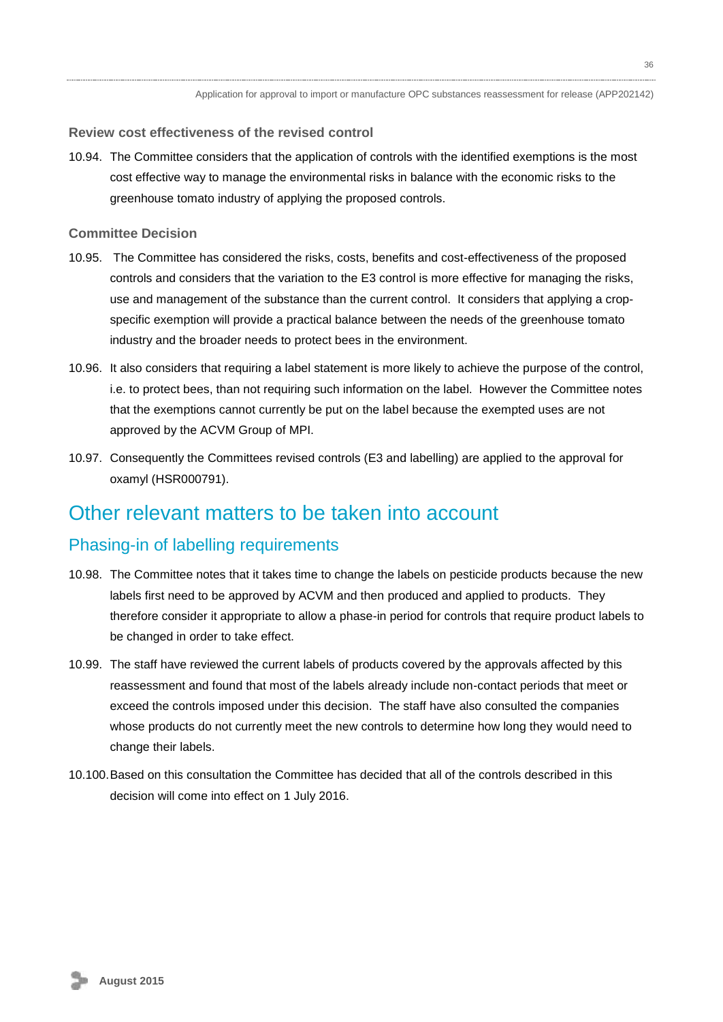#### **Review cost effectiveness of the revised control**

10.94. The Committee considers that the application of controls with the identified exemptions is the most cost effective way to manage the environmental risks in balance with the economic risks to the greenhouse tomato industry of applying the proposed controls.

### **Committee Decision**

- 10.95. The Committee has considered the risks, costs, benefits and cost-effectiveness of the proposed controls and considers that the variation to the E3 control is more effective for managing the risks, use and management of the substance than the current control. It considers that applying a cropspecific exemption will provide a practical balance between the needs of the greenhouse tomato industry and the broader needs to protect bees in the environment.
- 10.96. It also considers that requiring a label statement is more likely to achieve the purpose of the control, i.e. to protect bees, than not requiring such information on the label. However the Committee notes that the exemptions cannot currently be put on the label because the exempted uses are not approved by the ACVM Group of MPI.
- 10.97. Consequently the Committees revised controls (E3 and labelling) are applied to the approval for oxamyl (HSR000791).

## <span id="page-35-0"></span>Other relevant matters to be taken into account

### <span id="page-35-1"></span>Phasing-in of labelling requirements

- 10.98. The Committee notes that it takes time to change the labels on pesticide products because the new labels first need to be approved by ACVM and then produced and applied to products. They therefore consider it appropriate to allow a phase-in period for controls that require product labels to be changed in order to take effect.
- 10.99. The staff have reviewed the current labels of products covered by the approvals affected by this reassessment and found that most of the labels already include non-contact periods that meet or exceed the controls imposed under this decision. The staff have also consulted the companies whose products do not currently meet the new controls to determine how long they would need to change their labels.
- <span id="page-35-2"></span>10.100.Based on this consultation the Committee has decided that all of the controls described in this decision will come into effect on 1 July 2016.

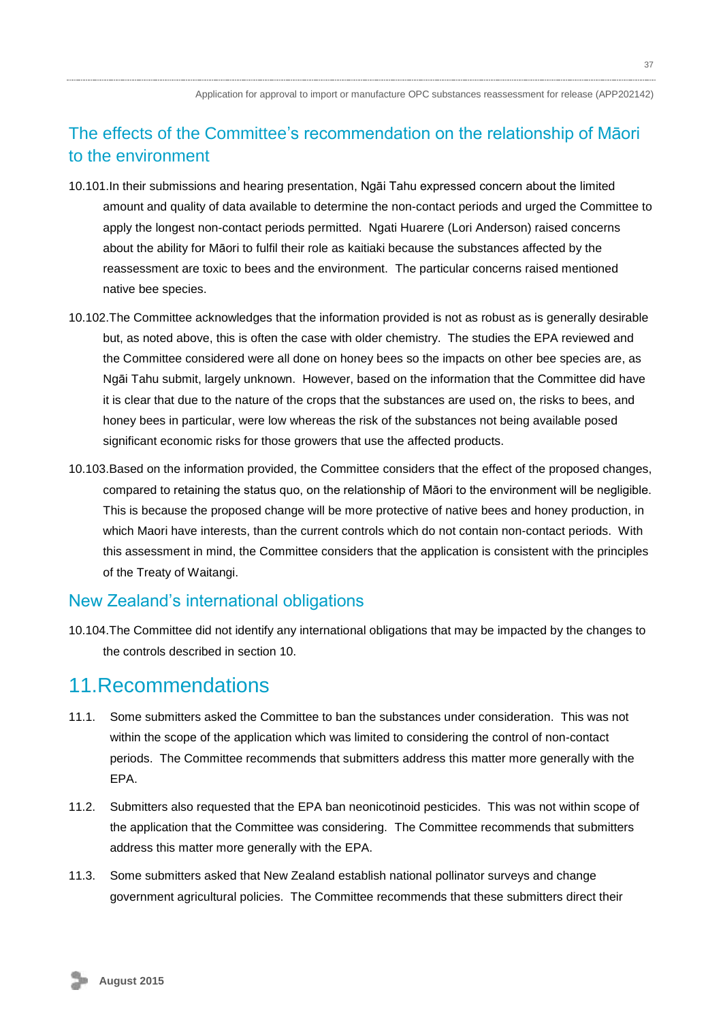## The effects of the Committee's recommendation on the relationship of Māori to the environment

- 10.101.In their submissions and hearing presentation, Ngāi Tahu expressed concern about the limited amount and quality of data available to determine the non-contact periods and urged the Committee to apply the longest non-contact periods permitted. Ngati Huarere (Lori Anderson) raised concerns about the ability for Māori to fulfil their role as kaitiaki because the substances affected by the reassessment are toxic to bees and the environment. The particular concerns raised mentioned native bee species.
- 10.102.The Committee acknowledges that the information provided is not as robust as is generally desirable but, as noted above, this is often the case with older chemistry. The studies the EPA reviewed and the Committee considered were all done on honey bees so the impacts on other bee species are, as Ngāi Tahu submit, largely unknown. However, based on the information that the Committee did have it is clear that due to the nature of the crops that the substances are used on, the risks to bees, and honey bees in particular, were low whereas the risk of the substances not being available posed significant economic risks for those growers that use the affected products.
- 10.103.Based on the information provided, the Committee considers that the effect of the proposed changes, compared to retaining the status quo, on the relationship of Māori to the environment will be negligible. This is because the proposed change will be more protective of native bees and honey production, in which Maori have interests, than the current controls which do not contain non-contact periods. With this assessment in mind, the Committee considers that the application is consistent with the principles of the Treaty of Waitangi.

### <span id="page-36-0"></span>New Zealand's international obligations

10.104.The Committee did not identify any international obligations that may be impacted by the changes to the controls described in section 10.

## <span id="page-36-1"></span>11 Recommendations

- 11.1. Some submitters asked the Committee to ban the substances under consideration. This was not within the scope of the application which was limited to considering the control of non-contact periods. The Committee recommends that submitters address this matter more generally with the EPA.
- 11.2. Submitters also requested that the EPA ban neonicotinoid pesticides. This was not within scope of the application that the Committee was considering. The Committee recommends that submitters address this matter more generally with the EPA.
- 11.3. Some submitters asked that New Zealand establish national pollinator surveys and change government agricultural policies. The Committee recommends that these submitters direct their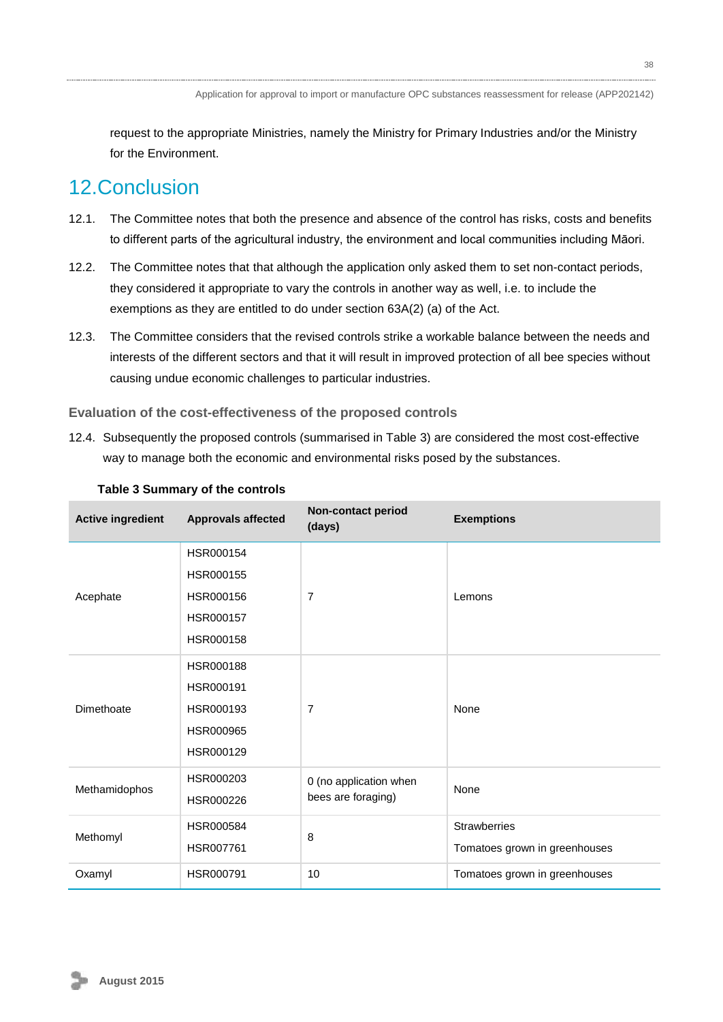request to the appropriate Ministries, namely the Ministry for Primary Industries and/or the Ministry for the Environment.

# 12.Conclusion

- 12.1. The Committee notes that both the presence and absence of the control has risks, costs and benefits to different parts of the agricultural industry, the environment and local communities including Māori.
- 12.2. The Committee notes that that although the application only asked them to set non-contact periods, they considered it appropriate to vary the controls in another way as well, i.e. to include the exemptions as they are entitled to do under section 63A(2) (a) of the Act.
- 12.3. The Committee considers that the revised controls strike a workable balance between the needs and interests of the different sectors and that it will result in improved protection of all bee species without causing undue economic challenges to particular industries.

### **Evaluation of the cost-effectiveness of the proposed controls**

12.4. Subsequently the proposed controls (summarised in Table 3) are considered the most cost-effective way to manage both the economic and environmental risks posed by the substances.

| <b>Active ingredient</b> | <b>Approvals affected</b> | <b>Non-contact period</b><br>(days) | <b>Exemptions</b>             |
|--------------------------|---------------------------|-------------------------------------|-------------------------------|
|                          | HSR000154                 |                                     |                               |
|                          | HSR000155                 |                                     |                               |
| Acephate                 | HSR000156                 | $\overline{7}$                      | Lemons                        |
|                          | HSR000157                 |                                     |                               |
|                          | HSR000158                 |                                     |                               |
|                          | <b>HSR000188</b>          |                                     |                               |
|                          | HSR000191                 |                                     |                               |
| Dimethoate               | HSR000193                 | $\overline{7}$                      | None                          |
|                          | HSR000965                 |                                     |                               |
|                          | HSR000129                 |                                     |                               |
| Methamidophos            | HSR000203                 | 0 (no application when              | None                          |
|                          | HSR000226                 | bees are foraging)                  |                               |
|                          | HSR000584                 |                                     | <b>Strawberries</b>           |
| Methomyl                 | HSR007761                 | 8                                   | Tomatoes grown in greenhouses |
| Oxamyl                   | HSR000791                 | 10                                  | Tomatoes grown in greenhouses |

#### **Table 3 Summary of the controls**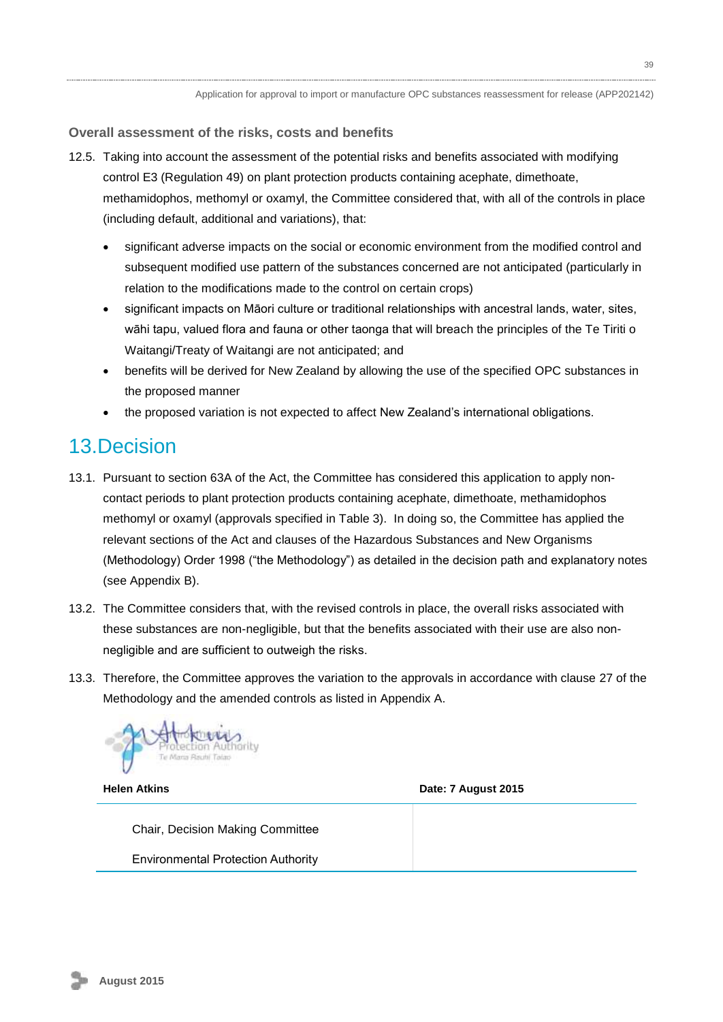**Overall assessment of the risks, costs and benefits**

- 12.5. Taking into account the assessment of the potential risks and benefits associated with modifying control E3 (Regulation 49) on plant protection products containing acephate, dimethoate, methamidophos, methomyl or oxamyl, the Committee considered that, with all of the controls in place (including default, additional and variations), that:
	- significant adverse impacts on the social or economic environment from the modified control and subsequent modified use pattern of the substances concerned are not anticipated (particularly in relation to the modifications made to the control on certain crops)
	- significant impacts on Māori culture or traditional relationships with ancestral lands, water, sites, wāhi tapu, valued flora and fauna or other taonga that will breach the principles of the Te Tiriti o Waitangi/Treaty of Waitangi are not anticipated; and
	- benefits will be derived for New Zealand by allowing the use of the specified OPC substances in the proposed manner
	- the proposed variation is not expected to affect New Zealand's international obligations.

# <span id="page-38-0"></span>13.Decision

- 13.1. Pursuant to section 63A of the Act, the Committee has considered this application to apply noncontact periods to plant protection products containing acephate, dimethoate, methamidophos methomyl or oxamyl (approvals specified in Table 3). In doing so, the Committee has applied the relevant sections of the Act and clauses of the Hazardous Substances and New Organisms (Methodology) Order 1998 ("the Methodology") as detailed in the decision path and explanatory notes (see Appendix B).
- 13.2. The Committee considers that, with the revised controls in place, the overall risks associated with these substances are non-negligible, but that the benefits associated with their use are also nonnegligible and are sufficient to outweigh the risks.
- 13.3. Therefore, the Committee approves the variation to the approvals in accordance with clause 27 of the Methodology and the amended controls as listed in Appendix A.



**Helen Atkins Date: 7 August 2015** 

Chair, Decision Making Committee Environmental Protection Authority

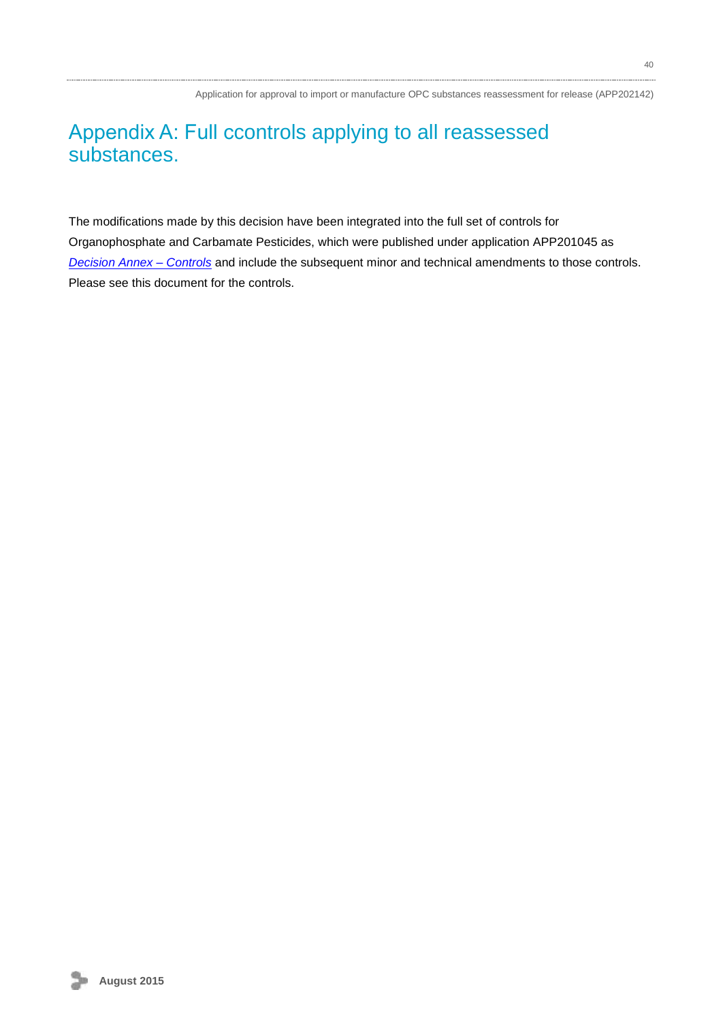# Appendix A: Full ccontrols applying to all reassessed substances.

The modifications made by this decision have been integrated into the full set of controls for Organophosphate and Carbamate Pesticides, which were published under application APP201045 as *[Decision Annex –](http://www.epa.govt.nz/search-databases/Pages/applications-details.aspx?appID=APP201045) Controls* and include the subsequent minor and technical amendments to those controls. Please see this document for the controls.

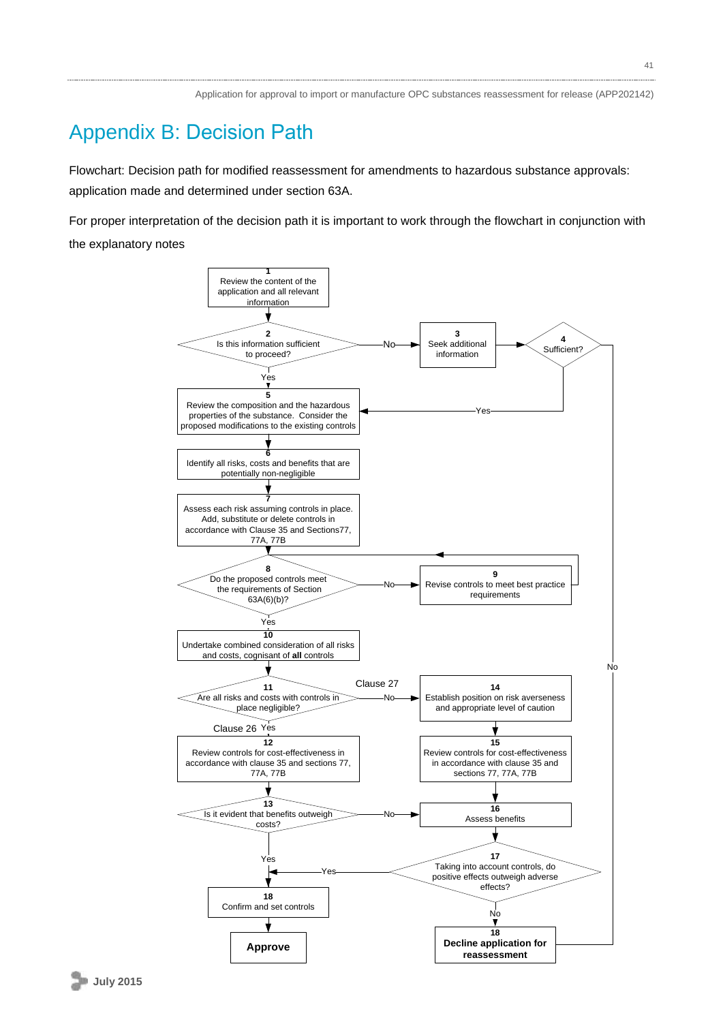# Appendix B: Decision Path

Flowchart: Decision path for modified reassessment for amendments to hazardous substance approvals: application made and determined under section 63A.

For proper interpretation of the decision path it is important to work through the flowchart in conjunction with the explanatory notes

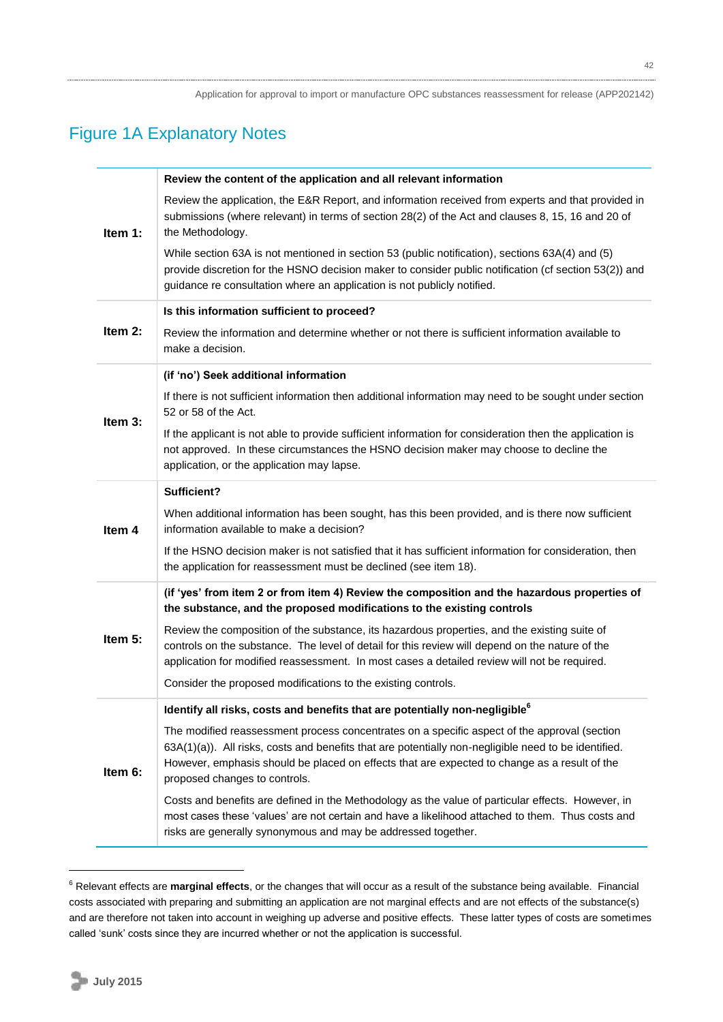# Figure 1A Explanatory Notes

|           | Review the content of the application and all relevant information                                                                                                                                                                                                                                                                    |
|-----------|---------------------------------------------------------------------------------------------------------------------------------------------------------------------------------------------------------------------------------------------------------------------------------------------------------------------------------------|
| Item 1:   | Review the application, the E&R Report, and information received from experts and that provided in<br>submissions (where relevant) in terms of section 28(2) of the Act and clauses 8, 15, 16 and 20 of<br>the Methodology.                                                                                                           |
|           | While section 63A is not mentioned in section 53 (public notification), sections 63A(4) and (5)<br>provide discretion for the HSNO decision maker to consider public notification (cf section 53(2)) and<br>guidance re consultation where an application is not publicly notified.                                                   |
|           | Is this information sufficient to proceed?                                                                                                                                                                                                                                                                                            |
| Item $2:$ | Review the information and determine whether or not there is sufficient information available to<br>make a decision.                                                                                                                                                                                                                  |
|           | (if 'no') Seek additional information                                                                                                                                                                                                                                                                                                 |
| Item 3:   | If there is not sufficient information then additional information may need to be sought under section<br>52 or 58 of the Act.                                                                                                                                                                                                        |
|           | If the applicant is not able to provide sufficient information for consideration then the application is<br>not approved. In these circumstances the HSNO decision maker may choose to decline the<br>application, or the application may lapse.                                                                                      |
|           | Sufficient?                                                                                                                                                                                                                                                                                                                           |
| Item 4    | When additional information has been sought, has this been provided, and is there now sufficient<br>information available to make a decision?                                                                                                                                                                                         |
|           | If the HSNO decision maker is not satisfied that it has sufficient information for consideration, then<br>the application for reassessment must be declined (see item 18).                                                                                                                                                            |
|           | (if 'yes' from item 2 or from item 4) Review the composition and the hazardous properties of<br>the substance, and the proposed modifications to the existing controls                                                                                                                                                                |
| Item 5:   | Review the composition of the substance, its hazardous properties, and the existing suite of<br>controls on the substance. The level of detail for this review will depend on the nature of the<br>application for modified reassessment. In most cases a detailed review will not be required.                                       |
|           | Consider the proposed modifications to the existing controls.                                                                                                                                                                                                                                                                         |
|           | Identify all risks, costs and benefits that are potentially non-negligible <sup>6</sup>                                                                                                                                                                                                                                               |
| Item 6:   | The modified reassessment process concentrates on a specific aspect of the approval (section<br>63A(1)(a)). All risks, costs and benefits that are potentially non-negligible need to be identified.<br>However, emphasis should be placed on effects that are expected to change as a result of the<br>proposed changes to controls. |
|           | Costs and benefits are defined in the Methodology as the value of particular effects. However, in<br>most cases these 'values' are not certain and have a likelihood attached to them. Thus costs and<br>risks are generally synonymous and may be addressed together.                                                                |

<sup>6</sup> Relevant effects are **marginal effects**, or the changes that will occur as a result of the substance being available. Financial costs associated with preparing and submitting an application are not marginal effects and are not effects of the substance(s) and are therefore not taken into account in weighing up adverse and positive effects. These latter types of costs are sometimes called 'sunk' costs since they are incurred whether or not the application is successful.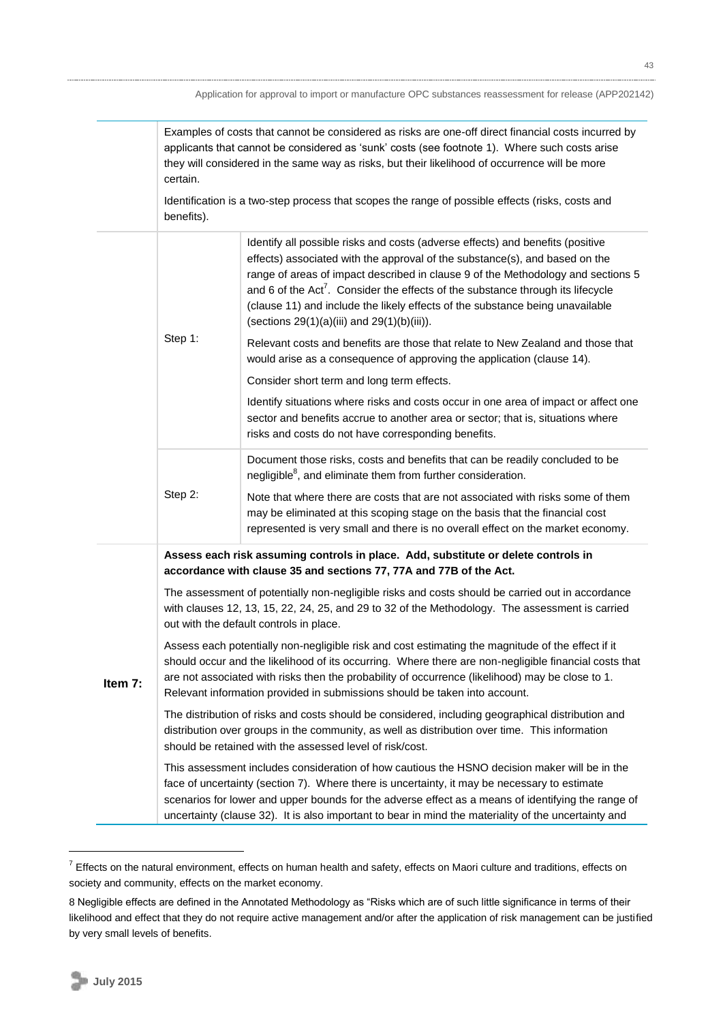Examples of costs that cannot be considered as risks are one-off direct financial costs incurred by applicants that cannot be considered as 'sunk' costs (see footnote 1). Where such costs arise they will considered in the same way as risks, but their likelihood of occurrence will be more certain.

Identification is a two-step process that scopes the range of possible effects (risks, costs and benefits).

|         | Step 1:                                                                                                                                                                                                                                                                                                                                                                                                     | Identify all possible risks and costs (adverse effects) and benefits (positive<br>effects) associated with the approval of the substance(s), and based on the<br>range of areas of impact described in clause 9 of the Methodology and sections 5<br>and 6 of the $Act^7$ . Consider the effects of the substance through its lifecycle<br>(clause 11) and include the likely effects of the substance being unavailable<br>(sections 29(1)(a)(iii) and 29(1)(b)(iii)).<br>Relevant costs and benefits are those that relate to New Zealand and those that |  |
|---------|-------------------------------------------------------------------------------------------------------------------------------------------------------------------------------------------------------------------------------------------------------------------------------------------------------------------------------------------------------------------------------------------------------------|------------------------------------------------------------------------------------------------------------------------------------------------------------------------------------------------------------------------------------------------------------------------------------------------------------------------------------------------------------------------------------------------------------------------------------------------------------------------------------------------------------------------------------------------------------|--|
|         |                                                                                                                                                                                                                                                                                                                                                                                                             | would arise as a consequence of approving the application (clause 14).                                                                                                                                                                                                                                                                                                                                                                                                                                                                                     |  |
|         |                                                                                                                                                                                                                                                                                                                                                                                                             | Consider short term and long term effects.                                                                                                                                                                                                                                                                                                                                                                                                                                                                                                                 |  |
|         |                                                                                                                                                                                                                                                                                                                                                                                                             | Identify situations where risks and costs occur in one area of impact or affect one<br>sector and benefits accrue to another area or sector; that is, situations where<br>risks and costs do not have corresponding benefits.                                                                                                                                                                                                                                                                                                                              |  |
|         |                                                                                                                                                                                                                                                                                                                                                                                                             | Document those risks, costs and benefits that can be readily concluded to be<br>negligible <sup>8</sup> , and eliminate them from further consideration.                                                                                                                                                                                                                                                                                                                                                                                                   |  |
|         | Step 2:                                                                                                                                                                                                                                                                                                                                                                                                     | Note that where there are costs that are not associated with risks some of them<br>may be eliminated at this scoping stage on the basis that the financial cost<br>represented is very small and there is no overall effect on the market economy.                                                                                                                                                                                                                                                                                                         |  |
|         | Assess each risk assuming controls in place. Add, substitute or delete controls in<br>accordance with clause 35 and sections 77, 77A and 77B of the Act.                                                                                                                                                                                                                                                    |                                                                                                                                                                                                                                                                                                                                                                                                                                                                                                                                                            |  |
|         | The assessment of potentially non-negligible risks and costs should be carried out in accordance<br>with clauses 12, 13, 15, 22, 24, 25, and 29 to 32 of the Methodology. The assessment is carried<br>out with the default controls in place.                                                                                                                                                              |                                                                                                                                                                                                                                                                                                                                                                                                                                                                                                                                                            |  |
| Item 7: | Assess each potentially non-negligible risk and cost estimating the magnitude of the effect if it<br>should occur and the likelihood of its occurring. Where there are non-negligible financial costs that<br>are not associated with risks then the probability of occurrence (likelihood) may be close to 1.<br>Relevant information provided in submissions should be taken into account.                |                                                                                                                                                                                                                                                                                                                                                                                                                                                                                                                                                            |  |
|         | The distribution of risks and costs should be considered, including geographical distribution and<br>distribution over groups in the community, as well as distribution over time. This information<br>should be retained with the assessed level of risk/cost.                                                                                                                                             |                                                                                                                                                                                                                                                                                                                                                                                                                                                                                                                                                            |  |
|         | This assessment includes consideration of how cautious the HSNO decision maker will be in the<br>face of uncertainty (section 7). Where there is uncertainty, it may be necessary to estimate<br>scenarios for lower and upper bounds for the adverse effect as a means of identifying the range of<br>uncertainty (clause 32). It is also important to bear in mind the materiality of the uncertainty and |                                                                                                                                                                                                                                                                                                                                                                                                                                                                                                                                                            |  |

 $7$  Effects on the natural environment, effects on human health and safety, effects on Maori culture and traditions, effects on society and community, effects on the market economy.

<sup>8</sup> Negligible effects are defined in the Annotated Methodology as "Risks which are of such little significance in terms of their likelihood and effect that they do not require active management and/or after the application of risk management can be justified by very small levels of benefits.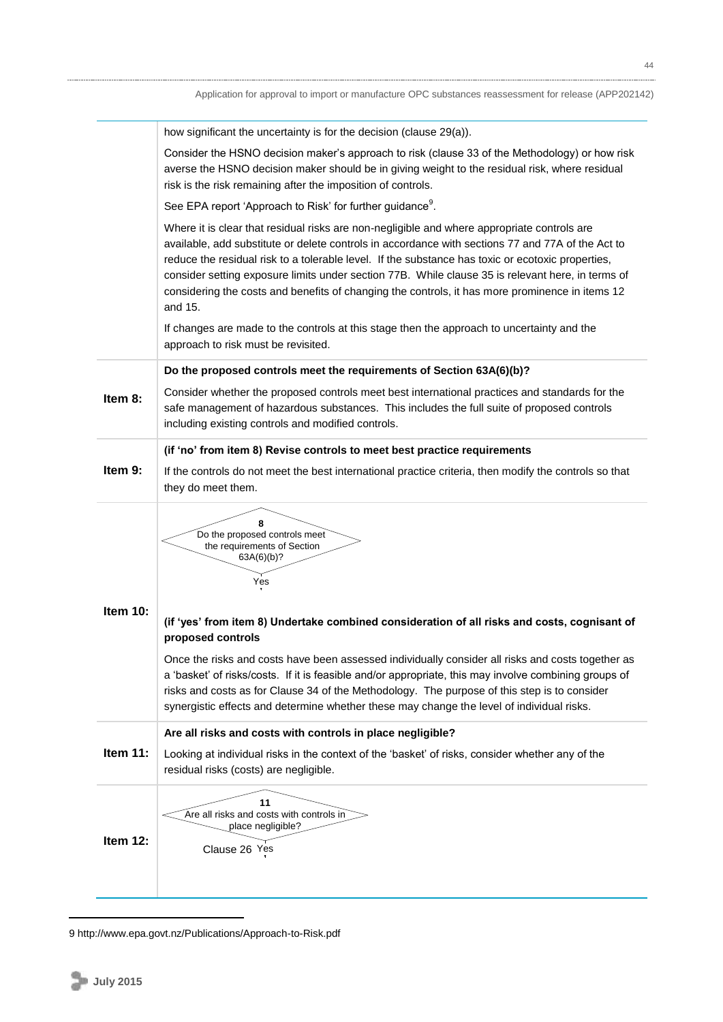|                 | how significant the uncertainty is for the decision (clause 29(a)).                                                                                                                                                                                                                                                                                                                                                                                                                                                      |
|-----------------|--------------------------------------------------------------------------------------------------------------------------------------------------------------------------------------------------------------------------------------------------------------------------------------------------------------------------------------------------------------------------------------------------------------------------------------------------------------------------------------------------------------------------|
|                 | Consider the HSNO decision maker's approach to risk (clause 33 of the Methodology) or how risk<br>averse the HSNO decision maker should be in giving weight to the residual risk, where residual<br>risk is the risk remaining after the imposition of controls.                                                                                                                                                                                                                                                         |
|                 | See EPA report 'Approach to Risk' for further guidance <sup>9</sup> .                                                                                                                                                                                                                                                                                                                                                                                                                                                    |
|                 | Where it is clear that residual risks are non-negligible and where appropriate controls are<br>available, add substitute or delete controls in accordance with sections 77 and 77A of the Act to<br>reduce the residual risk to a tolerable level. If the substance has toxic or ecotoxic properties,<br>consider setting exposure limits under section 77B. While clause 35 is relevant here, in terms of<br>considering the costs and benefits of changing the controls, it has more prominence in items 12<br>and 15. |
|                 | If changes are made to the controls at this stage then the approach to uncertainty and the<br>approach to risk must be revisited.                                                                                                                                                                                                                                                                                                                                                                                        |
|                 | Do the proposed controls meet the requirements of Section 63A(6)(b)?                                                                                                                                                                                                                                                                                                                                                                                                                                                     |
| Item 8:         | Consider whether the proposed controls meet best international practices and standards for the<br>safe management of hazardous substances. This includes the full suite of proposed controls<br>including existing controls and modified controls.                                                                                                                                                                                                                                                                       |
|                 | (if 'no' from item 8) Revise controls to meet best practice requirements                                                                                                                                                                                                                                                                                                                                                                                                                                                 |
| Item 9:         | If the controls do not meet the best international practice criteria, then modify the controls so that<br>they do meet them.                                                                                                                                                                                                                                                                                                                                                                                             |
|                 | 8<br>Do the proposed controls meet<br>the requirements of Section<br>63A(6)(b)?<br>Yes                                                                                                                                                                                                                                                                                                                                                                                                                                   |
| Item 10:        | (if 'yes' from item 8) Undertake combined consideration of all risks and costs, cognisant of<br>proposed controls                                                                                                                                                                                                                                                                                                                                                                                                        |
|                 | Once the risks and costs have been assessed individually consider all risks and costs together as<br>a 'basket' of risks/costs. If it is feasible and/or appropriate, this may involve combining groups of<br>risks and costs as for Clause 34 of the Methodology. The purpose of this step is to consider<br>synergistic effects and determine whether these may change the level of individual risks.                                                                                                                  |
|                 | Are all risks and costs with controls in place negligible?                                                                                                                                                                                                                                                                                                                                                                                                                                                               |
| <b>Item 11:</b> | Looking at individual risks in the context of the 'basket' of risks, consider whether any of the<br>residual risks (costs) are negligible.                                                                                                                                                                                                                                                                                                                                                                               |
| Item 12:        | 11<br>Are all risks and costs with controls in<br>place negligible?<br>Clause 26 Yes                                                                                                                                                                                                                                                                                                                                                                                                                                     |

9 <http://www.epa.govt.nz/Publications/Approach-to-Risk.pdf>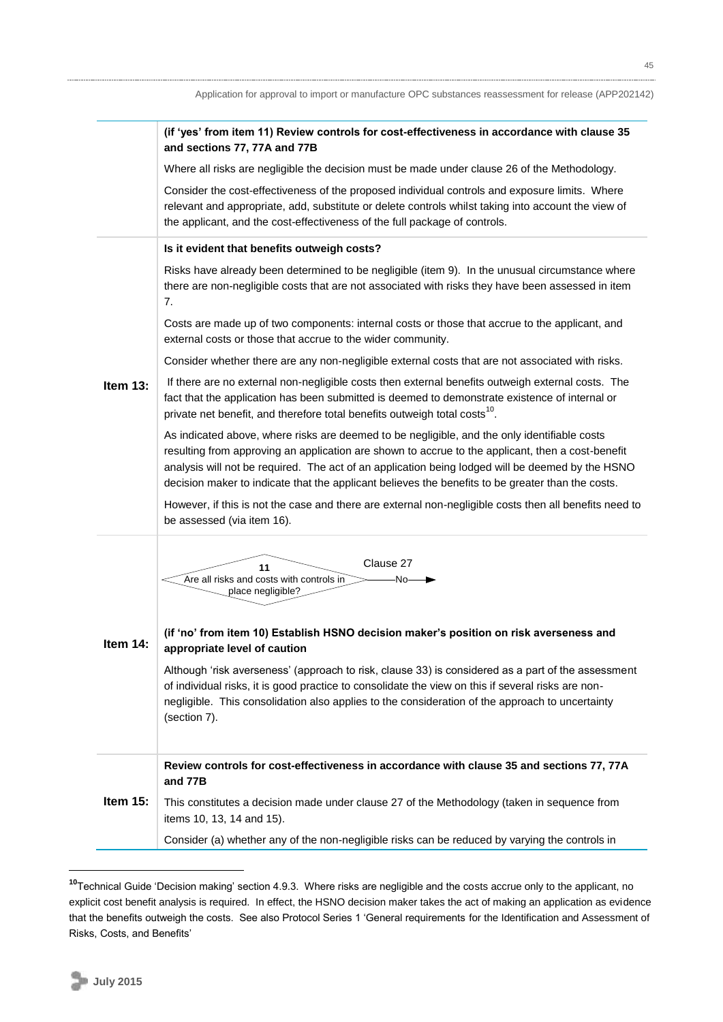|             | (if 'yes' from item 11) Review controls for cost-effectiveness in accordance with clause 35<br>and sections 77, 77A and 77B                                                                                                                                                                                                                                                                                |
|-------------|------------------------------------------------------------------------------------------------------------------------------------------------------------------------------------------------------------------------------------------------------------------------------------------------------------------------------------------------------------------------------------------------------------|
|             | Where all risks are negligible the decision must be made under clause 26 of the Methodology.                                                                                                                                                                                                                                                                                                               |
|             | Consider the cost-effectiveness of the proposed individual controls and exposure limits. Where<br>relevant and appropriate, add, substitute or delete controls whilst taking into account the view of<br>the applicant, and the cost-effectiveness of the full package of controls.                                                                                                                        |
|             | Is it evident that benefits outweigh costs?                                                                                                                                                                                                                                                                                                                                                                |
|             | Risks have already been determined to be negligible (item 9). In the unusual circumstance where<br>there are non-negligible costs that are not associated with risks they have been assessed in item<br>7.                                                                                                                                                                                                 |
|             | Costs are made up of two components: internal costs or those that accrue to the applicant, and<br>external costs or those that accrue to the wider community.                                                                                                                                                                                                                                              |
|             | Consider whether there are any non-negligible external costs that are not associated with risks.                                                                                                                                                                                                                                                                                                           |
| Item $13:$  | If there are no external non-negligible costs then external benefits outweigh external costs. The<br>fact that the application has been submitted is deemed to demonstrate existence of internal or<br>private net benefit, and therefore total benefits outweigh total costs <sup>10</sup> .                                                                                                              |
|             | As indicated above, where risks are deemed to be negligible, and the only identifiable costs<br>resulting from approving an application are shown to accrue to the applicant, then a cost-benefit<br>analysis will not be required. The act of an application being lodged will be deemed by the HSNO<br>decision maker to indicate that the applicant believes the benefits to be greater than the costs. |
|             | However, if this is not the case and there are external non-negligible costs then all benefits need to<br>be assessed (via item 16).                                                                                                                                                                                                                                                                       |
| Item $14$ : | Clause 27<br>11<br>Are all risks and costs with controls in<br>·No-<br>place negligible?                                                                                                                                                                                                                                                                                                                   |
|             | (if 'no' from item 10) Establish HSNO decision maker's position on risk averseness and<br>appropriate level of caution                                                                                                                                                                                                                                                                                     |
|             | Although 'risk averseness' (approach to risk, clause 33) is considered as a part of the assessment<br>of individual risks, it is good practice to consolidate the view on this if several risks are non-<br>negligible. This consolidation also applies to the consideration of the approach to uncertainty<br>(section 7).                                                                                |
|             | Review controls for cost-effectiveness in accordance with clause 35 and sections 77, 77A<br>and 77B                                                                                                                                                                                                                                                                                                        |
| Item $15$ : | This constitutes a decision made under clause 27 of the Methodology (taken in sequence from<br>items 10, 13, 14 and 15).                                                                                                                                                                                                                                                                                   |
|             | Consider (a) whether any of the non-negligible risks can be reduced by varying the controls in                                                                                                                                                                                                                                                                                                             |

**<sup>10</sup>**Technical Guide 'Decision making' section 4.9.3. Where risks are negligible and the costs accrue only to the applicant, no explicit cost benefit analysis is required. In effect, the HSNO decision maker takes the act of making an application as evidence that the benefits outweigh the costs. See also Protocol Series 1 'General requirements for the Identification and Assessment of Risks, Costs, and Benefits'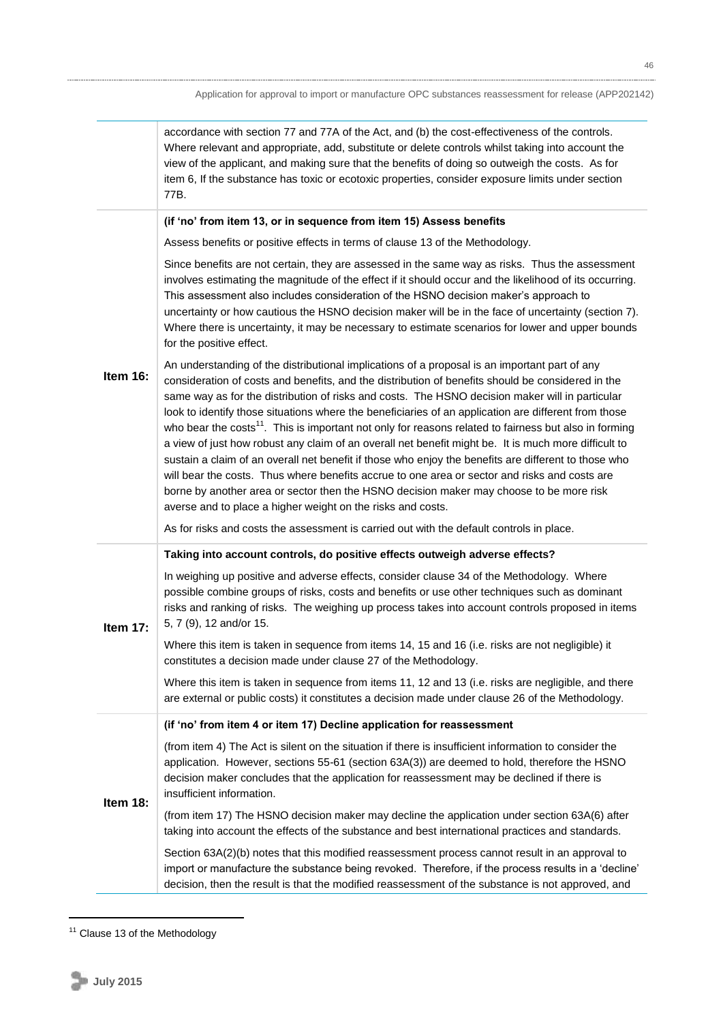|          | accordance with section 77 and 77A of the Act, and (b) the cost-effectiveness of the controls.<br>Where relevant and appropriate, add, substitute or delete controls whilst taking into account the<br>view of the applicant, and making sure that the benefits of doing so outweigh the costs. As for<br>item 6, If the substance has toxic or ecotoxic properties, consider exposure limits under section<br>77B.                                                                                                                                                                                                                                                                                                                                                                                                                                                                                                                                                                                           |  |  |
|----------|---------------------------------------------------------------------------------------------------------------------------------------------------------------------------------------------------------------------------------------------------------------------------------------------------------------------------------------------------------------------------------------------------------------------------------------------------------------------------------------------------------------------------------------------------------------------------------------------------------------------------------------------------------------------------------------------------------------------------------------------------------------------------------------------------------------------------------------------------------------------------------------------------------------------------------------------------------------------------------------------------------------|--|--|
|          | (if 'no' from item 13, or in sequence from item 15) Assess benefits                                                                                                                                                                                                                                                                                                                                                                                                                                                                                                                                                                                                                                                                                                                                                                                                                                                                                                                                           |  |  |
|          | Assess benefits or positive effects in terms of clause 13 of the Methodology.                                                                                                                                                                                                                                                                                                                                                                                                                                                                                                                                                                                                                                                                                                                                                                                                                                                                                                                                 |  |  |
|          | Since benefits are not certain, they are assessed in the same way as risks. Thus the assessment<br>involves estimating the magnitude of the effect if it should occur and the likelihood of its occurring.<br>This assessment also includes consideration of the HSNO decision maker's approach to<br>uncertainty or how cautious the HSNO decision maker will be in the face of uncertainty (section 7).<br>Where there is uncertainty, it may be necessary to estimate scenarios for lower and upper bounds<br>for the positive effect.                                                                                                                                                                                                                                                                                                                                                                                                                                                                     |  |  |
| Item 16: | An understanding of the distributional implications of a proposal is an important part of any<br>consideration of costs and benefits, and the distribution of benefits should be considered in the<br>same way as for the distribution of risks and costs. The HSNO decision maker will in particular<br>look to identify those situations where the beneficiaries of an application are different from those<br>who bear the costs <sup>11</sup> . This is important not only for reasons related to fairness but also in forming<br>a view of just how robust any claim of an overall net benefit might be. It is much more difficult to<br>sustain a claim of an overall net benefit if those who enjoy the benefits are different to those who<br>will bear the costs. Thus where benefits accrue to one area or sector and risks and costs are<br>borne by another area or sector then the HSNO decision maker may choose to be more risk<br>averse and to place a higher weight on the risks and costs. |  |  |
|          | As for risks and costs the assessment is carried out with the default controls in place.                                                                                                                                                                                                                                                                                                                                                                                                                                                                                                                                                                                                                                                                                                                                                                                                                                                                                                                      |  |  |
|          | Taking into account controls, do positive effects outweigh adverse effects?                                                                                                                                                                                                                                                                                                                                                                                                                                                                                                                                                                                                                                                                                                                                                                                                                                                                                                                                   |  |  |
| Item 17: | In weighing up positive and adverse effects, consider clause 34 of the Methodology. Where<br>possible combine groups of risks, costs and benefits or use other techniques such as dominant<br>risks and ranking of risks. The weighing up process takes into account controls proposed in items<br>5, 7 (9), 12 and/or 15.                                                                                                                                                                                                                                                                                                                                                                                                                                                                                                                                                                                                                                                                                    |  |  |
|          | Where this item is taken in sequence from items 14, 15 and 16 (i.e. risks are not negligible) it<br>constitutes a decision made under clause 27 of the Methodology.                                                                                                                                                                                                                                                                                                                                                                                                                                                                                                                                                                                                                                                                                                                                                                                                                                           |  |  |
|          | Where this item is taken in sequence from items 11, 12 and 13 (i.e. risks are negligible, and there<br>are external or public costs) it constitutes a decision made under clause 26 of the Methodology.                                                                                                                                                                                                                                                                                                                                                                                                                                                                                                                                                                                                                                                                                                                                                                                                       |  |  |
|          | (if 'no' from item 4 or item 17) Decline application for reassessment                                                                                                                                                                                                                                                                                                                                                                                                                                                                                                                                                                                                                                                                                                                                                                                                                                                                                                                                         |  |  |
| Item 18: | (from item 4) The Act is silent on the situation if there is insufficient information to consider the<br>application. However, sections 55-61 (section 63A(3)) are deemed to hold, therefore the HSNO<br>decision maker concludes that the application for reassessment may be declined if there is<br>insufficient information.                                                                                                                                                                                                                                                                                                                                                                                                                                                                                                                                                                                                                                                                              |  |  |
|          | (from item 17) The HSNO decision maker may decline the application under section 63A(6) after<br>taking into account the effects of the substance and best international practices and standards.                                                                                                                                                                                                                                                                                                                                                                                                                                                                                                                                                                                                                                                                                                                                                                                                             |  |  |
|          | Section 63A(2)(b) notes that this modified reassessment process cannot result in an approval to<br>import or manufacture the substance being revoked. Therefore, if the process results in a 'decline'<br>decision, then the result is that the modified reassessment of the substance is not approved, and                                                                                                                                                                                                                                                                                                                                                                                                                                                                                                                                                                                                                                                                                                   |  |  |

<sup>&</sup>lt;sup>11</sup> Clause 13 of the Methodology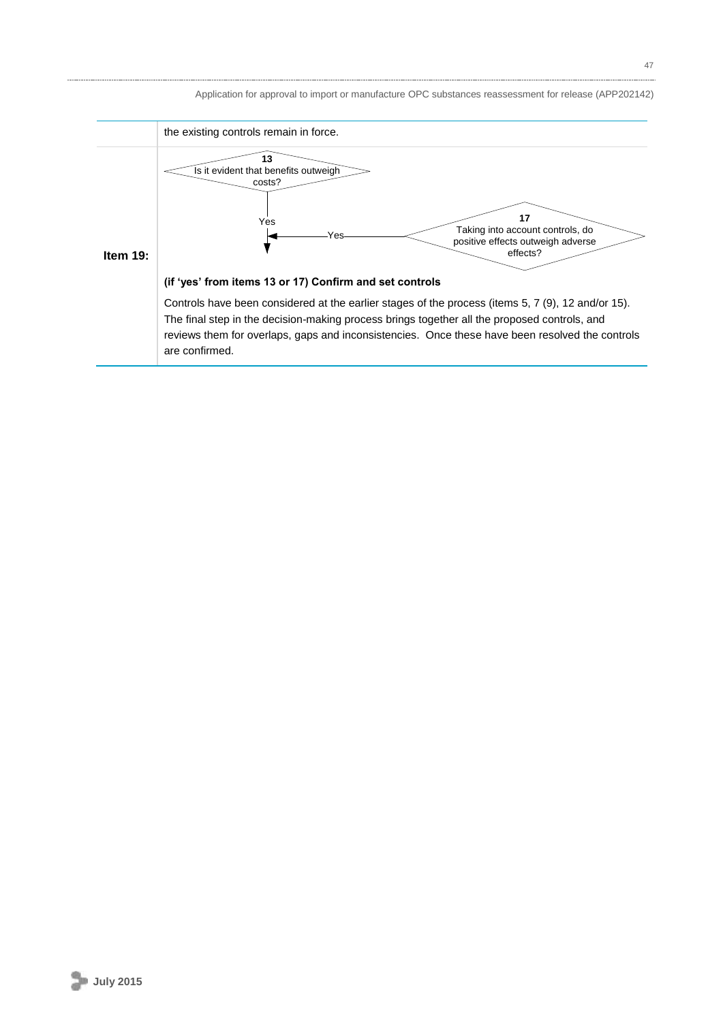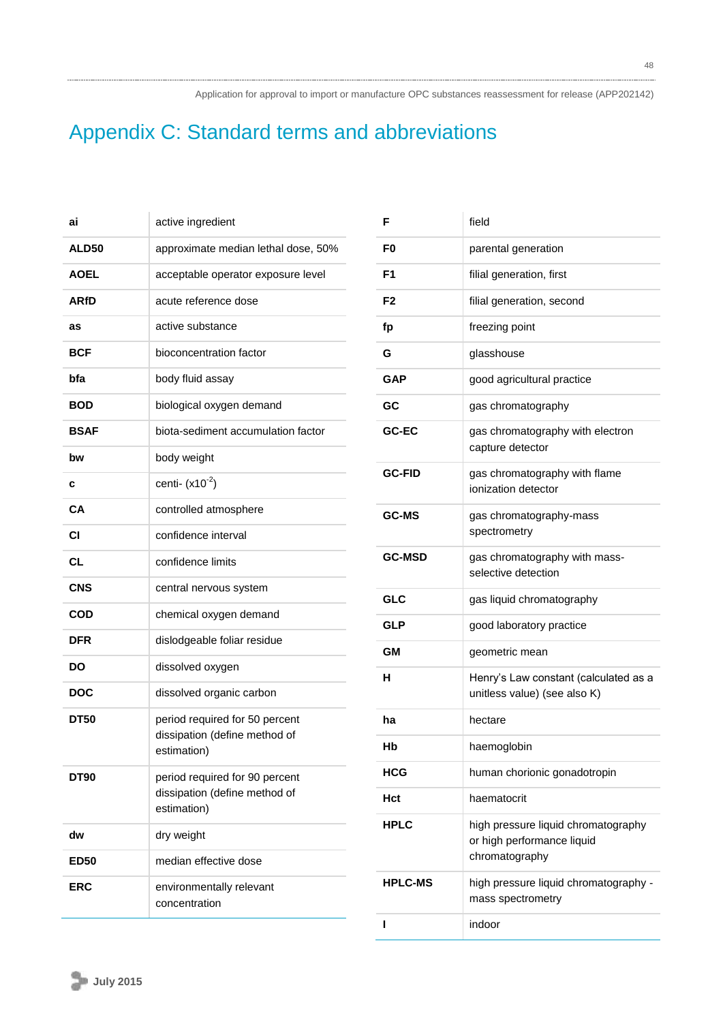# Appendix C: Standard terms and abbreviations

| ai           | active ingredient                                                              |
|--------------|--------------------------------------------------------------------------------|
| <b>ALD50</b> | approximate median lethal dose, 50%                                            |
| <b>AOEL</b>  | acceptable operator exposure level                                             |
| <b>ARfD</b>  | acute reference dose                                                           |
| as           | active substance                                                               |
| BCF          | bioconcentration factor                                                        |
| bfa          | body fluid assay                                                               |
| BOD          | biological oxygen demand                                                       |
| <b>BSAF</b>  | biota-sediment accumulation factor                                             |
| bw           | body weight                                                                    |
| c            | centi- $(x10^{-2})$                                                            |
| CA           | controlled atmosphere                                                          |
| СI           | confidence interval                                                            |
| CL           | confidence limits                                                              |
| <b>CNS</b>   | central nervous system                                                         |
| COD          | chemical oxygen demand                                                         |
| DFR          | dislodgeable foliar residue                                                    |
| DO           | dissolved oxygen                                                               |
| <b>DOC</b>   | dissolved organic carbon                                                       |
| <b>DT50</b>  | period required for 50 percent<br>dissipation (define method of<br>estimation) |
| DT90         | period required for 90 percent<br>dissipation (define method of<br>estimation) |
| dw           | dry weight                                                                     |
| <b>ED50</b>  | median effective dose                                                          |
| ERC          | environmentally relevant<br>concentration                                      |

| F              | field                                                                               |
|----------------|-------------------------------------------------------------------------------------|
| F0             | parental generation                                                                 |
| F1             | filial generation, first                                                            |
| F <sub>2</sub> | filial generation, second                                                           |
| fp             | freezing point                                                                      |
| G              | glasshouse                                                                          |
| GAP            | good agricultural practice                                                          |
| GC             | gas chromatography                                                                  |
| GC-EC          | gas chromatography with electron<br>capture detector                                |
| <b>GC-FID</b>  | gas chromatography with flame<br>ionization detector                                |
| <b>GC-MS</b>   | gas chromatography-mass<br>spectrometry                                             |
| <b>GC-MSD</b>  | gas chromatography with mass-<br>selective detection                                |
| <b>GLC</b>     | gas liquid chromatography                                                           |
| GLP            | good laboratory practice                                                            |
| GМ             | geometric mean                                                                      |
| н              | Henry's Law constant (calculated as a<br>unitless value) (see also K)               |
| ha             | hectare                                                                             |
| Нb             | haemoglobin                                                                         |
| HCG            | human chorionic gonadotropin                                                        |
| Hct            | haematocrit                                                                         |
| HPLC           | high pressure liquid chromatography<br>or high performance liquid<br>chromatography |
| <b>HPLC-MS</b> | high pressure liquid chromatography -<br>mass spectrometry                          |
| п              | indoor                                                                              |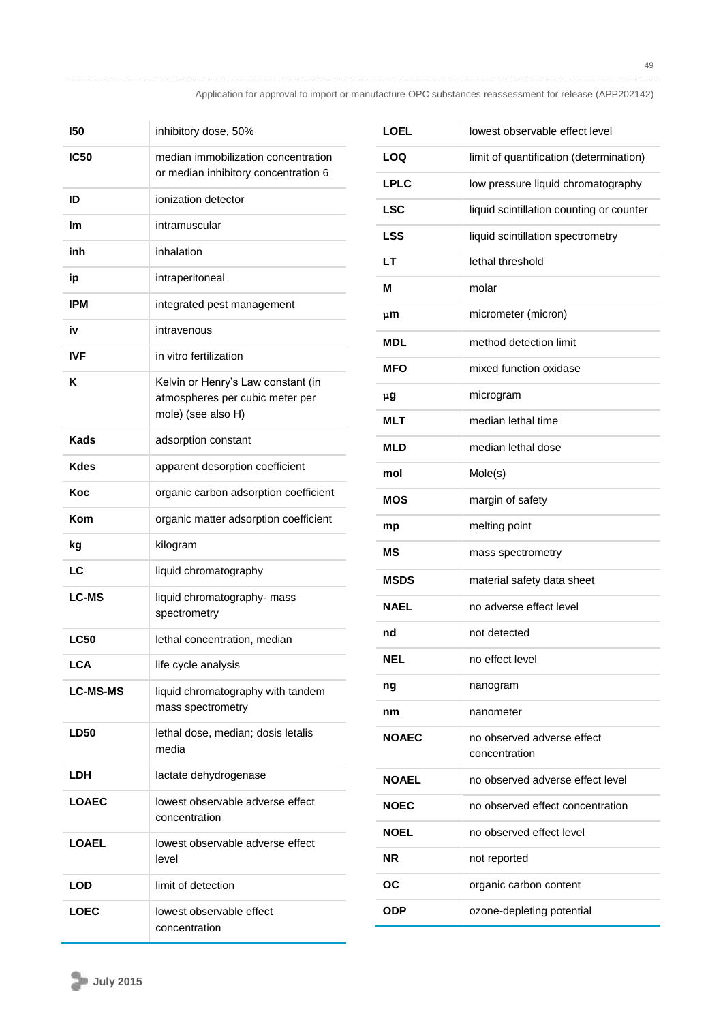| 150             | inhibitory dose, 50%                                                                        |
|-----------------|---------------------------------------------------------------------------------------------|
| <b>IC50</b>     | median immobilization concentration<br>or median inhibitory concentration 6                 |
| ID              | ionization detector                                                                         |
| lm              | intramuscular                                                                               |
| inh             | inhalation                                                                                  |
| ip              | intraperitoneal                                                                             |
| IPM             | integrated pest management                                                                  |
| iv              | intravenous                                                                                 |
| IVF             | in vitro fertilization                                                                      |
| Κ               | Kelvin or Henry's Law constant (in<br>atmospheres per cubic meter per<br>mole) (see also H) |
| Kads            | adsorption constant                                                                         |
| Kdes            | apparent desorption coefficient                                                             |
| Koc             | organic carbon adsorption coefficient                                                       |
| Kom             | organic matter adsorption coefficient                                                       |
| kg              | kilogram                                                                                    |
| LC              | liquid chromatography                                                                       |
| <b>LC-MS</b>    | liquid chromatography- mass<br>spectrometry                                                 |
| <b>LC50</b>     | lethal concentration, median                                                                |
| <b>LCA</b>      | life cycle analysis                                                                         |
| <b>LC-MS-MS</b> | liquid chromatography with tandem<br>mass spectrometry                                      |
| <b>LD50</b>     | lethal dose, median; dosis letalis<br>media                                                 |
| LDH             | lactate dehydrogenase                                                                       |
| <b>LOAEC</b>    | lowest observable adverse effect<br>concentration                                           |
| <b>LOAEL</b>    | lowest observable adverse effect<br>level                                                   |
| LOD             | limit of detection                                                                          |
| LOEC            | lowest observable effect<br>concentration                                                   |

| <b>LOEL</b>  | lowest observable effect level              |
|--------------|---------------------------------------------|
| LOQ          | limit of quantification (determination)     |
| <b>LPLC</b>  | low pressure liquid chromatography          |
| <b>LSC</b>   | liquid scintillation counting or counter    |
| <b>LSS</b>   | liquid scintillation spectrometry           |
| LT           | lethal threshold                            |
| м            | molar                                       |
| րm           | micrometer (micron)                         |
| <b>MDL</b>   | method detection limit                      |
| MFO          | mixed function oxidase                      |
| րց           | microgram                                   |
| MLT          | median lethal time                          |
| MLD          | median lethal dose                          |
| mol          | Mole(s)                                     |
| <b>MOS</b>   | margin of safety                            |
| mp           | melting point                               |
| МS           | mass spectrometry                           |
| <b>MSDS</b>  | material safety data sheet                  |
| <b>NAEL</b>  | no adverse effect level                     |
| nd           | not detected                                |
| <b>NEL</b>   | no effect level                             |
| ng           | nanogram                                    |
| nm           | nanometer                                   |
| NOAEC        | no observed adverse effect<br>concentration |
| <b>NOAEL</b> | no observed adverse effect level            |
| <b>NOEC</b>  | no observed effect concentration            |
| NOEL         | no observed effect level                    |
| ΝR           | not reported                                |
|              |                                             |
| ОC           | organic carbon content                      |